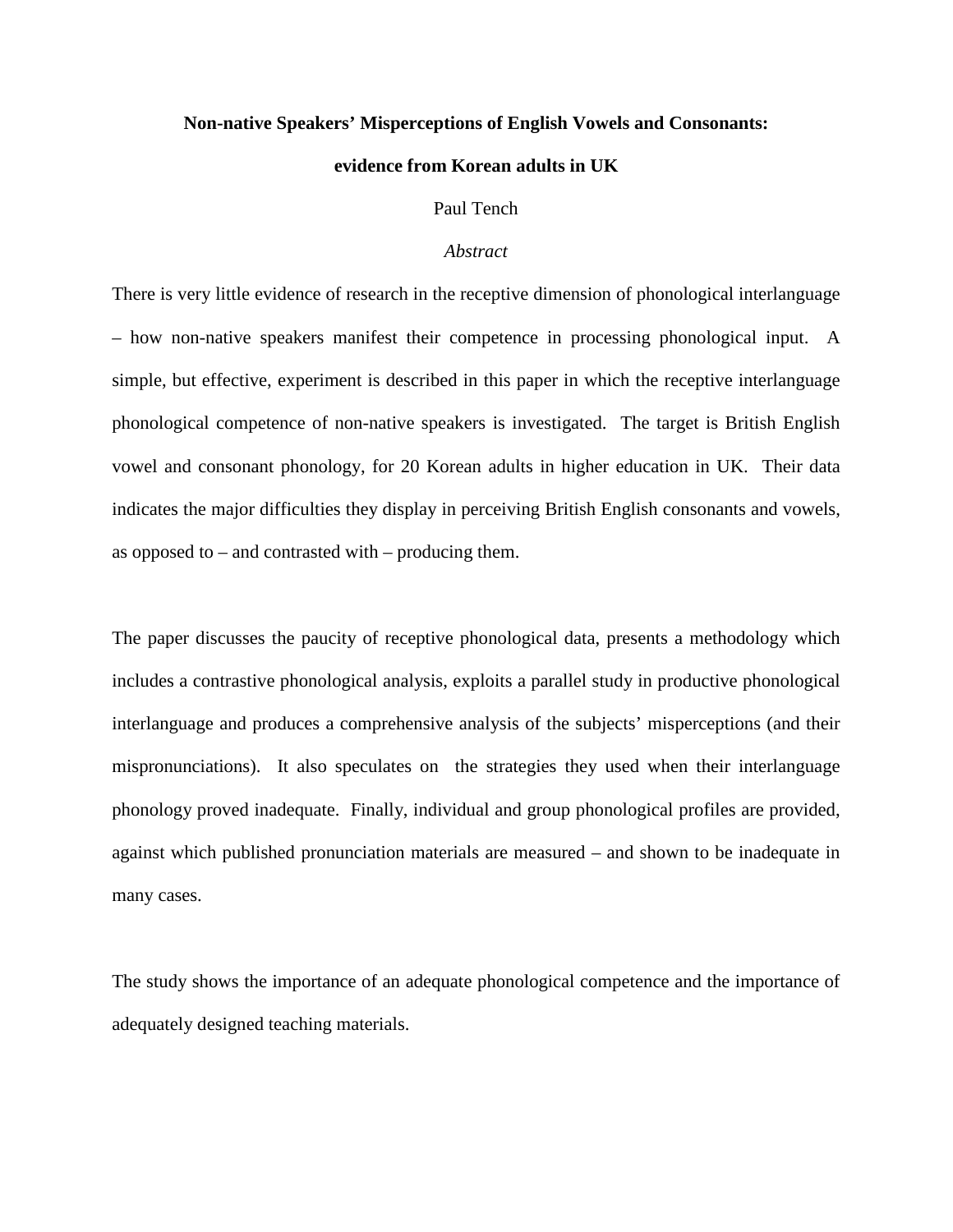### **Non-native Speakers' Misperceptions of English Vowels and Consonants:**

### **evidence from Korean adults in UK**

### Paul Tench

### *Abstract*

There is very little evidence of research in the receptive dimension of phonological interlanguage – how non-native speakers manifest their competence in processing phonological input. A simple, but effective, experiment is described in this paper in which the receptive interlanguage phonological competence of non-native speakers is investigated. The target is British English vowel and consonant phonology, for 20 Korean adults in higher education in UK. Their data indicates the major difficulties they display in perceiving British English consonants and vowels, as opposed to – and contrasted with – producing them.

The paper discusses the paucity of receptive phonological data, presents a methodology which includes a contrastive phonological analysis, exploits a parallel study in productive phonological interlanguage and produces a comprehensive analysis of the subjects' misperceptions (and their mispronunciations). It also speculates on the strategies they used when their interlanguage phonology proved inadequate. Finally, individual and group phonological profiles are provided, against which published pronunciation materials are measured – and shown to be inadequate in many cases.

The study shows the importance of an adequate phonological competence and the importance of adequately designed teaching materials.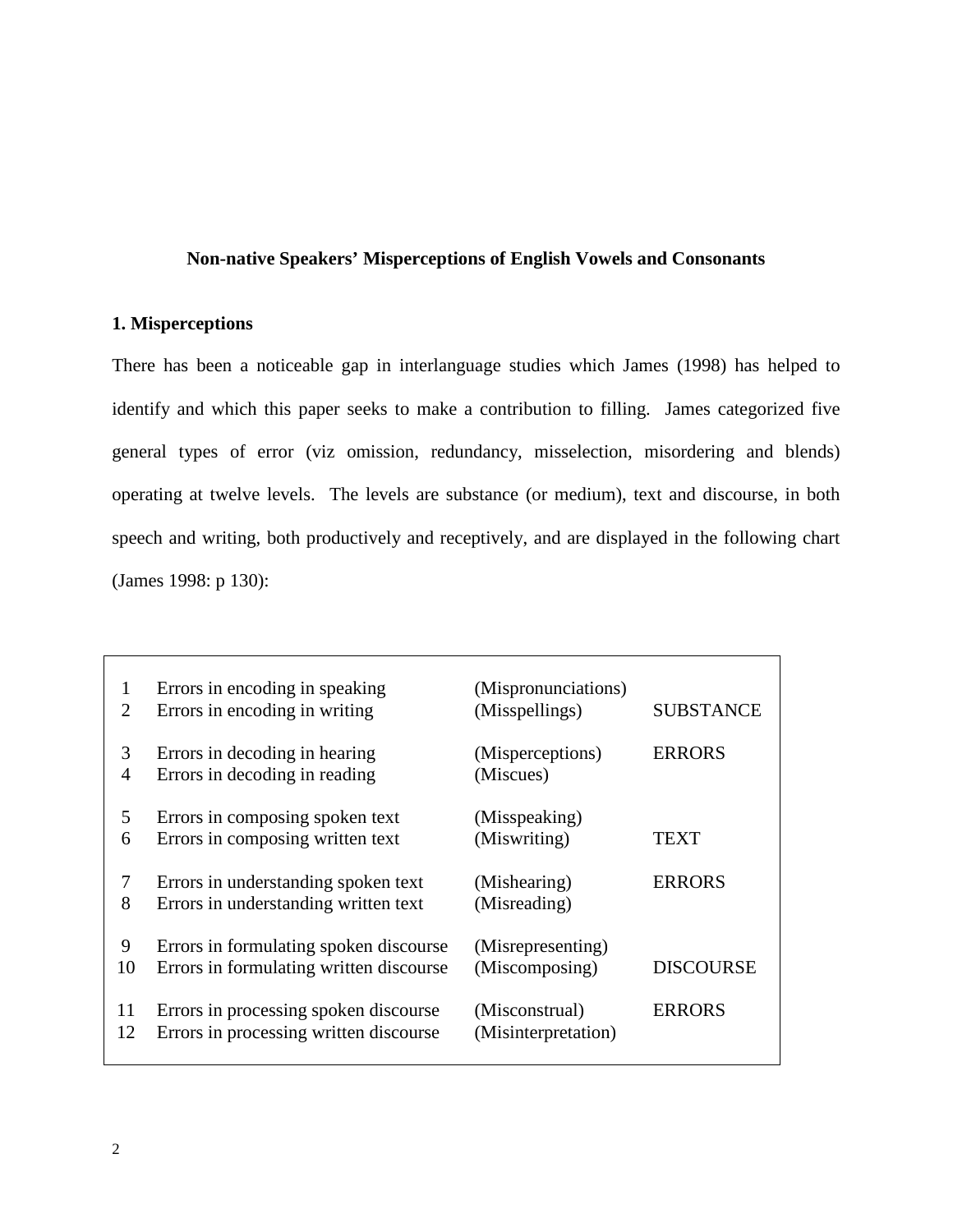## **Non-native Speakers' Misperceptions of English Vowels and Consonants**

# **1. Misperceptions**

There has been a noticeable gap in interlanguage studies which James (1998) has helped to identify and which this paper seeks to make a contribution to filling. James categorized five general types of error (viz omission, redundancy, misselection, misordering and blends) operating at twelve levels. The levels are substance (or medium), text and discourse, in both speech and writing, both productively and receptively, and are displayed in the following chart (James 1998: p 130):

| 1              | Errors in encoding in speaking          | (Mispronunciations) | <b>SUBSTANCE</b> |
|----------------|-----------------------------------------|---------------------|------------------|
| 2              | Errors in encoding in writing           | (Misspellings)      |                  |
| 3              | Errors in decoding in hearing           | (Misperceptions)    | <b>ERRORS</b>    |
| $\overline{4}$ | Errors in decoding in reading           | (Miscues)           |                  |
| 5              | Errors in composing spoken text         | (Misspeaking)       | TEXT             |
| 6              | Errors in composing written text        | (Miswriting)        |                  |
| 7              | Errors in understanding spoken text     | (Mishearing)        | <b>ERRORS</b>    |
| 8              | Errors in understanding written text    | (Misreading)        |                  |
| 9              | Errors in formulating spoken discourse  | (Misrepresenting)   | <b>DISCOURSE</b> |
| 10             | Errors in formulating written discourse | (Miscomposing)      |                  |
| 11             | Errors in processing spoken discourse   | (Misconstrual)      | <b>ERRORS</b>    |
| 12             | Errors in processing written discourse  | (Misinterpretation) |                  |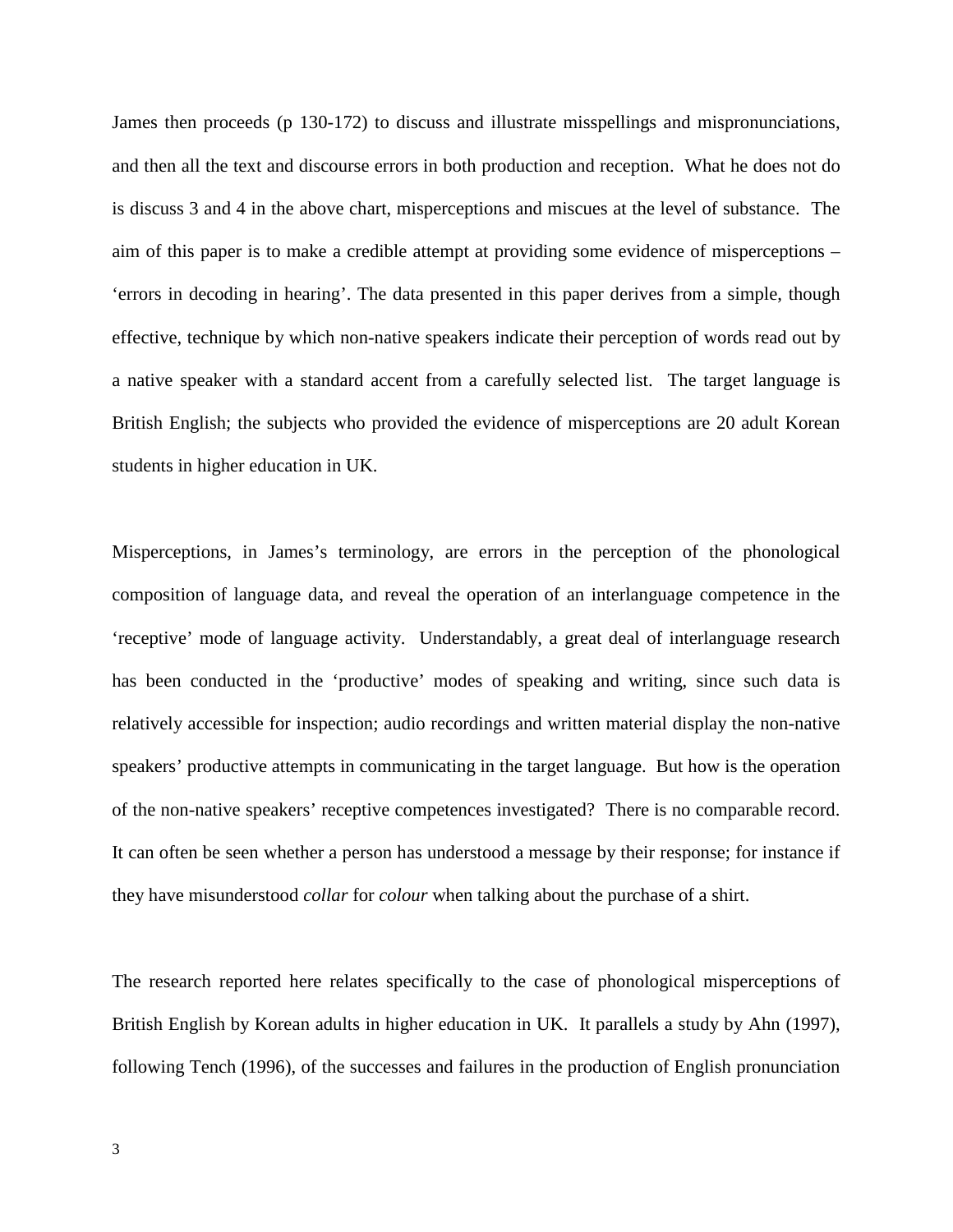James then proceeds (p 130-172) to discuss and illustrate misspellings and mispronunciations, and then all the text and discourse errors in both production and reception. What he does not do is discuss 3 and 4 in the above chart, misperceptions and miscues at the level of substance. The aim of this paper is to make a credible attempt at providing some evidence of misperceptions – 'errors in decoding in hearing'. The data presented in this paper derives from a simple, though effective, technique by which non-native speakers indicate their perception of words read out by a native speaker with a standard accent from a carefully selected list. The target language is British English; the subjects who provided the evidence of misperceptions are 20 adult Korean students in higher education in UK.

Misperceptions, in James's terminology, are errors in the perception of the phonological composition of language data, and reveal the operation of an interlanguage competence in the 'receptive' mode of language activity. Understandably, a great deal of interlanguage research has been conducted in the 'productive' modes of speaking and writing, since such data is relatively accessible for inspection; audio recordings and written material display the non-native speakers' productive attempts in communicating in the target language. But how is the operation of the non-native speakers' receptive competences investigated? There is no comparable record. It can often be seen whether a person has understood a message by their response; for instance if they have misunderstood *collar* for *colour* when talking about the purchase of a shirt.

The research reported here relates specifically to the case of phonological misperceptions of British English by Korean adults in higher education in UK. It parallels a study by Ahn (1997), following Tench (1996), of the successes and failures in the production of English pronunciation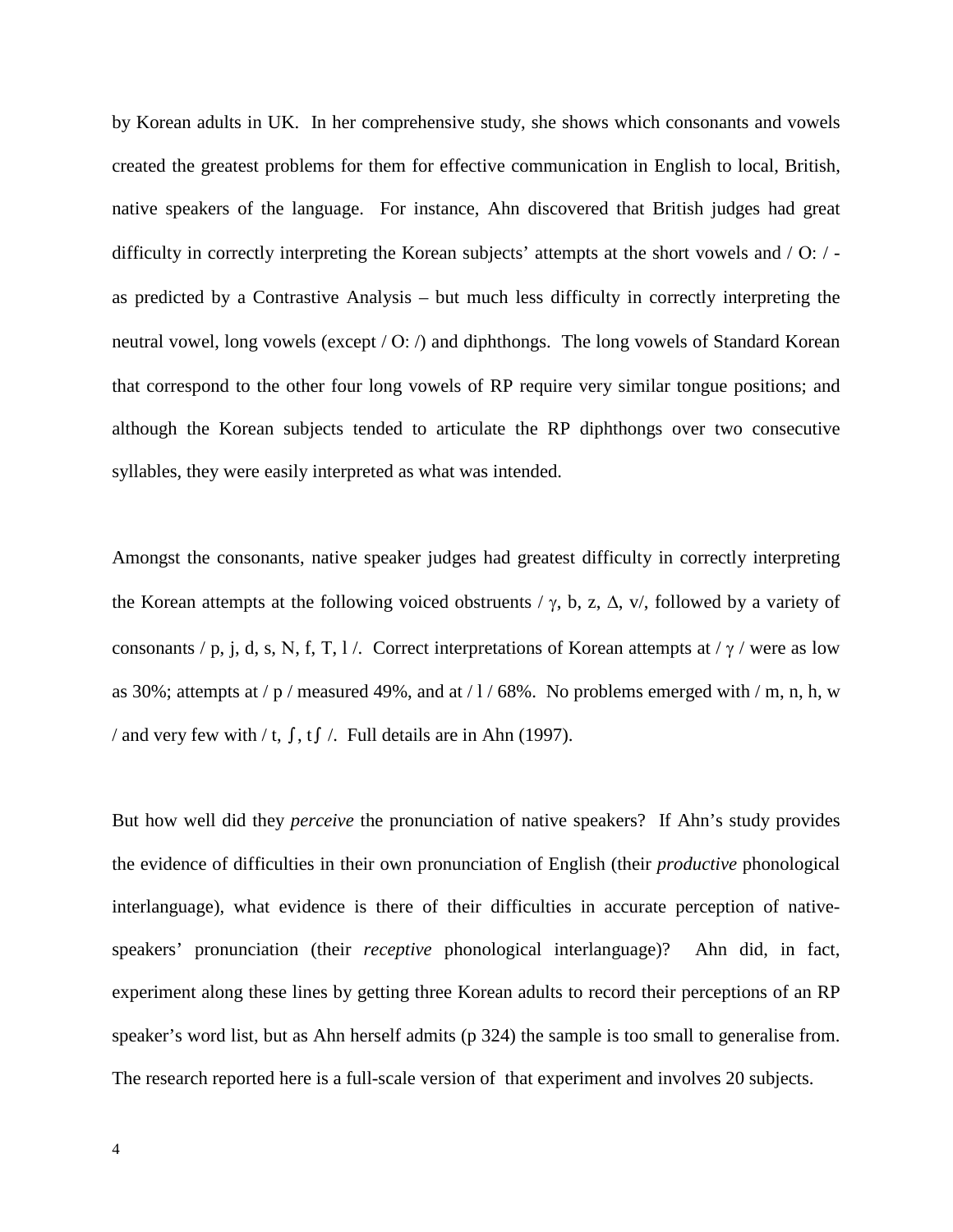by Korean adults in UK. In her comprehensive study, she shows which consonants and vowels created the greatest problems for them for effective communication in English to local, British, native speakers of the language. For instance, Ahn discovered that British judges had great difficulty in correctly interpreting the Korean subjects' attempts at the short vowels and / Ο: / as predicted by a Contrastive Analysis – but much less difficulty in correctly interpreting the neutral vowel, long vowels (except / Ο: /) and diphthongs. The long vowels of Standard Korean that correspond to the other four long vowels of RP require very similar tongue positions; and although the Korean subjects tended to articulate the RP diphthongs over two consecutive syllables, they were easily interpreted as what was intended.

Amongst the consonants, native speaker judges had greatest difficulty in correctly interpreting the Korean attempts at the following voiced obstruents /  $\gamma$ , b, z,  $\Delta$ , v/, followed by a variety of consonants / p, j, d, s, N, f, T, l /. Correct interpretations of Korean attempts at /  $\gamma$  / were as low as 30%; attempts at /  $p$  / measured 49%, and at / 1 / 68%. No problems emerged with / m, n, h, w / and very few with / t, ∫, t∫ /. Full details are in Ahn (1997).

But how well did they *perceive* the pronunciation of native speakers? If Ahn's study provides the evidence of difficulties in their own pronunciation of English (their *productive* phonological interlanguage), what evidence is there of their difficulties in accurate perception of nativespeakers' pronunciation (their *receptive* phonological interlanguage)? Ahn did, in fact, experiment along these lines by getting three Korean adults to record their perceptions of an RP speaker's word list, but as Ahn herself admits (p 324) the sample is too small to generalise from. The research reported here is a full-scale version of that experiment and involves 20 subjects.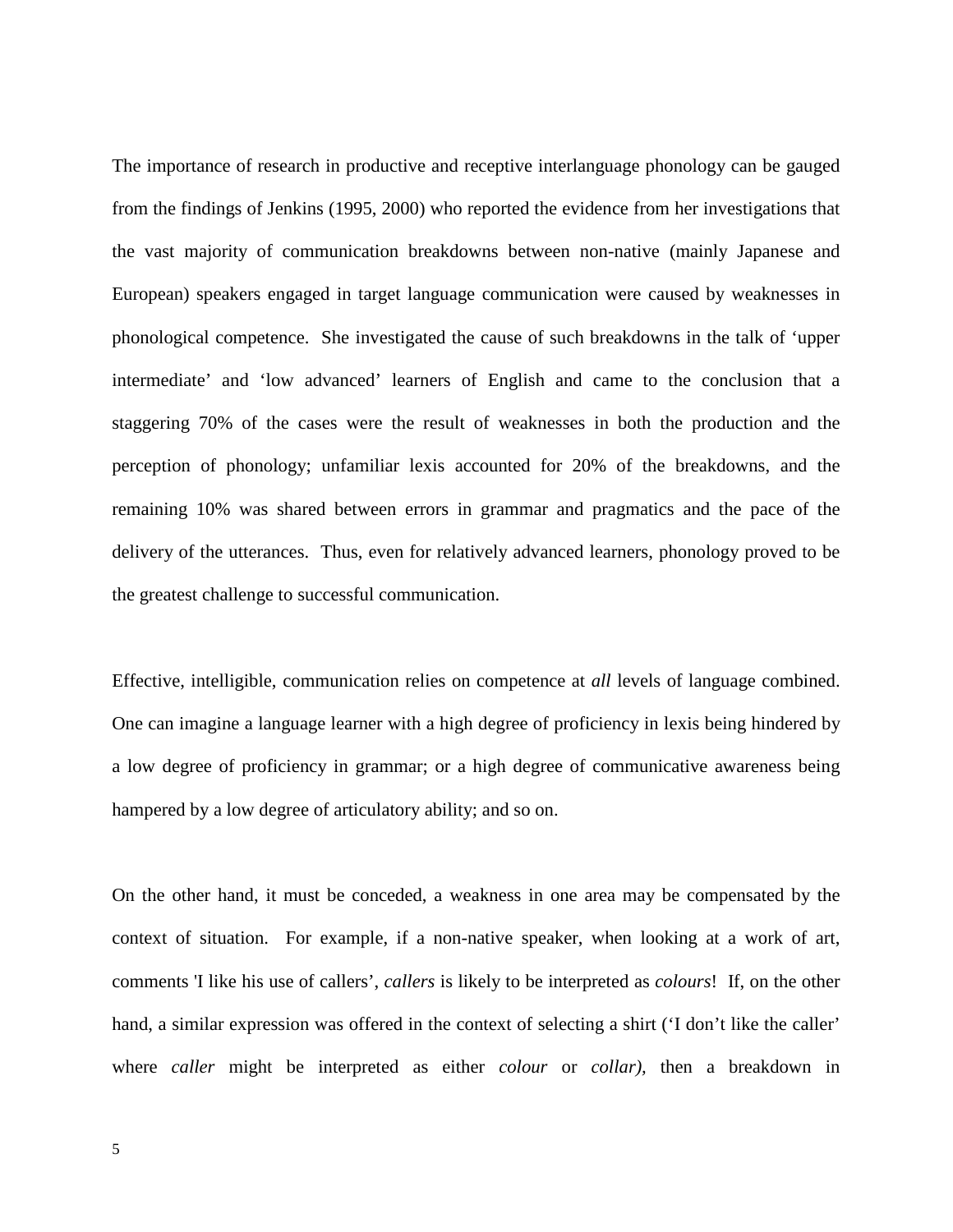The importance of research in productive and receptive interlanguage phonology can be gauged from the findings of Jenkins (1995, 2000) who reported the evidence from her investigations that the vast majority of communication breakdowns between non-native (mainly Japanese and European) speakers engaged in target language communication were caused by weaknesses in phonological competence. She investigated the cause of such breakdowns in the talk of 'upper intermediate' and 'low advanced' learners of English and came to the conclusion that a staggering 70% of the cases were the result of weaknesses in both the production and the perception of phonology; unfamiliar lexis accounted for 20% of the breakdowns, and the remaining 10% was shared between errors in grammar and pragmatics and the pace of the delivery of the utterances. Thus, even for relatively advanced learners, phonology proved to be the greatest challenge to successful communication.

Effective, intelligible, communication relies on competence at *all* levels of language combined. One can imagine a language learner with a high degree of proficiency in lexis being hindered by a low degree of proficiency in grammar; or a high degree of communicative awareness being hampered by a low degree of articulatory ability; and so on.

On the other hand, it must be conceded, a weakness in one area may be compensated by the context of situation. For example, if a non-native speaker, when looking at a work of art, comments 'I like his use of callers', *callers* is likely to be interpreted as *colours*! If, on the other hand, a similar expression was offered in the context of selecting a shirt ('I don't like the caller' where *caller* might be interpreted as either *colour* or *collar),* then a breakdown in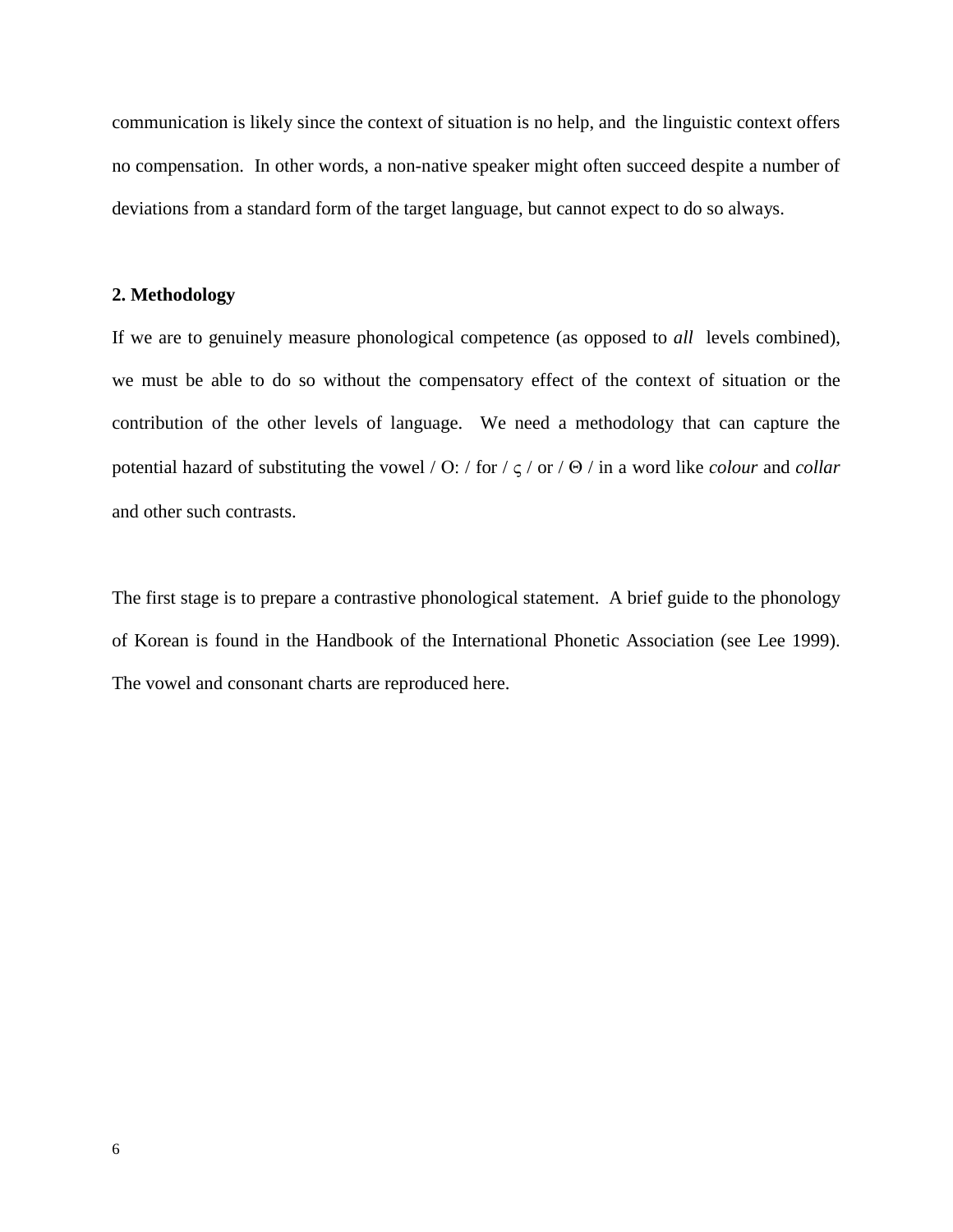communication is likely since the context of situation is no help, and the linguistic context offers no compensation. In other words, a non-native speaker might often succeed despite a number of deviations from a standard form of the target language, but cannot expect to do so always.

### **2. Methodology**

If we are to genuinely measure phonological competence (as opposed to *all* levels combined), we must be able to do so without the compensatory effect of the context of situation or the contribution of the other levels of language. We need a methodology that can capture the potential hazard of substituting the vowel / Ο: / for / ς / or / Θ / in a word like *colour* and *collar* and other such contrasts.

The first stage is to prepare a contrastive phonological statement. A brief guide to the phonology of Korean is found in the Handbook of the International Phonetic Association (see Lee 1999). The vowel and consonant charts are reproduced here.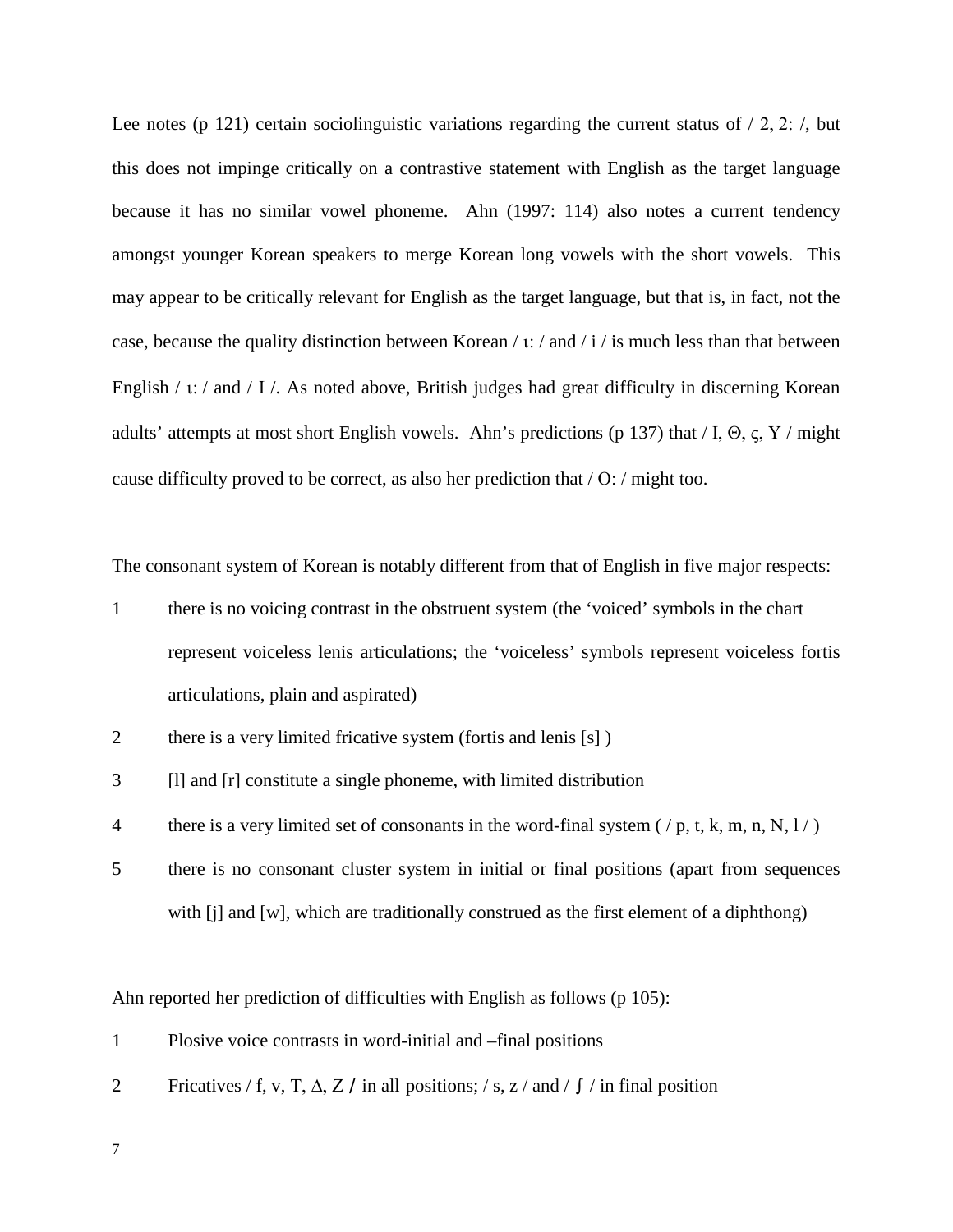Lee notes (p 121) certain sociolinguistic variations regarding the current status of  $/ 2$ , 2:  $/$ , but this does not impinge critically on a contrastive statement with English as the target language because it has no similar vowel phoneme. Ahn (1997: 114) also notes a current tendency amongst younger Korean speakers to merge Korean long vowels with the short vowels. This may appear to be critically relevant for English as the target language, but that is, in fact, not the case, because the quality distinction between Korean / ι: / and / i / is much less than that between English / ι: / and / Ι /. As noted above, British judges had great difficulty in discerning Korean adults' attempts at most short English vowels. Ahn's predictions (p 137) that  $/ I$ ,  $\Theta$ ,  $\varsigma$ , Y  $/$  might cause difficulty proved to be correct, as also her prediction that / Ο: / might too.

The consonant system of Korean is notably different from that of English in five major respects:

- 1 there is no voicing contrast in the obstruent system (the 'voiced' symbols in the chart represent voiceless lenis articulations; the 'voiceless' symbols represent voiceless fortis articulations, plain and aspirated)
- 2 there is a very limited fricative system (fortis and lenis [s])
- 3 [l] and [r] constitute a single phoneme, with limited distribution
- 4 there is a very limited set of consonants in the word-final system ( $/p$ , t, k, m, n, N,  $1/$ )
- 5 there is no consonant cluster system in initial or final positions (apart from sequences with [j] and [w], which are traditionally construed as the first element of a diphthong)

Ahn reported her prediction of difficulties with English as follows (p 105):

- 1 Plosive voice contrasts in word-initial and –final positions
- 2 Fricatives / f, v, T,  $\Delta$ , Z / in all positions; / s, z / and /  $\int$  / in final position

7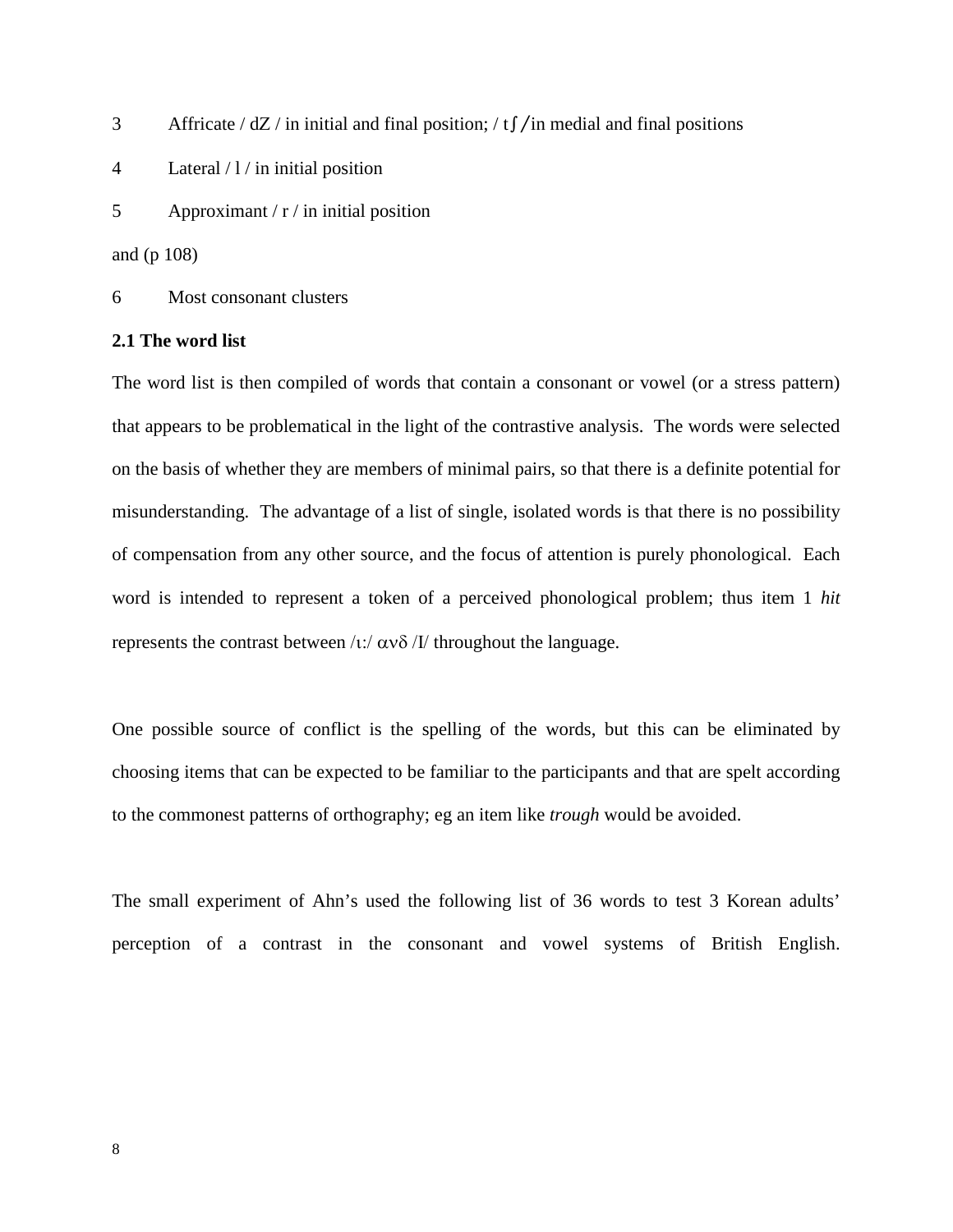- 3 Affricate / dΖ / in initial and final position; / t∫/in medial and final positions
- 4 Lateral / l / in initial position
- 5 Approximant  $/r /$  in initial position

and (p 108)

6 Most consonant clusters

#### **2.1 The word list**

The word list is then compiled of words that contain a consonant or vowel (or a stress pattern) that appears to be problematical in the light of the contrastive analysis. The words were selected on the basis of whether they are members of minimal pairs, so that there is a definite potential for misunderstanding. The advantage of a list of single, isolated words is that there is no possibility of compensation from any other source, and the focus of attention is purely phonological. Each word is intended to represent a token of a perceived phonological problem; thus item 1 *hit*  represents the contrast between /ι:/  $\alpha$ νδ /Ι/ throughout the language.

One possible source of conflict is the spelling of the words, but this can be eliminated by choosing items that can be expected to be familiar to the participants and that are spelt according to the commonest patterns of orthography; eg an item like *trough* would be avoided.

The small experiment of Ahn's used the following list of 36 words to test 3 Korean adults' perception of a contrast in the consonant and vowel systems of British English.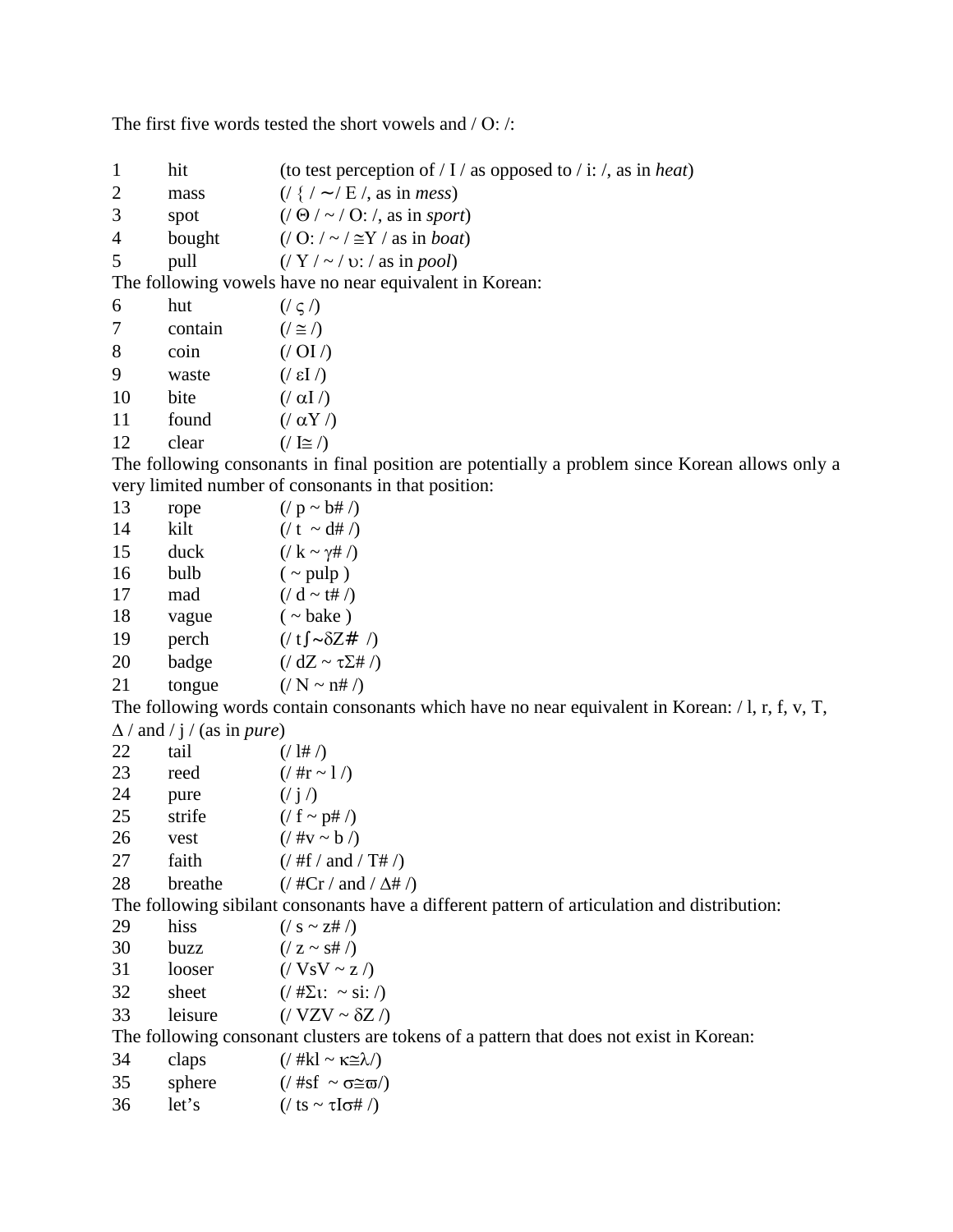The first five words tested the short vowels and / Ο: /:

| $\mathbf{1}$   | hit                                       | (to test perception of / I / as opposed to / i: /, as in heat)                                                                                     |
|----------------|-------------------------------------------|----------------------------------------------------------------------------------------------------------------------------------------------------|
| $\overline{2}$ | mass                                      | $\left(\frac{1}{2}$ / ~ / E /, as in <i>mess</i> )                                                                                                 |
| 3              | spot                                      | $($ / $\Theta$ / $\sim$ / O: /, as in sport)                                                                                                       |
| 4              |                                           | bought $((O: / \sim / \cong Y / \text{ as in } boat)$                                                                                              |
| 5              | pull                                      | $(\frac{\sqrt{Y}}{2}) \sim \frac{\sqrt{Y}}{2}$ (x) $\frac{\sqrt{Y}}{2}$ (x) $\frac{\sqrt{Y}}{2}$ (x) $\frac{\sqrt{Y}}{2}$ (x) $\frac{\sqrt{Y}}{2}$ |
|                |                                           | The following vowels have no near equivalent in Korean:                                                                                            |
| 6              | hut                                       | $((\varsigma)$                                                                                                                                     |
| 7              | contain                                   | $(\ell \geq \ell)$                                                                                                                                 |
| $8\,$          | coin                                      | $($ /OI $/$ )                                                                                                                                      |
| 9              | waste                                     | $(\sqrt{51})$                                                                                                                                      |
| 10             | bite                                      | $(\alpha I)$                                                                                                                                       |
| 11             | found                                     | $(\alpha Y)$                                                                                                                                       |
| 12             | clear                                     | $($ / $\leq$ / $)$                                                                                                                                 |
|                |                                           | The following consonants in final position are potentially a problem since Korean allows only a                                                    |
|                |                                           | very limited number of consonants in that position:                                                                                                |
| 13             | rope                                      | $($ / p ~ b# /)                                                                                                                                    |
| 14             | kilt                                      | $\frac{1}{\pi}$ (/ t ~ d# /)                                                                                                                       |
| 15             | duck                                      | $\left(\frac{\ }{K} \sim \gamma \# \right)$                                                                                                        |
| 16             | bulb                                      | $(\sim$ pulp)                                                                                                                                      |
| 17             | mad                                       | $($ / d ~ t# /)                                                                                                                                    |
| 18             | vague                                     | $(\sim$ bake)                                                                                                                                      |
| 19             | perch                                     | $\left(\frac{\delta}{\delta Z} + \frac{\delta}{\delta Z}\right)$                                                                                   |
| 20             | badge                                     | $\left($ / dZ ~ $\tau \Sigma \#$ /)                                                                                                                |
| 21             | tongue                                    | $\left(\frac{\ }{N} \sim \text{nH}/\right)$                                                                                                        |
|                |                                           | The following words contain consonants which have no near equivalent in Korean: $/1$ , r, f, v, T,                                                 |
|                | $\Delta$ / and / j / (as in <i>pure</i> ) |                                                                                                                                                    |
| 22             | tail                                      | (1# 7)                                                                                                                                             |
| 23             | reed                                      | $(4\pi \sim 1)$                                                                                                                                    |
| 24             | pure                                      | (j)                                                                                                                                                |
| 25             | strife                                    | $( / f \sim p# / )$                                                                                                                                |
| 26             | vest                                      | $\frac{1}{2}$ (/ #v ~ b /)                                                                                                                         |
| 27             | faith                                     | $\frac{1}{2}$ (/ #f / and / T# /)                                                                                                                  |
| 28             | breathe                                   | $\frac{7}{2}$ / #Cr / and / $\Delta$ # /)                                                                                                          |
|                |                                           | The following sibilant consonants have a different pattern of articulation and distribution:                                                       |
| 29             | hiss                                      | $\left(\frac{\ }{s} \sim z \# \right)$                                                                                                             |
| 30             | buzz                                      | $( / z \sim s# / )$                                                                                                                                |
| 31             | looser                                    | $($ / VsV ~ z $/$                                                                                                                                  |
| 32             | sheet                                     | $\left(\frac{\# \Sigma}{1:} \sim \text{si}: \Delta\right)$                                                                                         |
| 33             | leisure                                   | $($ / VZV ~ $\delta$ Z /)                                                                                                                          |
|                |                                           | The following consonant clusters are tokens of a pattern that does not exist in Korean:                                                            |
| 34             | claps                                     | $\left(\frac{\pi k}{k}\right) \sim \kappa \approx \lambda$                                                                                         |
| 35             | sphere                                    | (/ #sf $\sim \sigma \cong \varpi$ )                                                                                                                |
| 36             | let's                                     | $\frac{1}{\sqrt{5}}$ ts ~ $\tau$ I $\sigma$ # /)                                                                                                   |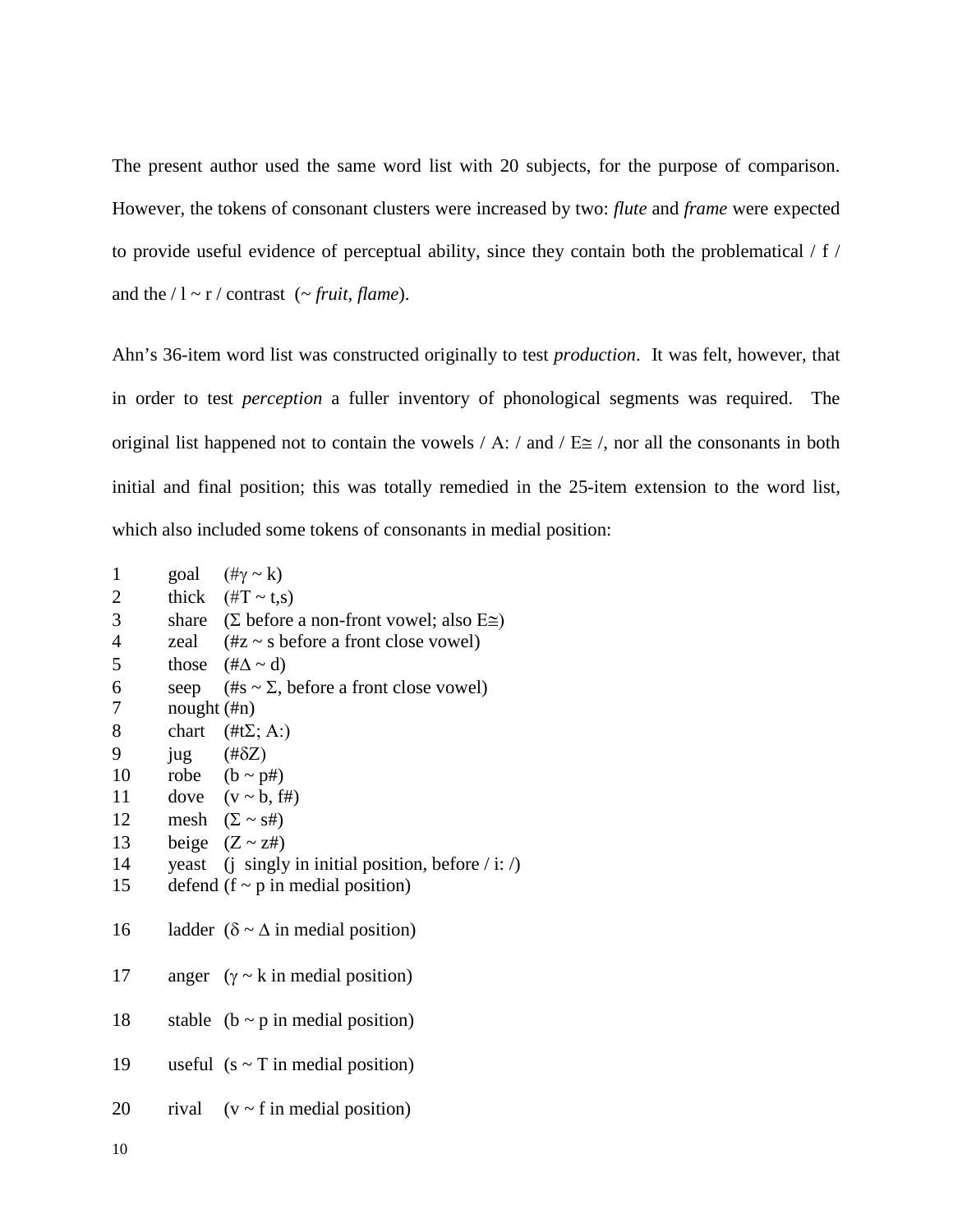The present author used the same word list with 20 subjects, for the purpose of comparison. However, the tokens of consonant clusters were increased by two: *flute* and *frame* were expected to provide useful evidence of perceptual ability, since they contain both the problematical / f / and the  $/1 \sim r /$  contrast ( $\sim$  *fruit, flame*).

Ahn's 36-item word list was constructed originally to test *production*. It was felt, however, that in order to test *perception* a fuller inventory of phonological segments was required. The original list happened not to contain the vowels / A: / and /  $E \cong$  /, nor all the consonants in both initial and final position; this was totally remedied in the 25-item extension to the word list, which also included some tokens of consonants in medial position:

| $\mathbf{1}$             |                       | goal $(\# \gamma \sim k)$                                                |
|--------------------------|-----------------------|--------------------------------------------------------------------------|
| $\mathbf{2}$             |                       | thick $(\text{\#T} \sim t,s)$                                            |
| $\mathfrak{Z}$           |                       | share $(\Sigma \text{ before a non-front vowel}; \text{ also } E \cong)$ |
| $\overline{\mathcal{L}}$ |                       | zeal $(\#z \sim s \text{ before a front close vowel})$                   |
| 5                        |                       | those $(\# \Delta \sim d)$                                               |
| 6                        |                       | seep $(\#s \sim \Sigma, \text{ before a front close vowel})$             |
| 7                        | nought (#n)           |                                                                          |
| 8                        |                       | chart $(\#t\Sigma; A)$                                                   |
| 9                        | $jug$ (# $\delta Z$ ) |                                                                          |
| 10                       |                       | robe $(b \sim p#)$                                                       |
| 11                       |                       | dove $(v \sim b, ff)$                                                    |
| 12                       |                       | mesh $(\Sigma \sim s\#)$                                                 |
|                          |                       | 13 beige $(Z \sim z\#)$                                                  |
|                          |                       | 14 yeast (j singly in initial position, before $\ell$ i: $\ell$ )        |
| 15                       |                       | defend $(f \sim p)$ in medial position)                                  |
|                          |                       |                                                                          |
| 16                       |                       | ladder ( $\delta \sim \Delta$ in medial position)                        |
|                          |                       |                                                                          |
| 17                       |                       | anger $(y \sim k \text{ in medial position})$                            |
|                          |                       |                                                                          |
| 18                       |                       | stable ( $b \sim p$ in medial position)                                  |
|                          |                       |                                                                          |
| 19                       |                       | useful $(s \sim T \text{ in medial position})$                           |
|                          |                       |                                                                          |
| 20                       |                       | rival $(v \sim f$ in medial position)                                    |
|                          |                       |                                                                          |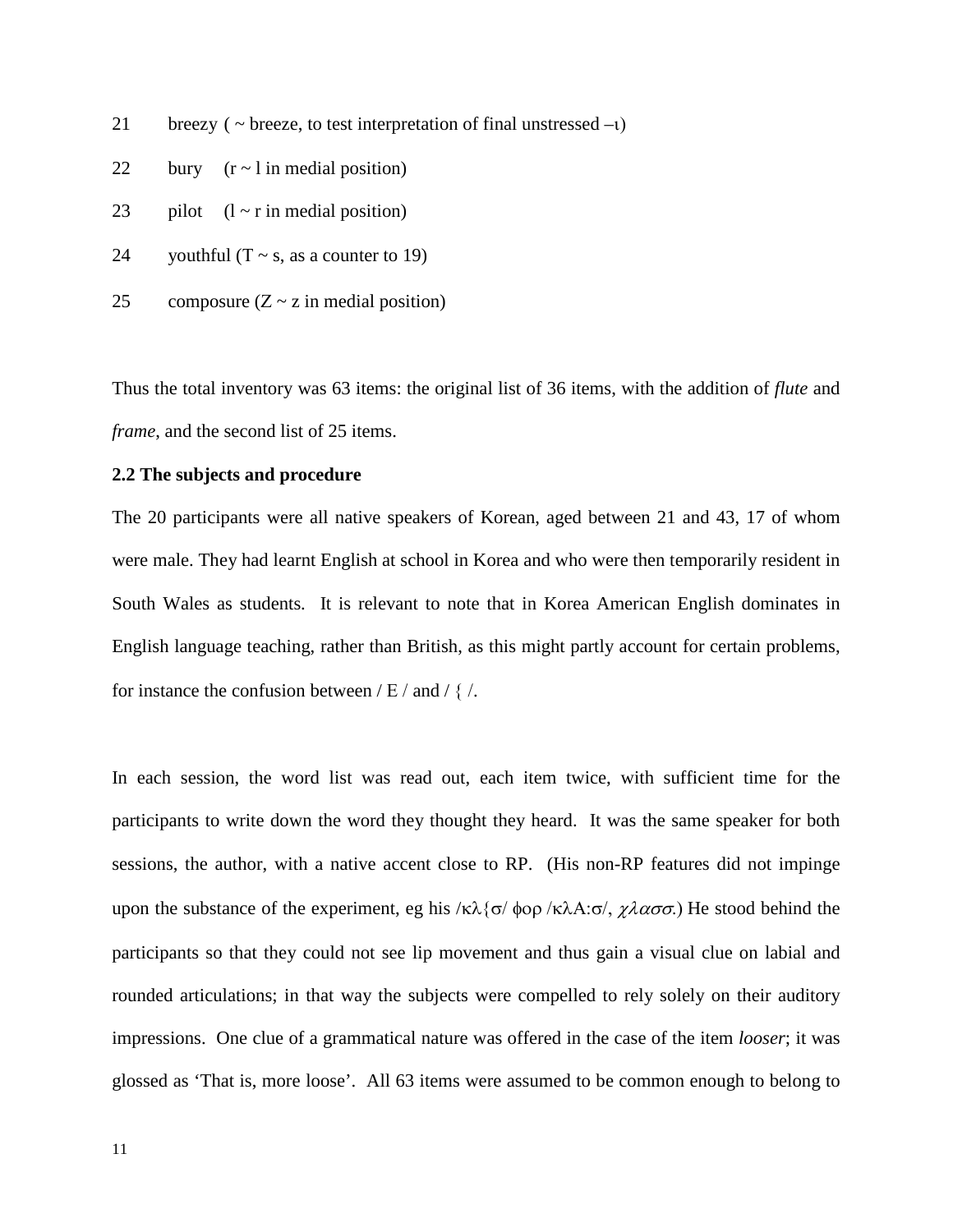21 breezy ( $\sim$  breeze, to test interpretation of final unstressed –ι)

- 22 bury  $(r \sim 1 \text{ in medial position})$
- 23 pilot  $(l \sim r \text{ in medial position})$
- 24 youthful  $(T \sim s$ , as a counter to 19)
- 25 composure  $(Z \sim z \text{ in medial position})$

Thus the total inventory was 63 items: the original list of 36 items, with the addition of *flute* and *frame*, and the second list of 25 items.

## **2.2 The subjects and procedure**

The 20 participants were all native speakers of Korean, aged between 21 and 43, 17 of whom were male. They had learnt English at school in Korea and who were then temporarily resident in South Wales as students. It is relevant to note that in Korea American English dominates in English language teaching, rather than British, as this might partly account for certain problems, for instance the confusion between  $/E /$  and  $/ \frac{2}{3}$ .

In each session, the word list was read out, each item twice, with sufficient time for the participants to write down the word they thought they heard. It was the same speaker for both sessions, the author, with a native accent close to RP. (His non-RP features did not impinge upon the substance of the experiment, eg his /κλ{σ/ φορ /κλΑ:σ/,  $\chi \lambda \alpha \sigma \sigma$ .) He stood behind the participants so that they could not see lip movement and thus gain a visual clue on labial and rounded articulations; in that way the subjects were compelled to rely solely on their auditory impressions. One clue of a grammatical nature was offered in the case of the item *looser*; it was glossed as 'That is, more loose'. All 63 items were assumed to be common enough to belong to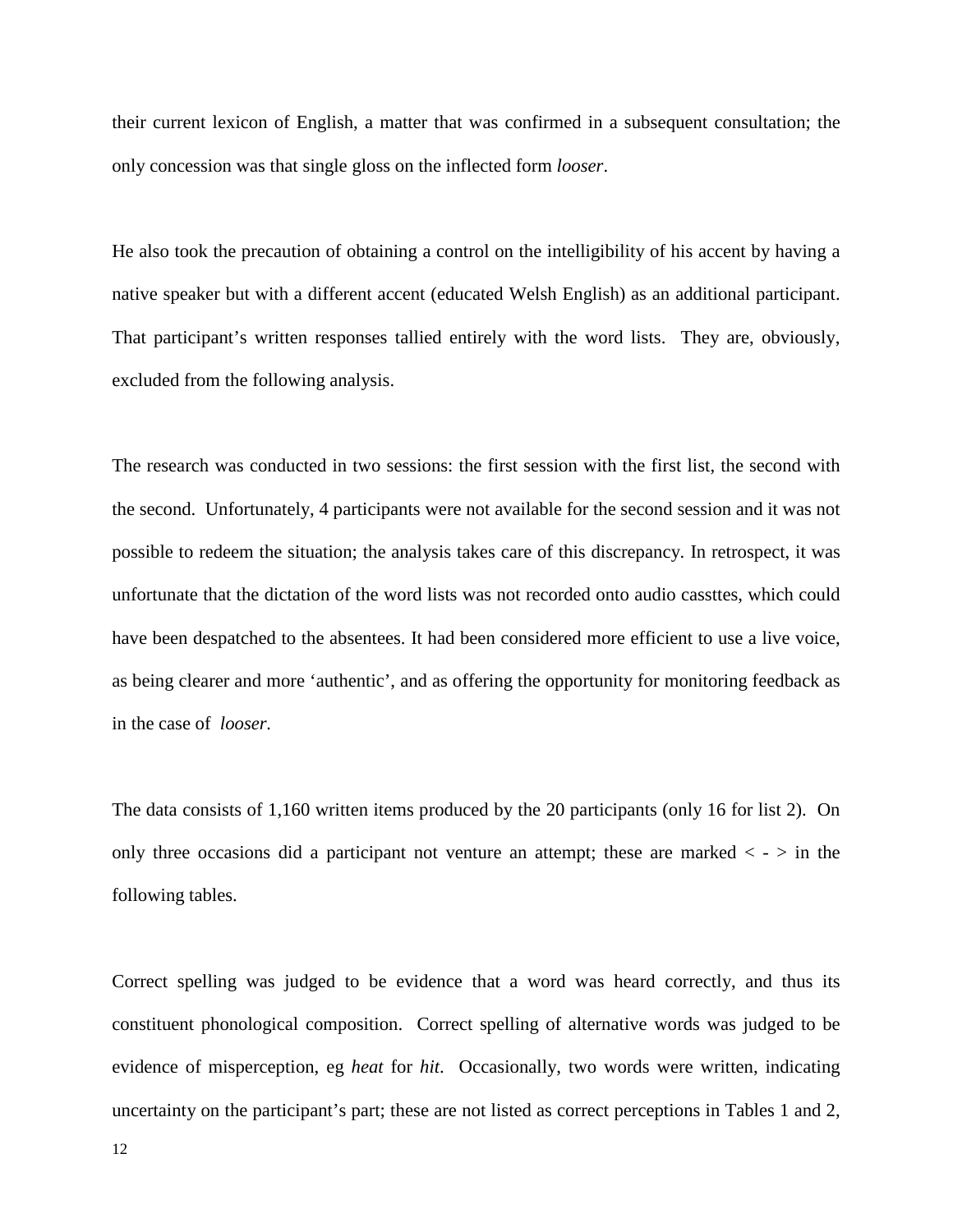their current lexicon of English, a matter that was confirmed in a subsequent consultation; the only concession was that single gloss on the inflected form *looser*.

He also took the precaution of obtaining a control on the intelligibility of his accent by having a native speaker but with a different accent (educated Welsh English) as an additional participant. That participant's written responses tallied entirely with the word lists. They are, obviously, excluded from the following analysis.

The research was conducted in two sessions: the first session with the first list, the second with the second. Unfortunately, 4 participants were not available for the second session and it was not possible to redeem the situation; the analysis takes care of this discrepancy. In retrospect, it was unfortunate that the dictation of the word lists was not recorded onto audio cassttes, which could have been despatched to the absentees. It had been considered more efficient to use a live voice, as being clearer and more 'authentic', and as offering the opportunity for monitoring feedback as in the case of *looser.*

The data consists of 1,160 written items produced by the 20 participants (only 16 for list 2). On only three occasions did a participant not venture an attempt; these are marked  $\langle - \rangle$  in the following tables.

Correct spelling was judged to be evidence that a word was heard correctly, and thus its constituent phonological composition. Correct spelling of alternative words was judged to be evidence of misperception, eg *heat* for *hit*. Occasionally, two words were written, indicating uncertainty on the participant's part; these are not listed as correct perceptions in Tables 1 and 2,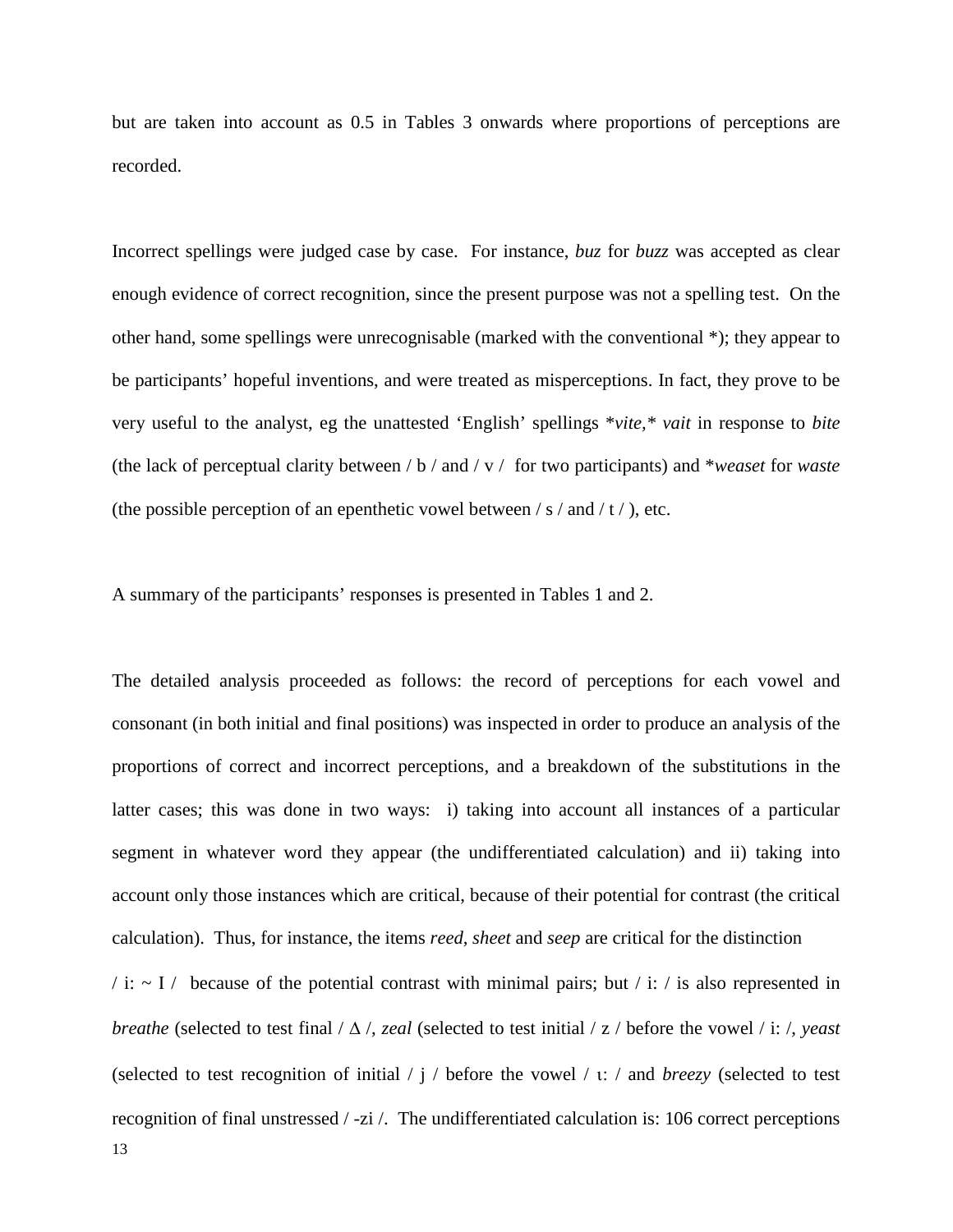but are taken into account as 0.5 in Tables 3 onwards where proportions of perceptions are recorded.

Incorrect spellings were judged case by case. For instance, *buz* for *buzz* was accepted as clear enough evidence of correct recognition, since the present purpose was not a spelling test. On the other hand, some spellings were unrecognisable (marked with the conventional \*); they appear to be participants' hopeful inventions, and were treated as misperceptions. In fact, they prove to be very useful to the analyst, eg the unattested 'English' spellings \**vite,\* vait* in response to *bite* (the lack of perceptual clarity between / b / and / v / for two participants) and \**weaset* for *waste* (the possible perception of an epenthetic vowel between  $/s /$  and  $/t /$ ), etc.

A summary of the participants' responses is presented in Tables 1 and 2.

The detailed analysis proceeded as follows: the record of perceptions for each vowel and consonant (in both initial and final positions) was inspected in order to produce an analysis of the proportions of correct and incorrect perceptions, and a breakdown of the substitutions in the latter cases; this was done in two ways: i) taking into account all instances of a particular segment in whatever word they appear (the undifferentiated calculation) and ii) taking into account only those instances which are critical, because of their potential for contrast (the critical calculation). Thus, for instance, the items *reed, sheet* and *seep* are critical for the distinction

13  $/$  i:  $\sim$  I  $/$  because of the potential contrast with minimal pairs; but  $/$  i:  $/$  is also represented in *breathe* (selected to test final / ∆ /, *zeal* (selected to test initial / z / before the vowel / i: /, *yeast* (selected to test recognition of initial / j / before the vowel / ι: / and *breezy* (selected to test recognition of final unstressed / -zi /. The undifferentiated calculation is: 106 correct perceptions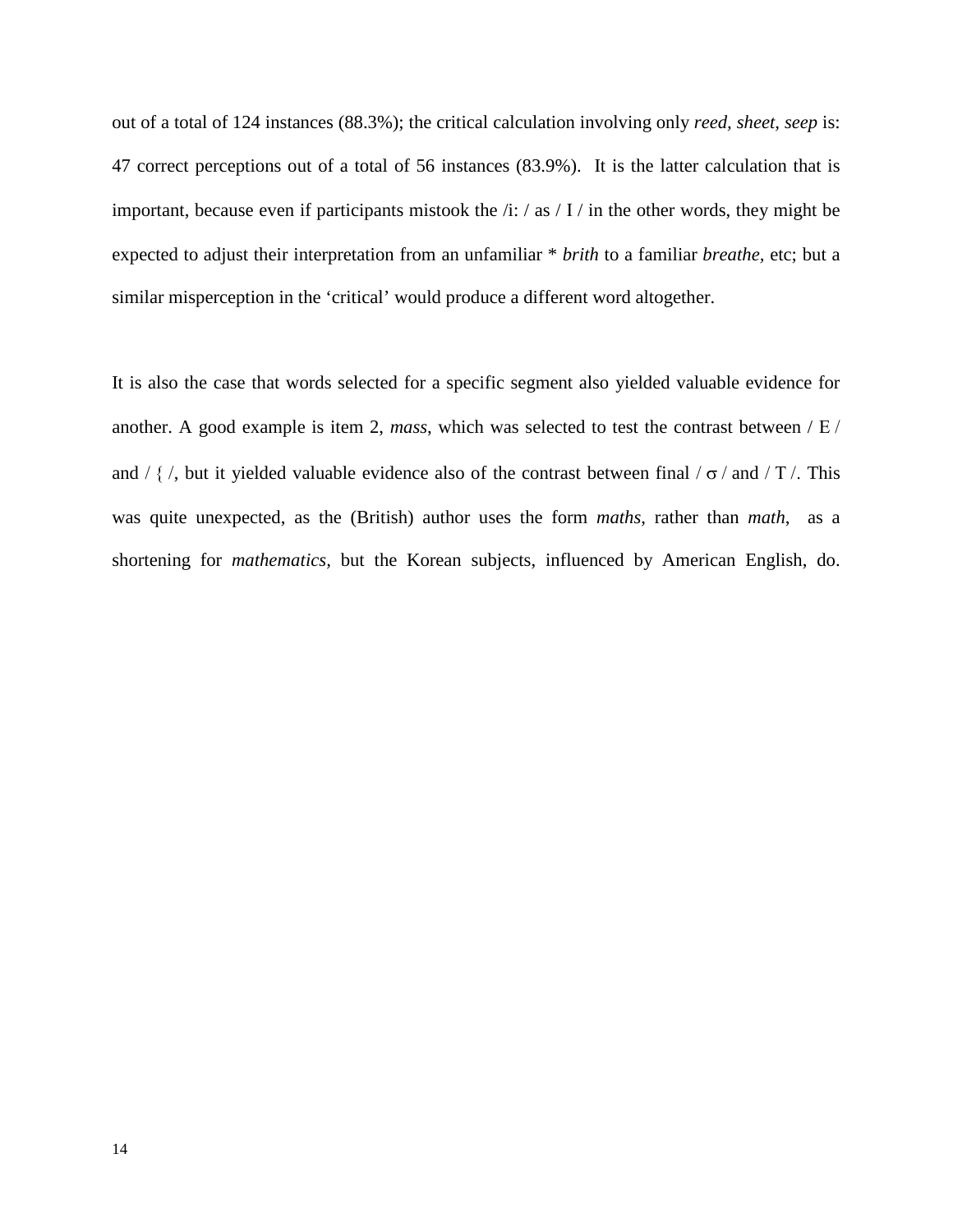out of a total of 124 instances (88.3%); the critical calculation involving only *reed, sheet, seep* is: 47 correct perceptions out of a total of 56 instances (83.9%). It is the latter calculation that is important, because even if participants mistook the /i: / as / Ι / in the other words, they might be expected to adjust their interpretation from an unfamiliar \* *brith* to a familiar *breathe,* etc; but a similar misperception in the 'critical' would produce a different word altogether.

It is also the case that words selected for a specific segment also yielded valuable evidence for another. A good example is item 2, *mass*, which was selected to test the contrast between / Ε / and /  $\{$  /, but it yielded valuable evidence also of the contrast between final /  $\sigma$  / and / T /. This was quite unexpected, as the (British) author uses the form *maths*, rather than *math*, as a shortening for *mathematics,* but the Korean subjects, influenced by American English, do.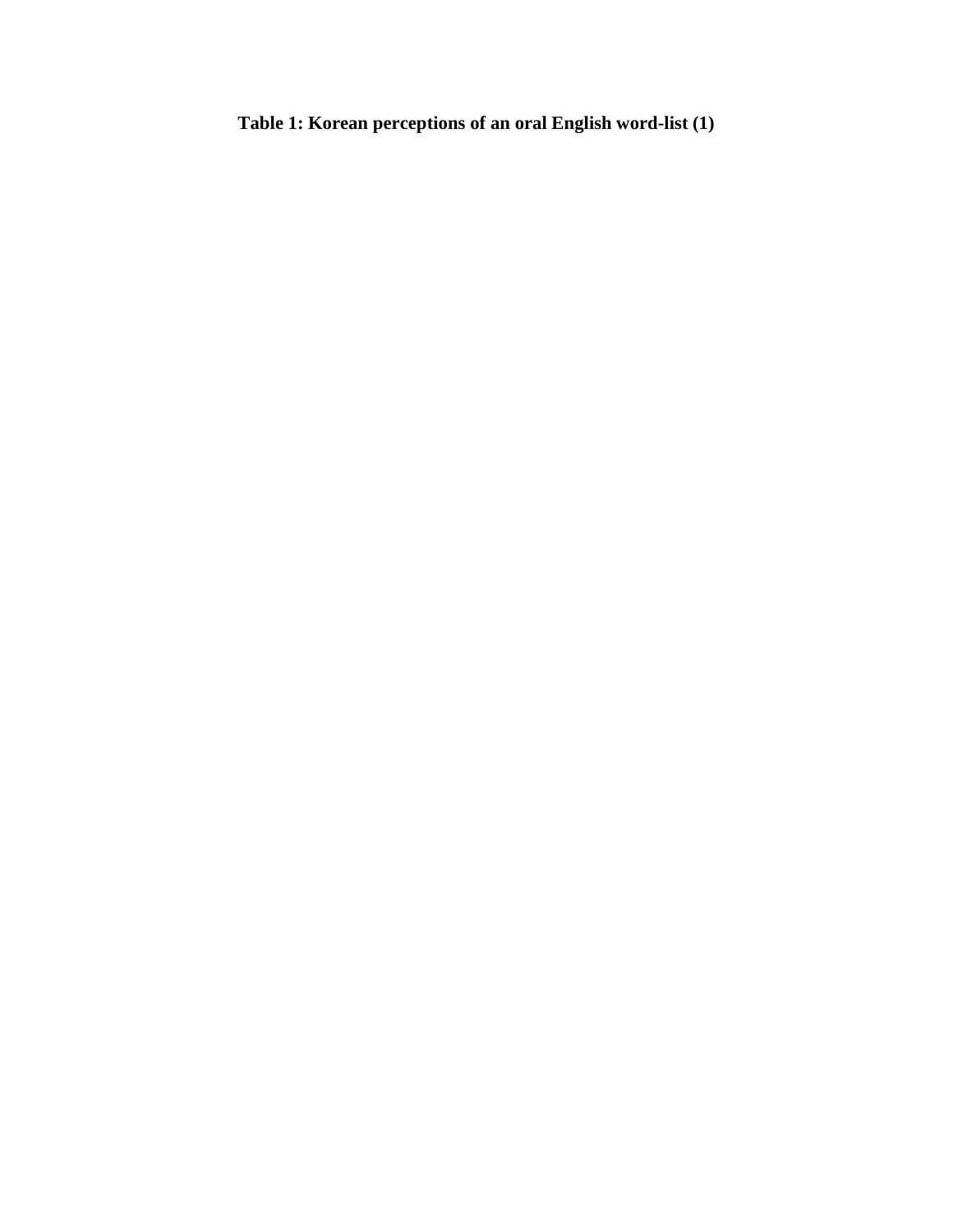**Table 1: Korean perceptions of an oral English word-list (1)**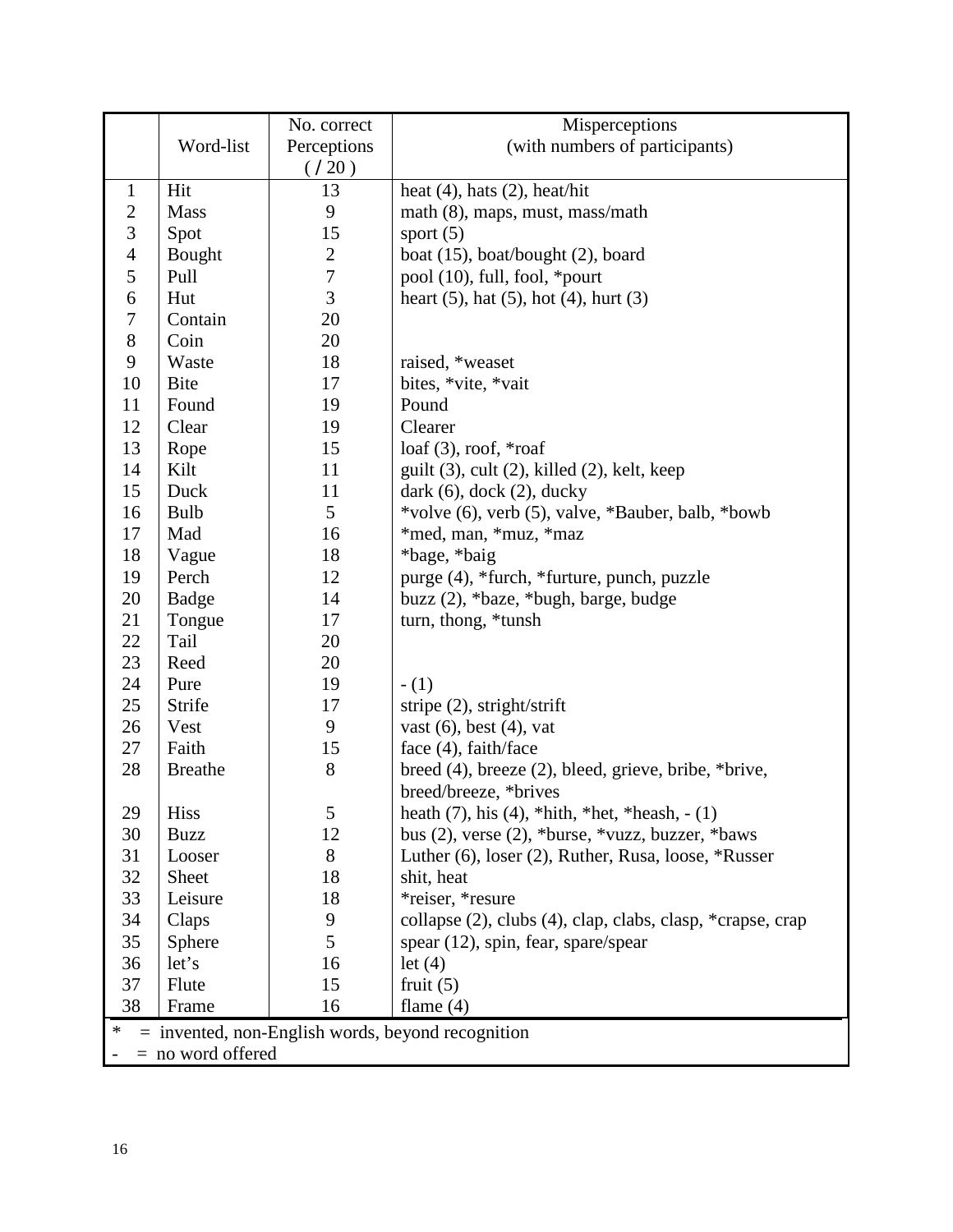|                                                          |                     | No. correct    | Misperceptions                                             |  |
|----------------------------------------------------------|---------------------|----------------|------------------------------------------------------------|--|
|                                                          | Word-list           | Perceptions    | (with numbers of participants)                             |  |
|                                                          |                     | (720)          |                                                            |  |
| $\mathbf{1}$                                             | Hit                 | 13             | heat $(4)$ , hats $(2)$ , heat/hit                         |  |
| $\overline{c}$                                           | <b>Mass</b>         | 9              | math (8), maps, must, mass/math                            |  |
| 3                                                        | Spot                | 15             | sport $(5)$                                                |  |
| $\overline{4}$                                           | Bought              | $\overline{c}$ | boat $(15)$ , boat/bought $(2)$ , board                    |  |
| 5                                                        | Pull                | $\overline{7}$ | pool (10), full, fool, *pourt                              |  |
| 6                                                        | Hut                 | 3              | heart $(5)$ , hat $(5)$ , hot $(4)$ , hurt $(3)$           |  |
| 7                                                        | Contain             | 20             |                                                            |  |
| $8\,$                                                    | Coin                | 20             |                                                            |  |
| 9                                                        | Waste               | 18             | raised, *weaset                                            |  |
| 10                                                       | <b>Bite</b>         | 17             | bites, *vite, *vait                                        |  |
| 11                                                       | Found               | 19             | Pound                                                      |  |
| 12                                                       | Clear               | 19             | Clearer                                                    |  |
| 13                                                       | Rope                | 15             | $\alpha$ (3), roof, *roaf                                  |  |
| 14                                                       | Kilt                | 11             | guilt $(3)$ , cult $(2)$ , killed $(2)$ , kelt, keep       |  |
| 15                                                       | Duck                | 11             | dark $(6)$ , dock $(2)$ , ducky                            |  |
| 16                                                       | Bulb                | 5              | *volve (6), verb (5), valve, *Bauber, balb, *bowb          |  |
| 17                                                       | Mad                 | 16             | *med, man, *muz, *maz                                      |  |
| 18                                                       | Vague               | 18             | *bage, *baig                                               |  |
| 19                                                       | Perch               | 12             | purge (4), *furch, *furture, punch, puzzle                 |  |
| 20                                                       | Badge               | 14             | buzz (2), *baze, *bugh, barge, budge                       |  |
| 21                                                       | Tongue              | 17             | turn, thong, *tunsh                                        |  |
| 22                                                       | Tail                | 20             |                                                            |  |
| 23                                                       | Reed                | 20             |                                                            |  |
| 24                                                       | Pure                | 19             | $- (1)$                                                    |  |
| 25                                                       | Strife              | 17             | stripe $(2)$ , stright/strift                              |  |
| 26                                                       | Vest                | 9              | vast $(6)$ , best $(4)$ , vat                              |  |
| 27                                                       | Faith               | 15             | face (4), faith/face                                       |  |
| 28                                                       | <b>Breathe</b>      | 8              | breed $(4)$ , breeze $(2)$ , bleed, grieve, bribe, *brive, |  |
|                                                          |                     |                | breed/breeze, *brives                                      |  |
| 29                                                       | Hiss                | 5              | heath $(7)$ , his $(4)$ , *hith, *het, *heash, - $(1)$     |  |
| 30                                                       | <b>Buzz</b>         | 12             | bus $(2)$ , verse $(2)$ , *burse, *vuzz, buzzer, *baws     |  |
| 31                                                       | Looser              | 8              | Luther (6), loser (2), Ruther, Rusa, loose, *Russer        |  |
| 32                                                       | Sheet               | 18             | shit, heat                                                 |  |
| 33                                                       | Leisure             | 18             | *reiser, *resure                                           |  |
| 34                                                       | Claps               | 9              | collapse (2), clubs (4), clap, clabs, clasp, *crapse, crap |  |
| 35                                                       | Sphere              | 5              | spear (12), spin, fear, spare/spear                        |  |
| 36                                                       | let's               | 16             | let $(4)$                                                  |  |
| 37                                                       | Flute               | 15             | fruit $(5)$                                                |  |
| 38                                                       | Frame               | 16             | flame $(4)$                                                |  |
| ∗<br>$=$ invented, non-English words, beyond recognition |                     |                |                                                            |  |
|                                                          | $=$ no word offered |                |                                                            |  |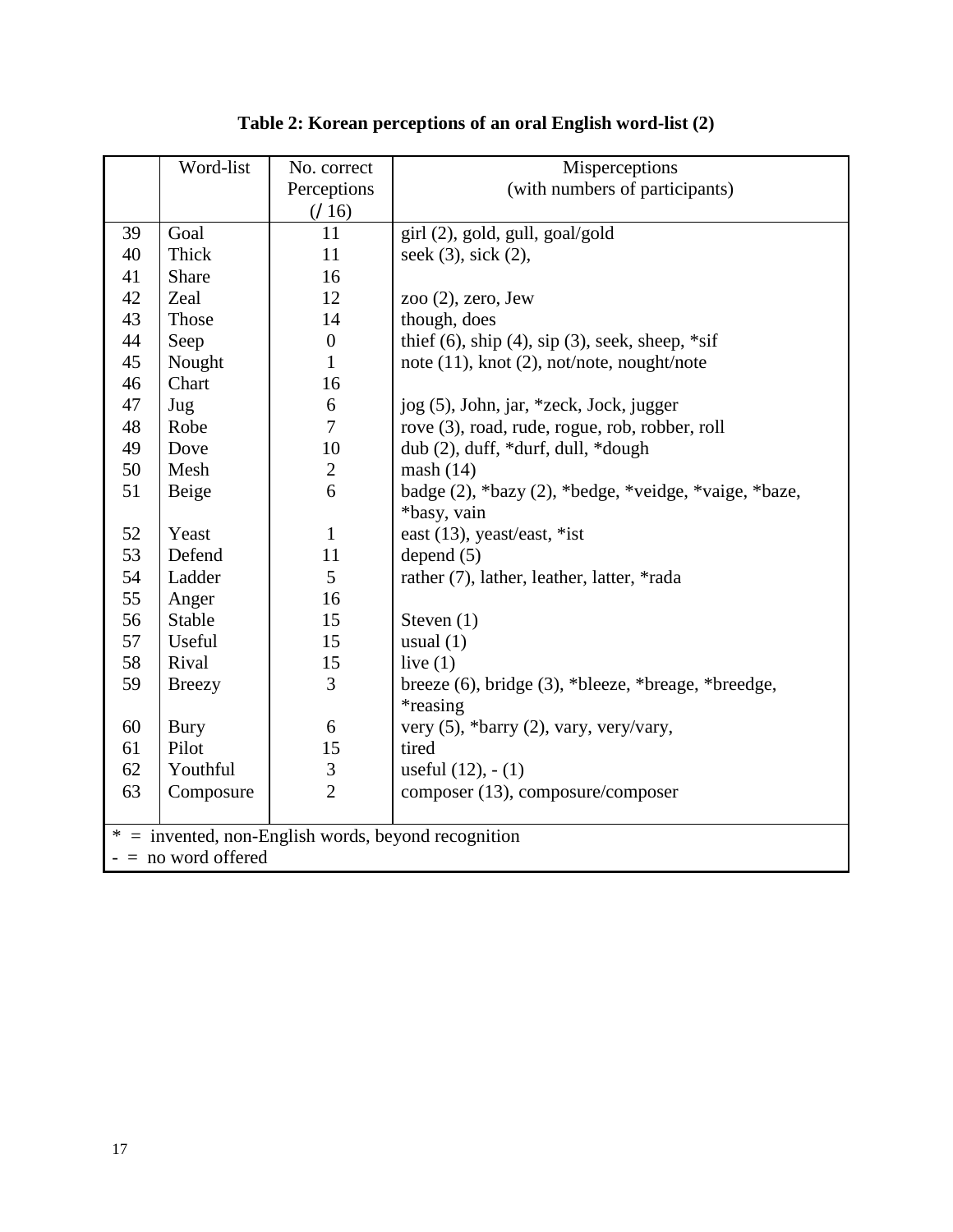|        | Word-list                                           | No. correct      | Misperceptions                                           |  |
|--------|-----------------------------------------------------|------------------|----------------------------------------------------------|--|
|        |                                                     | Perceptions      | (with numbers of participants)                           |  |
|        |                                                     | (716)            |                                                          |  |
| 39     | Goal                                                | 11               | girl (2), gold, gull, goal/gold                          |  |
| 40     | Thick                                               | 11               | seek (3), sick (2),                                      |  |
| 41     | Share                                               | 16               |                                                          |  |
| 42     | Zeal                                                | 12               | zoo $(2)$ , zero, Jew                                    |  |
| 43     | Those                                               | 14               | though, does                                             |  |
| 44     | Seep                                                | $\boldsymbol{0}$ | thief $(6)$ , ship $(4)$ , sip $(3)$ , seek, sheep, *sif |  |
| 45     | Nought                                              | $\mathbf{1}$     | note $(11)$ , knot $(2)$ , not/note, nought/note         |  |
| 46     | Chart                                               | 16               |                                                          |  |
| 47     | Jug                                                 | 6                | jog (5), John, jar, *zeck, Jock, jugger                  |  |
| 48     | Robe                                                | $\overline{7}$   | rove (3), road, rude, rogue, rob, robber, roll           |  |
| 49     | Dove                                                | 10               | dub (2), duff, *durf, dull, *dough                       |  |
| 50     | Mesh                                                | $\overline{2}$   | mash(14)                                                 |  |
| 51     | Beige                                               | 6                | badge (2), *bazy (2), *bedge, *veidge, *vaige, *baze,    |  |
|        |                                                     |                  | *basy, vain                                              |  |
| 52     | Yeast                                               | $\mathbf{1}$     | east (13), yeast/east, *ist                              |  |
| 53     | Defend                                              | 11               | depend $(5)$                                             |  |
| 54     | Ladder                                              | 5                | rather (7), lather, leather, latter, *rada               |  |
| 55     | Anger                                               | 16               |                                                          |  |
| 56     | Stable                                              | 15               | Steven $(1)$                                             |  |
| 57     | Useful                                              | 15               | usual $(1)$                                              |  |
| 58     | Rival                                               | 15               | live $(1)$                                               |  |
| 59     | <b>Breezy</b>                                       | $\overline{3}$   | breeze (6), bridge (3), *bleeze, *breage, *breedge,      |  |
|        |                                                     |                  | <i>*reasing</i>                                          |  |
| 60     | <b>Bury</b>                                         | 6                | very $(5)$ , *barry $(2)$ , vary, very/vary,             |  |
| 61     | Pilot                                               | 15               | tired                                                    |  |
| 62     | Youthful                                            | $\mathfrak{Z}$   | useful $(12)$ , $- (1)$                                  |  |
| 63     | Composure                                           | $\overline{2}$   | composer (13), composure/composer                        |  |
|        |                                                     |                  |                                                          |  |
| $\ast$ | $=$ invented, non-English words, beyond recognition |                  |                                                          |  |
|        | $-$ = no word offered                               |                  |                                                          |  |

# **Table 2: Korean perceptions of an oral English word-list (2)**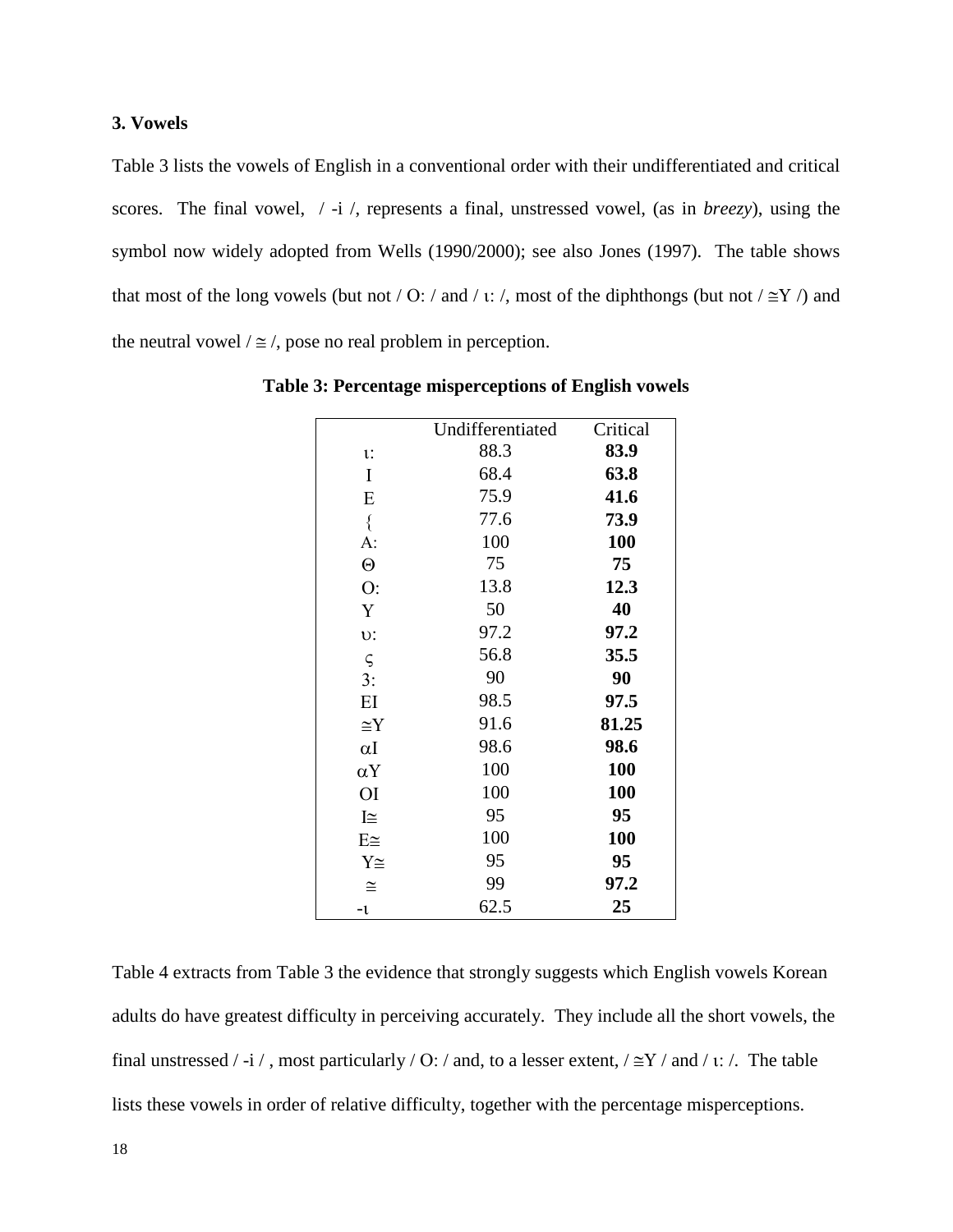# **3. Vowels**

Table 3 lists the vowels of English in a conventional order with their undifferentiated and critical scores. The final vowel, / -i /, represents a final, unstressed vowel, (as in *breezy*), using the symbol now widely adopted from Wells (1990/2000); see also Jones (1997). The table shows that most of the long vowels (but not / O: / and / ι: /, most of the diphthongs (but not /  $\leq$ Y /) and the neutral vowel  $/ \approx /$ , pose no real problem in perception.

|             | Undifferentiated | Critical |
|-------------|------------------|----------|
| $\iota$ :   | 88.3             | 83.9     |
| I           | 68.4             | 63.8     |
| E           | 75.9             | 41.6     |
| $\{$        | 77.6             | 73.9     |
| A:          | 100              | 100      |
| $\Theta$    | 75               | 75       |
| O:          | 13.8             | 12.3     |
| Y           | 50               | 40       |
| υ:          | 97.2             | 97.2     |
| $\varsigma$ | 56.8             | 35.5     |
| 3:          | 90               | 90       |
| EI          | 98.5             | 97.5     |
| $\cong$ Y   | 91.6             | 81.25    |
| $\alpha I$  | 98.6             | 98.6     |
| αY          | 100              | 100      |
| <b>OI</b>   | 100              | 100      |
| Ι≅          | 95               | 95       |
| $E \cong$   | 100              | 100      |
| Y≅          | 95               | 95       |
| $\cong$     | 99               | 97.2     |
| -1          | 62.5             | 25       |

**Table 3: Percentage misperceptions of English vowels**

Table 4 extracts from Table 3 the evidence that strongly suggests which English vowels Korean adults do have greatest difficulty in perceiving accurately. They include all the short vowels, the final unstressed /-i /, most particularly / O: / and, to a lesser extent,  $/\cong$ Y / and / ι: /. The table lists these vowels in order of relative difficulty, together with the percentage misperceptions.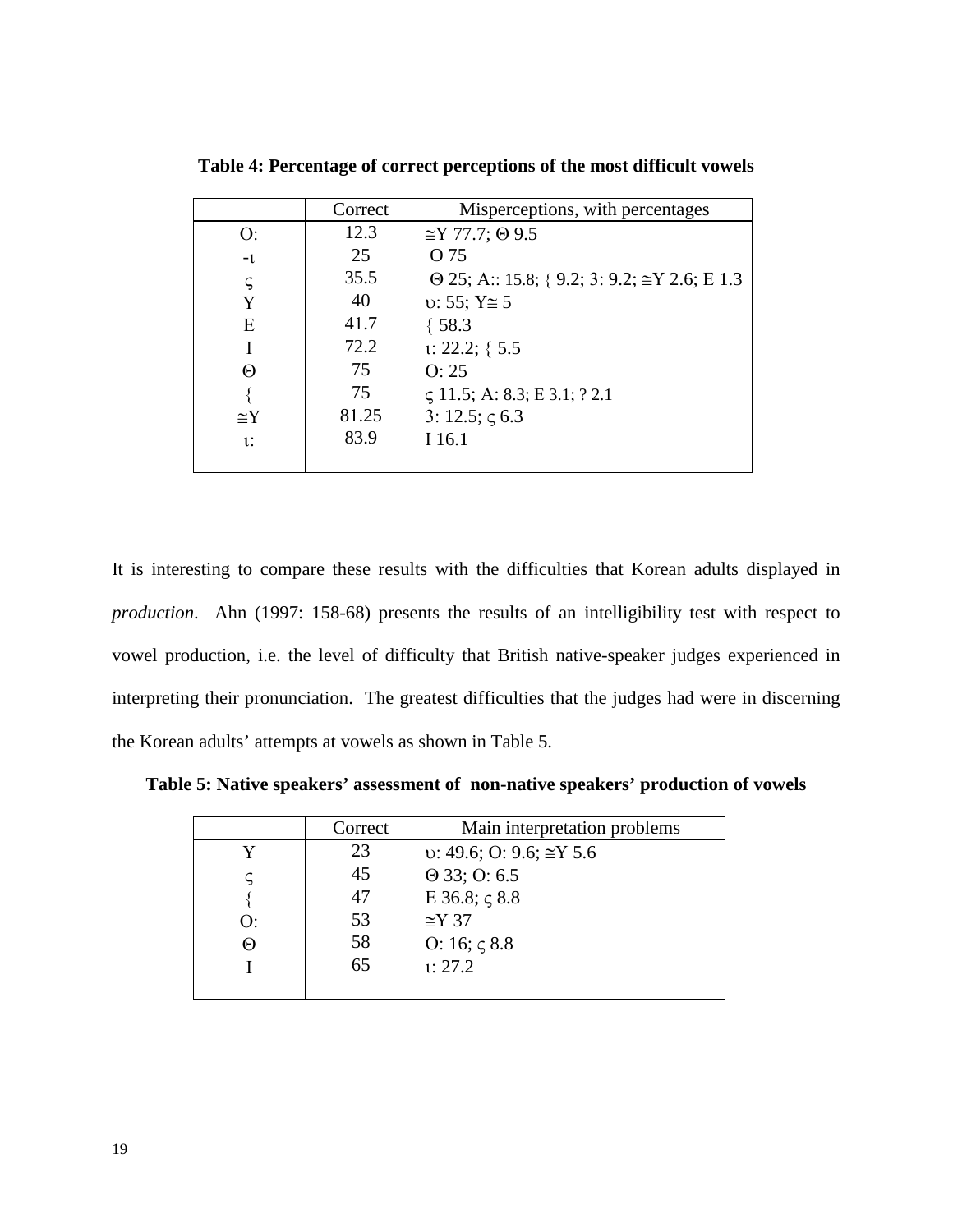|            | Correct | Misperceptions, with percentages                           |
|------------|---------|------------------------------------------------------------|
| O:         | 12.3    | $\cong$ Y 77.7; $\Theta$ 9.5                               |
| $-1$       | 25      | O 75                                                       |
| ς          | 35.5    | $\Theta$ 25; A:: 15.8; { 9.2; 3: 9.2; $\cong$ Y 2.6; E 1.3 |
| Y          | 40      | $v: 55; Y \approx 5$                                       |
| E          | 41.7    | ${58.3}$                                                   |
|            | 72.2    | $1: 22.2; \{ 5.5$                                          |
| Θ          | 75      | O: 25                                                      |
|            | 75      | $\zeta$ 11.5; A: 8.3; E 3.1; ? 2.1                         |
| $\cong$ Y  | 81.25   | 3: 12.5; $\zeta$ 6.3                                       |
| <i>v</i> : | 83.9    | I 16.1                                                     |
|            |         |                                                            |

**Table 4: Percentage of correct perceptions of the most difficult vowels**

It is interesting to compare these results with the difficulties that Korean adults displayed in *production*. Ahn (1997: 158-68) presents the results of an intelligibility test with respect to vowel production, i.e. the level of difficulty that British native-speaker judges experienced in interpreting their pronunciation. The greatest difficulties that the judges had were in discerning the Korean adults' attempts at vowels as shown in Table 5.

**Table 5: Native speakers' assessment of non-native speakers' production of vowels**

|    | Correct | Main interpretation problems             |
|----|---------|------------------------------------------|
| v  | 23      | $\upsilon$ : 49.6; O: 9.6; $\cong$ Y 5.6 |
|    | 45      | $\Theta$ 33; O: 6.5                      |
|    | 47      | E 36.8; $\zeta$ 8.8                      |
| () | 53      | $\cong$ Y 37                             |
| Θ  | 58      | O: 16; $\zeta$ 8.8                       |
|    | 65      | 1: 27.2                                  |
|    |         |                                          |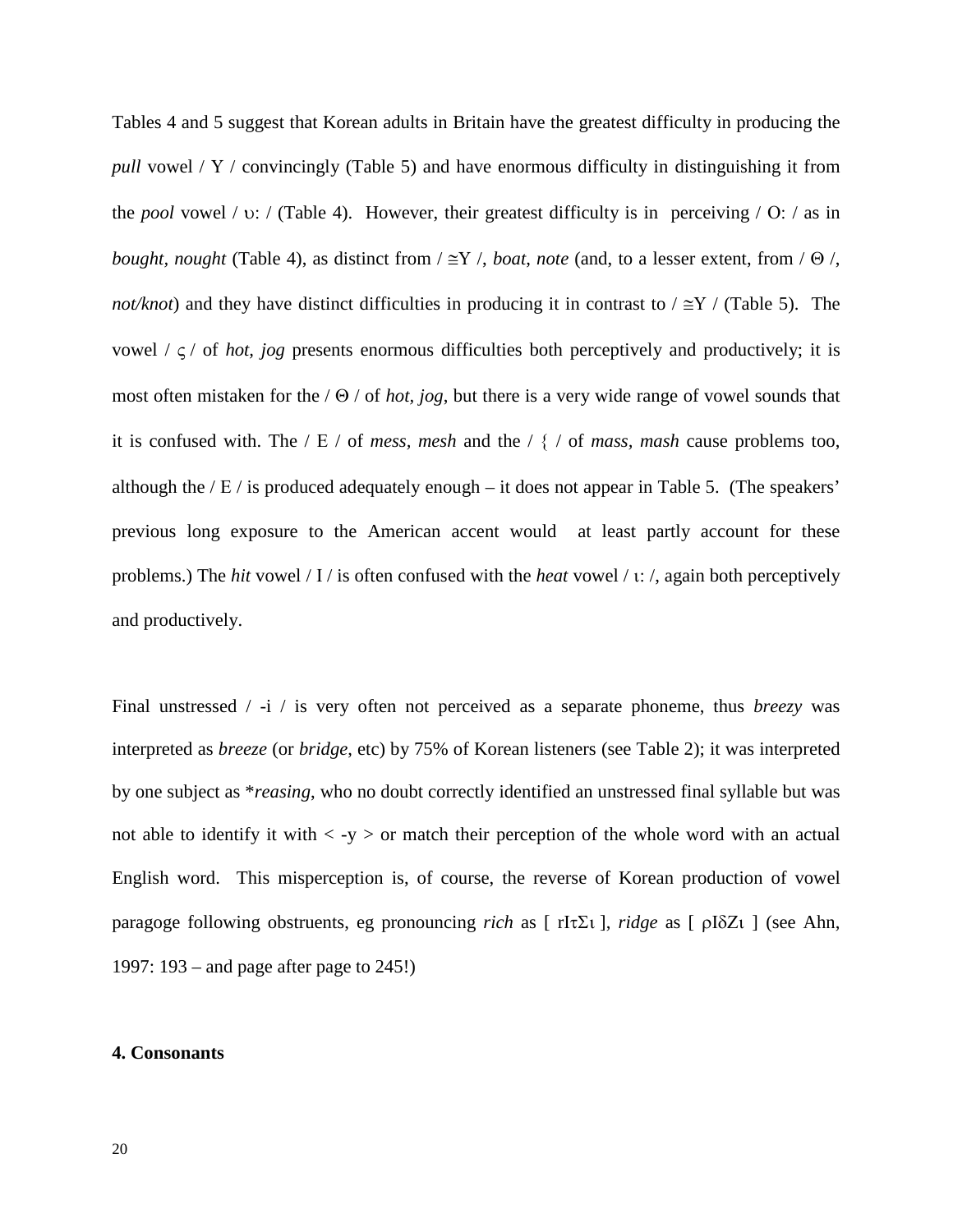Tables 4 and 5 suggest that Korean adults in Britain have the greatest difficulty in producing the *pull* vowel / Υ / convincingly (Table 5) and have enormous difficulty in distinguishing it from the *pool* vowel / υ: / (Table 4). However, their greatest difficulty is in perceiving / Ο: / as in *bought, nought* (Table 4), as distinct from  $/ \cong Y$  /, *boat, note* (and, to a lesser extent, from  $/ \Theta$  /, *not/knot*) and they have distinct difficulties in producing it in contrast to / ≅Υ / (Table 5). The vowel  $\ell \leq \ell$  of *hot, jog* presents enormous difficulties both perceptively and productively; it is most often mistaken for the / Θ / of *hot, jog*, but there is a very wide range of vowel sounds that it is confused with. The / Ε / of *mess, mesh* and the / { / of *mass, mash* cause problems too, although the  $/E /$  is produced adequately enough – it does not appear in Table 5. (The speakers' previous long exposure to the American accent would at least partly account for these problems.) The *hit* vowel / Ι / is often confused with the *heat* vowel / ι: /, again both perceptively and productively.

Final unstressed / -i / is very often not perceived as a separate phoneme, thus *breezy* was interpreted as *breeze* (or *bridge*, etc) by 75% of Korean listeners (see Table 2); it was interpreted by one subject as \**reasing*, who no doubt correctly identified an unstressed final syllable but was not able to identify it with  $\langle -y \rangle$  or match their perception of the whole word with an actual English word. This misperception is, of course, the reverse of Korean production of vowel paragoge following obstruents, eg pronouncing *rich* as [ rΙτΣι ], *ridge* as [ ρΙδΖι ] (see Ahn, 1997: 193 – and page after page to 245!)

# **4. Consonants**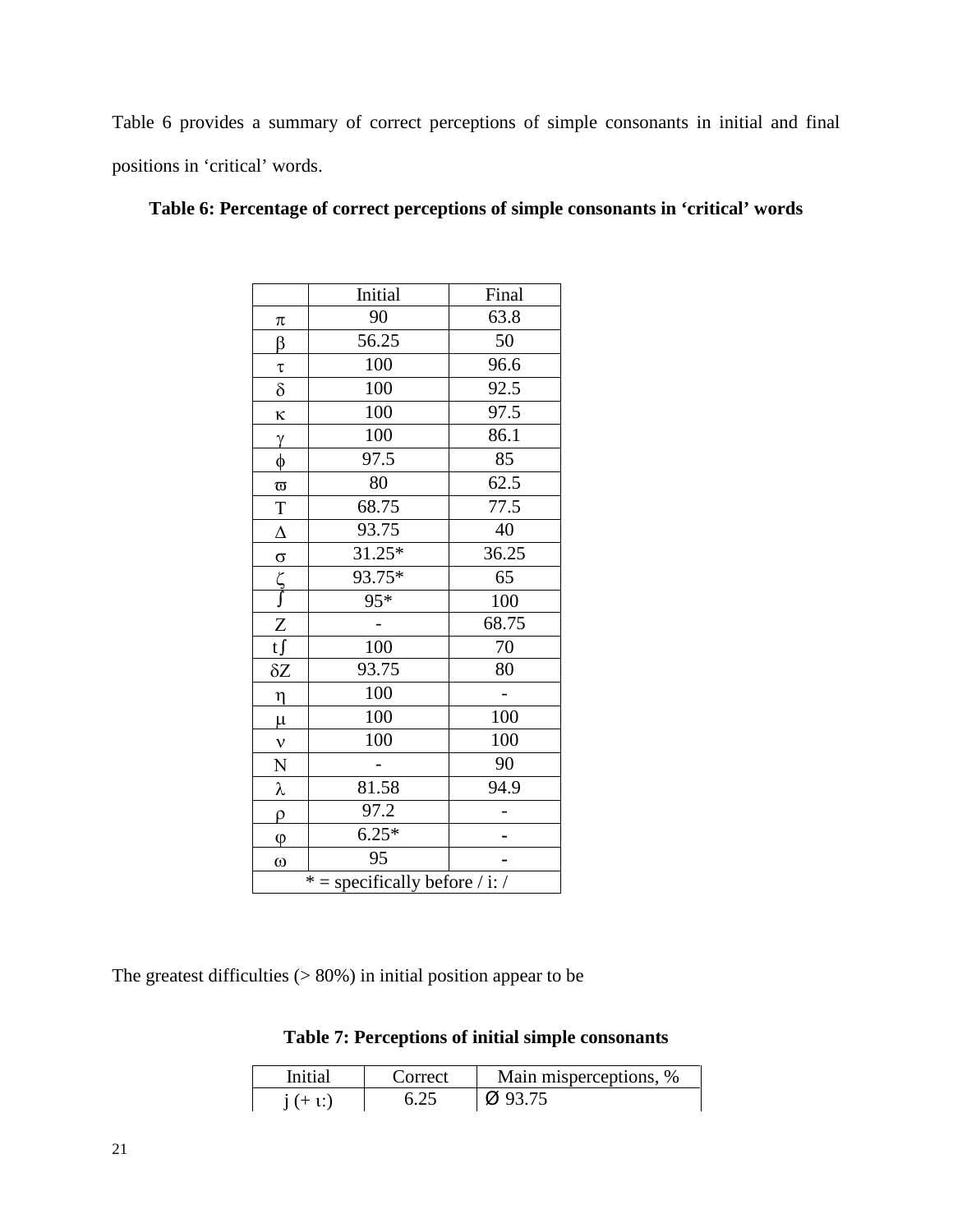Table 6 provides a summary of correct perceptions of simple consonants in initial and final positions in 'critical' words.

|                                  | Initial         | Final |  |
|----------------------------------|-----------------|-------|--|
| π                                | 90              | 63.8  |  |
| β                                | 56.25           | 50    |  |
| $\tau$                           | 100             | 96.6  |  |
| $\delta$                         | 10 <sup>0</sup> | 92.5  |  |
| ĸ                                | 100             | 97.5  |  |
| $\gamma$                         | 100             | 86.1  |  |
| $\phi$                           | 97.5            | 85    |  |
| $\varpi$                         | 80              | 62.5  |  |
| $\mathbf T$                      | 68.75           | 77.5  |  |
| $\Delta$                         | 93.75           | 40    |  |
| $\sigma$                         | $31.25*$        | 36.25 |  |
| ې<br>آ                           | $93.75*$        | 65    |  |
|                                  | $95*$           | 100   |  |
| Z                                |                 | 68.75 |  |
| $t\int$                          | 100             | 70    |  |
| $\delta Z$                       | 93.75           | 80    |  |
| $\eta$                           | 100             |       |  |
| $\mu$                            | 100             | 100   |  |
| $\mathbf{v}$                     | 100             | 100   |  |
| ${\bf N}$                        |                 | 90    |  |
| λ                                | 81.58           | 94.9  |  |
| $\rho$                           | 97.2            |       |  |
| $\varphi$                        | $6.25*$         |       |  |
| $\omega$                         | 95              |       |  |
| $* =$ specifically before / i: / |                 |       |  |

# **Table 6: Percentage of correct perceptions of simple consonants in 'critical' words**

The greatest difficulties  $(> 80\%)$  in initial position appear to be

**Table 7: Perceptions of initial simple consonants**

| Initial   | Correct | Main misperceptions, % |
|-----------|---------|------------------------|
| $i (+ 1)$ |         | $\varnothing$ 93.75    |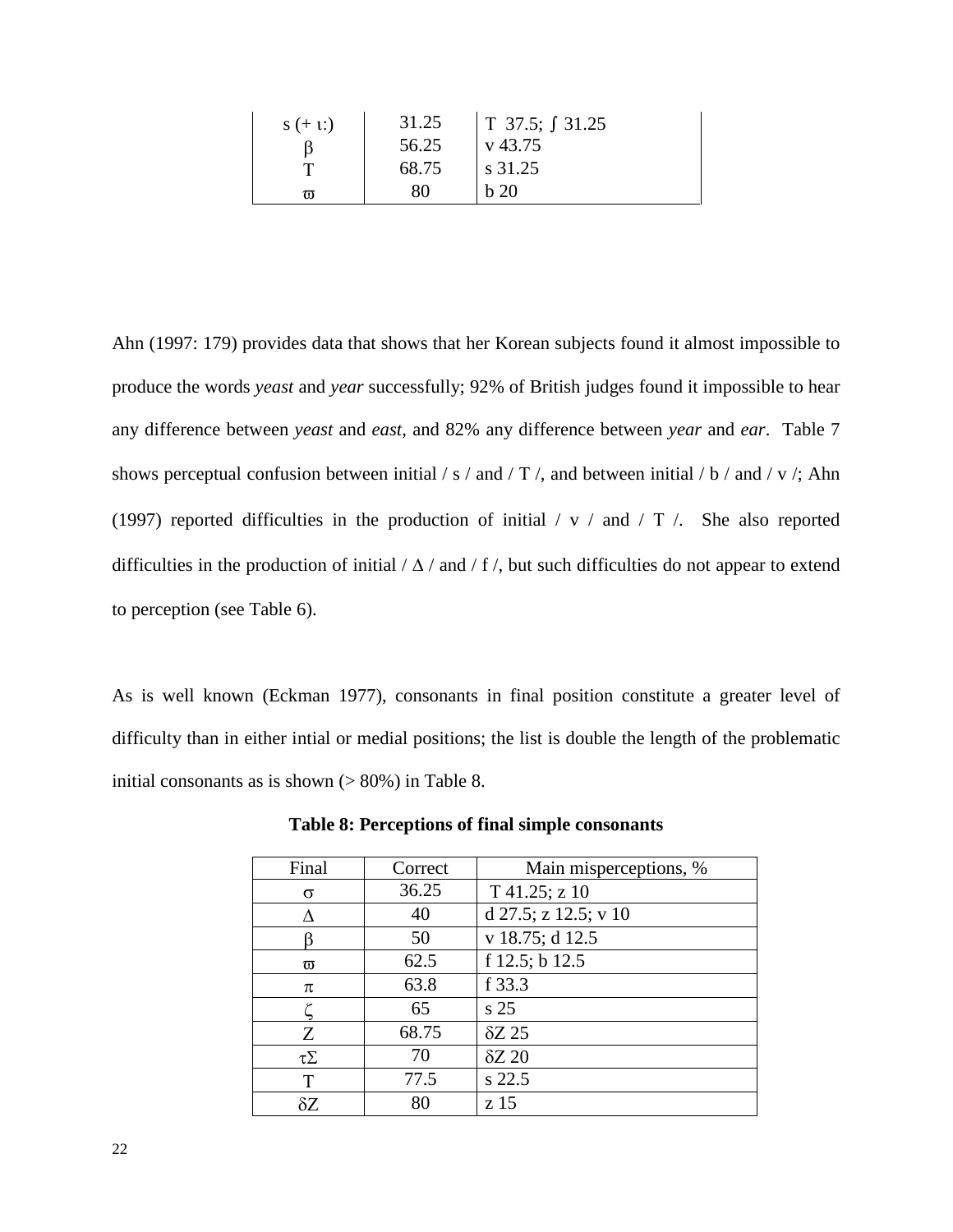| $s (+ 1)$ | 31.25 | T 37.5; $\int$ 31.25 |
|-----------|-------|----------------------|
|           | 56.25 | v 43.75              |
|           | 68.75 | s 31.25              |
| កា        | 80    | b <sub>20</sub>      |

Ahn (1997: 179) provides data that shows that her Korean subjects found it almost impossible to produce the words *yeast* and *year* successfully; 92% of British judges found it impossible to hear any difference between *yeast* and *east*, and 82% any difference between *year* and *ear*. Table 7 shows perceptual confusion between initial / s / and / T /, and between initial / b / and / v /; Ahn (1997) reported difficulties in the production of initial / v / and / Τ /. She also reported difficulties in the production of initial  $/\Delta$  / and  $/f$  , but such difficulties do not appear to extend to perception (see Table 6).

As is well known (Eckman 1977), consonants in final position constitute a greater level of difficulty than in either intial or medial positions; the list is double the length of the problematic initial consonants as is shown  $(> 80\%)$  in Table 8.

| Final        | Correct | Main misperceptions, % |
|--------------|---------|------------------------|
| σ            | 36.25   | T 41.25; z 10          |
| Л            | 40      | d 27.5; z 12.5; v 10   |
|              | 50      | v 18.75; d 12.5        |
| $\varpi$     | 62.5    | f 12.5; b 12.5         |
| π            | 63.8    | f 33.3                 |
|              | 65      | s <sub>25</sub>        |
| Z            | 68.75   | $\delta Z$ 25          |
| $\tau\Sigma$ | 70      | $\delta Z$ 20          |
| T            | 77.5    | s 22.5                 |
| $\delta Z$   | 80      | z 15                   |

**Table 8: Perceptions of final simple consonants**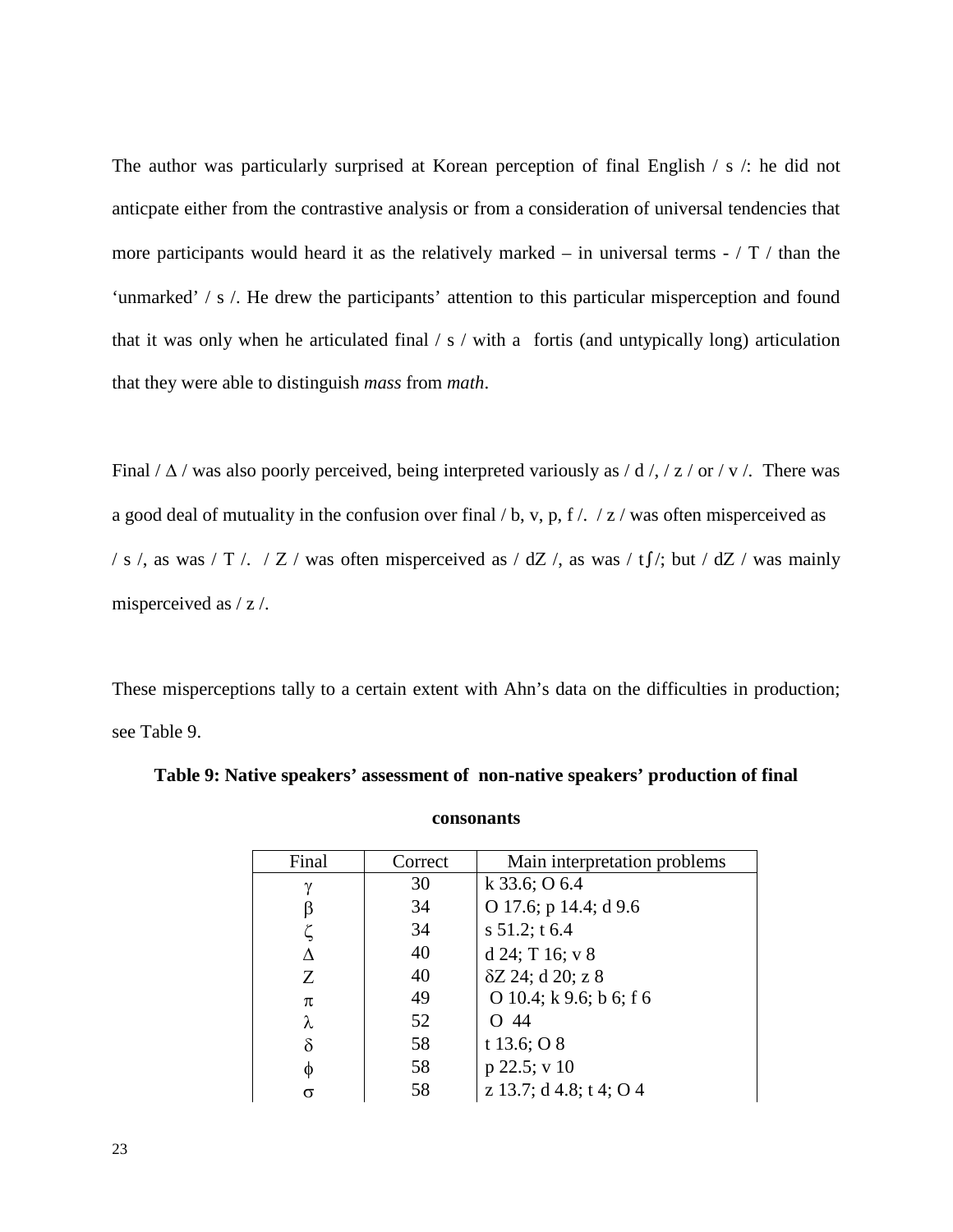The author was particularly surprised at Korean perception of final English / s /: he did not anticpate either from the contrastive analysis or from a consideration of universal tendencies that more participants would heard it as the relatively marked – in universal terms - / Τ / than the 'unmarked' / s /. He drew the participants' attention to this particular misperception and found that it was only when he articulated final  $\frac{1}{s}$  / with a fortis (and untypically long) articulation that they were able to distinguish *mass* from *math*.

Final  $/\Delta$  / was also poorly perceived, being interpreted variously as  $/\mathrm{d}$  /,  $/\mathrm{z}$  / or / v /. There was a good deal of mutuality in the confusion over final  $\frac{1}{b}$ , v, p, f  $\frac{1}{z}$  / x  $\frac{1}{x}$  was often misperceived as / s /, as was / T /. / Z / was often misperceived as / dZ /, as was / t f/; but / dZ / was mainly misperceived as / z /.

These misperceptions tally to a certain extent with Ahn's data on the difficulties in production; see Table 9.

| Final    | Correct | Main interpretation problems |
|----------|---------|------------------------------|
| γ        | 30      | k $33.6;$ O 6.4              |
|          | 34      | O 17.6; p 14.4; d 9.6        |
|          | 34      | s $51.2$ ; t $6.4$           |
| Л        | 40      | d 24; T 16; v 8              |
| Z        | 40      | δZ 24; d 20; z 8             |
| π        | 49      | O 10.4; k 9.6; b 6; f 6      |
| λ        | 52      | -44                          |
| $\delta$ | 58      | t 13.6; $\overline{O}$ 8     |
| φ        | 58      | $p$ 22.5; v 10               |
|          | 58      | z 13.7; d 4.8; t 4; O 4      |

# **Table 9: Native speakers' assessment of non-native speakers' production of final**

**consonants**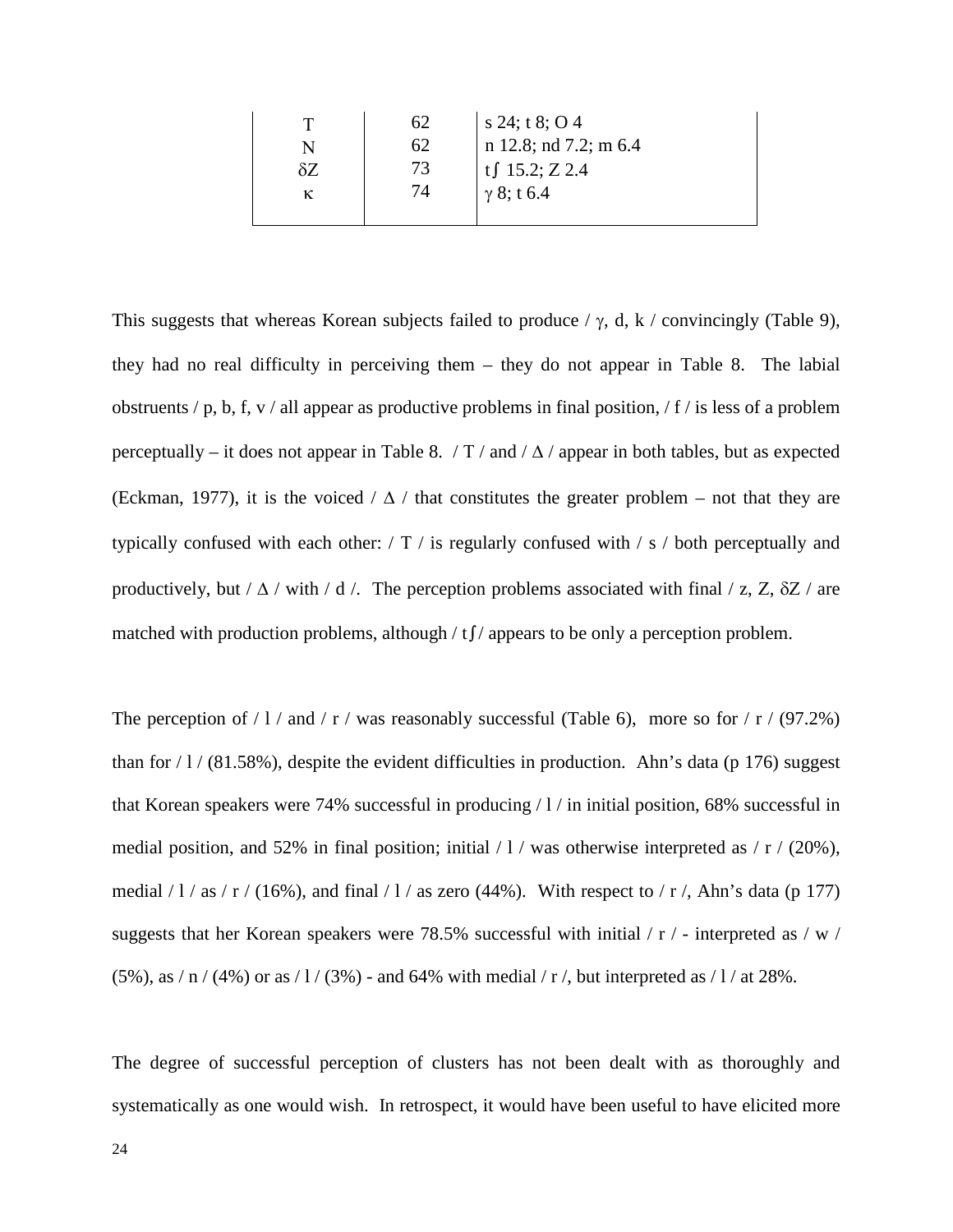|  | 62 | s 24; t 8; O 4        |
|--|----|-----------------------|
|  | 62 | n 12.8; nd 7.2; m 6.4 |
|  |    | tf $15.2; Z 2.4$      |
|  | 74 | $\gamma$ 8; t 6.4     |
|  |    |                       |

This suggests that whereas Korean subjects failed to produce  $/\gamma$ , d, k  $/\gamma$  convincingly (Table 9), they had no real difficulty in perceiving them – they do not appear in Table 8. The labial obstruents  $/p$ , b, f, v  $/$  all appear as productive problems in final position,  $/ f /$  is less of a problem perceptually – it does not appear in Table 8. / T / and /  $\Delta$  / appear in both tables, but as expected (Eckman, 1977), it is the voiced  $/\Delta$  / that constitutes the greater problem – not that they are typically confused with each other: / Τ / is regularly confused with / s / both perceptually and productively, but /  $\Delta$  / with / d /. The perception problems associated with final / z, Z,  $\delta Z$  / are matched with production problems, although / t∫/ appears to be only a perception problem.

The perception of  $/1/a$  and  $/r/a$  was reasonably successful (Table 6), more so for  $/r/a$  (97.2%) than for  $/1/$  (81.58%), despite the evident difficulties in production. Ahn's data (p 176) suggest that Korean speakers were 74% successful in producing / l / in initial position, 68% successful in medial position, and 52% in final position; initial  $/1/$  was otherwise interpreted as  $/$  r  $/$  (20%), medial  $/1/a$  s  $/ r/(16\%)$ , and final  $/1/a$  as zero (44%). With respect to  $/ r/$ , Ahn's data (p 177) suggests that her Korean speakers were 78.5% successful with initial / r / - interpreted as / w /  $(5\%)$ , as / n / (4%) or as / 1 / (3%) - and 64% with medial / r /, but interpreted as / 1 / at 28%.

The degree of successful perception of clusters has not been dealt with as thoroughly and systematically as one would wish. In retrospect, it would have been useful to have elicited more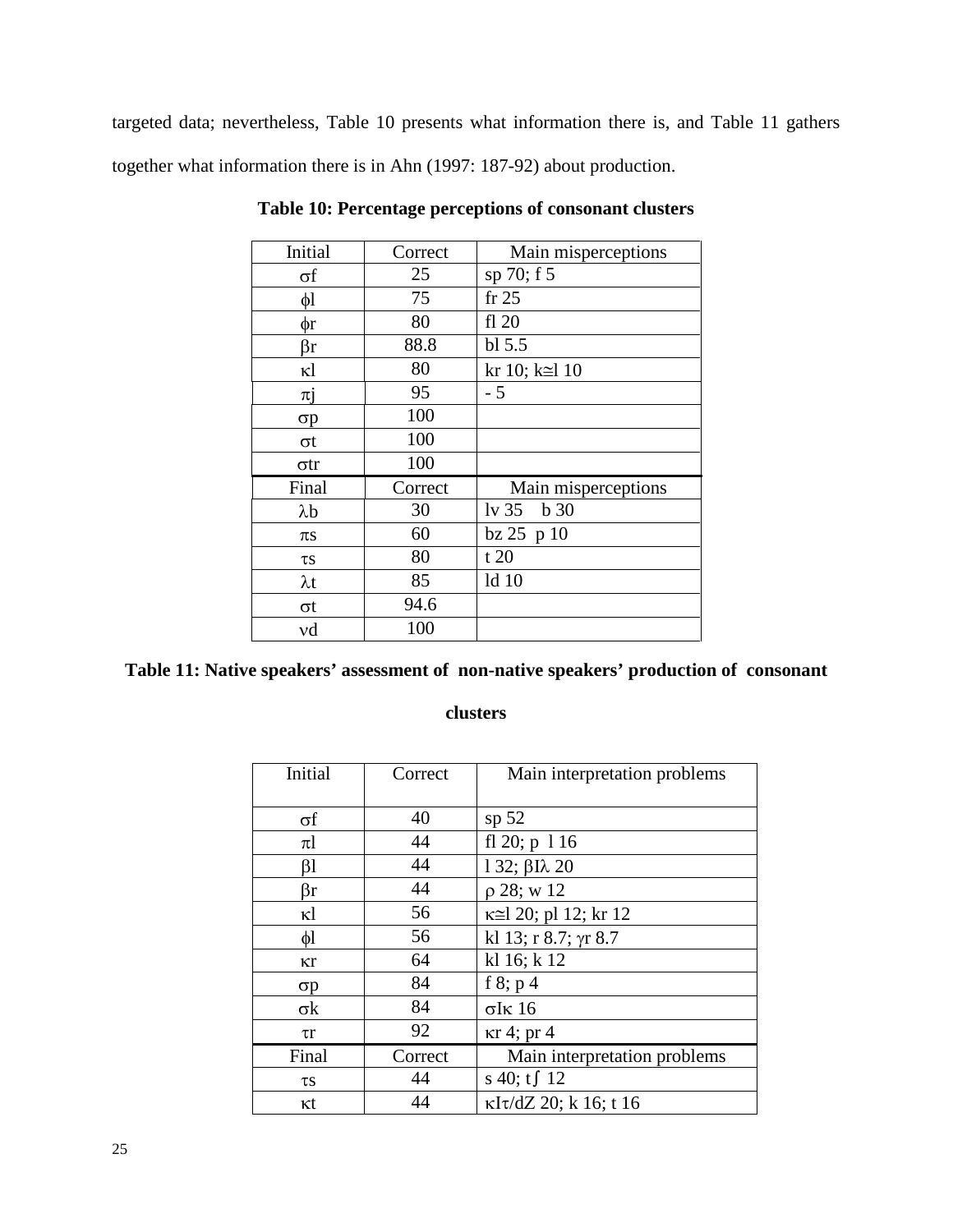targeted data; nevertheless, Table 10 presents what information there is, and Table 11 gathers together what information there is in Ahn (1997: 187-92) about production.

| Initial     | Correct | Main misperceptions        |
|-------------|---------|----------------------------|
| σf          | 25      | sp 70; f 5                 |
| $\phi$ l    | 75      | fr 25                      |
| $\phi$ r    | 80      | fl20                       |
| βr          | 88.8    | $bl$ 5.5                   |
| ĸl          | 80      | kr 10; $k \approx 10$      |
| πj          | 95      | - 5                        |
| σр          | 100     |                            |
| σt          | 100     |                            |
| $\sigma$ tr | 100     |                            |
| Final       | Correct | Main misperceptions        |
| $\lambda b$ | 30      | $1v$ 35<br>b <sub>30</sub> |
| $\pi s$     | 60      | $bz$ 25 $p$ 10             |
| $\tau s$    | 80      | t20                        |
| $\lambda t$ | 85      | 1d <sub>10</sub>           |
| σt          | 94.6    |                            |
| νd          | 100     |                            |

**Table 10: Percentage perceptions of consonant clusters**

**Table 11: Native speakers' assessment of non-native speakers' production of consonant** 

### **clusters**

| Initial    | Correct | Main interpretation problems        |
|------------|---------|-------------------------------------|
| $\sigma f$ | 40      | sp <sub>52</sub>                    |
| $\pi$ l    | 44      | fl 20; p 116                        |
| $\beta$    | 44      | $132$ ; $\beta$ I $\lambda$ 20      |
| βr         | 44      | $\rho$ 28; w 12                     |
| ĸl         | 56      | K≅l 20; pl 12; kr 12                |
| $\phi$ l   | 56      | kl 13; r 8.7; $\gamma$ r 8.7        |
| κr         | 64      | kl 16; k 12                         |
| $\sigma p$ | 84      | f 8; $p$ 4                          |
| $\sigma$ k | 84      | $\sigma$ Ik 16                      |
| $\tau r$   | 92      | $\kappa$ r 4; pr 4                  |
| Final      | Correct | Main interpretation problems        |
| $\tau s$   | 44      | s 40; $tf$ 12                       |
| κt         | 44      | $\kappa I \tau / dZ$ 20; k 16; t 16 |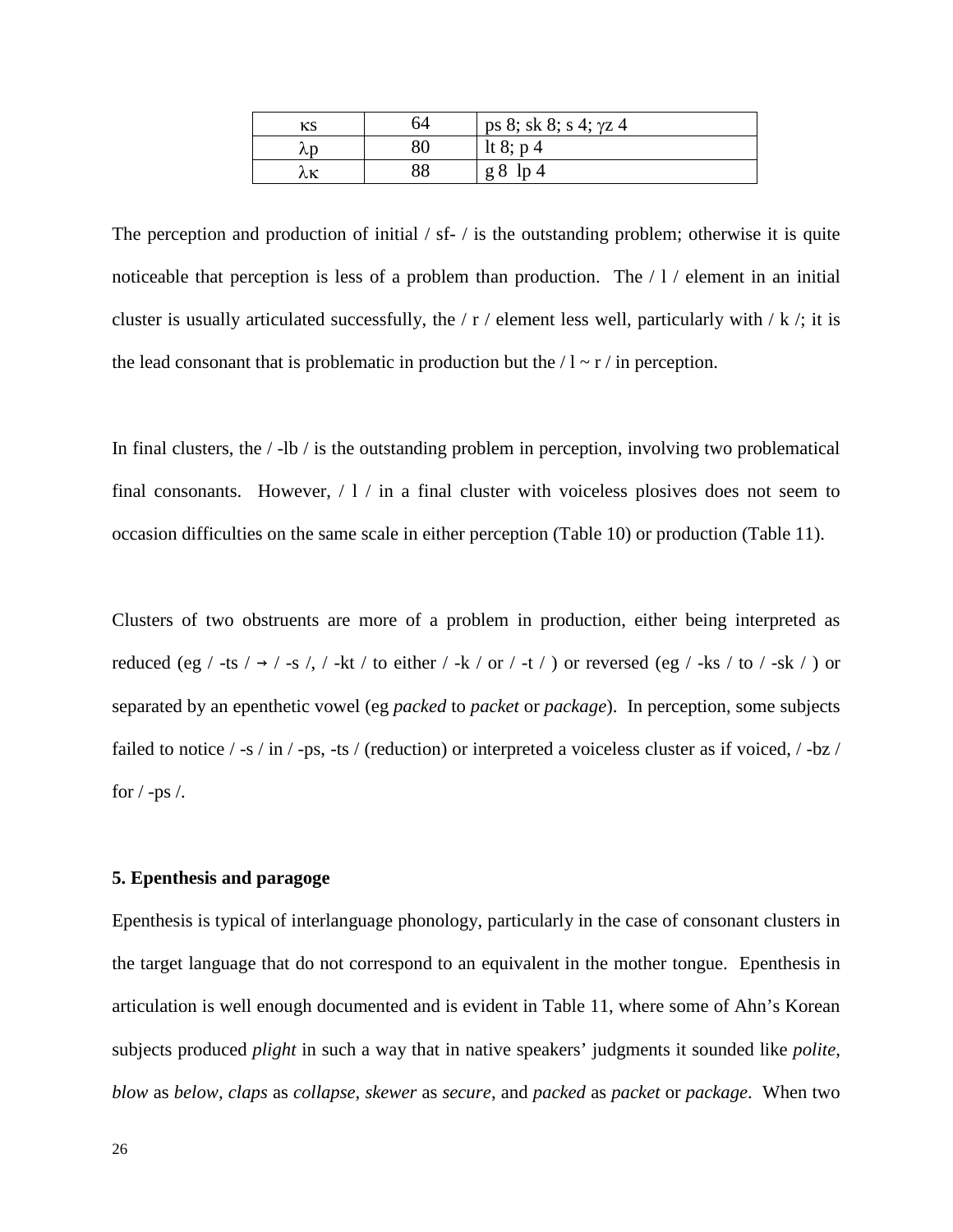| ĸs | ን4 | ps 8; sk 8; s 4; $\gamma$ z 4 |
|----|----|-------------------------------|
| λr |    | It 8; $p$ 4                   |
|    |    | $g8$ lp 4                     |

The perception and production of initial / sf- / is the outstanding problem; otherwise it is quite noticeable that perception is less of a problem than production. The / l / element in an initial cluster is usually articulated successfully, the  $/ r /$  element less well, particularly with  $/ k /$ ; it is the lead consonant that is problematic in production but the  $/1 \sim r /$  in perception.

In final clusters, the  $/$ -lb  $/$  is the outstanding problem in perception, involving two problematical final consonants. However,  $/1/$  in a final cluster with voiceless plosives does not seem to occasion difficulties on the same scale in either perception (Table 10) or production (Table 11).

Clusters of two obstruents are more of a problem in production, either being interpreted as reduced (eg / -ts /  $\rightarrow$  / -s /, / -kt / to either / -k / or / -t / ) or reversed (eg / -ks / to / -sk / ) or separated by an epenthetic vowel (eg *packed* to *packet* or *package*). In perception, some subjects failed to notice / -s / in / -ps, -ts / (reduction) or interpreted a voiceless cluster as if voiced, / -bz / for  $/$  -ps  $/$ .

# **5. Epenthesis and paragoge**

Epenthesis is typical of interlanguage phonology, particularly in the case of consonant clusters in the target language that do not correspond to an equivalent in the mother tongue. Epenthesis in articulation is well enough documented and is evident in Table 11, where some of Ahn's Korean subjects produced *plight* in such a way that in native speakers' judgments it sounded like *polite*, *blow* as *below, claps* as *collapse*, *skewer* as *secure*, and *packed* as *packet* or *package*. When two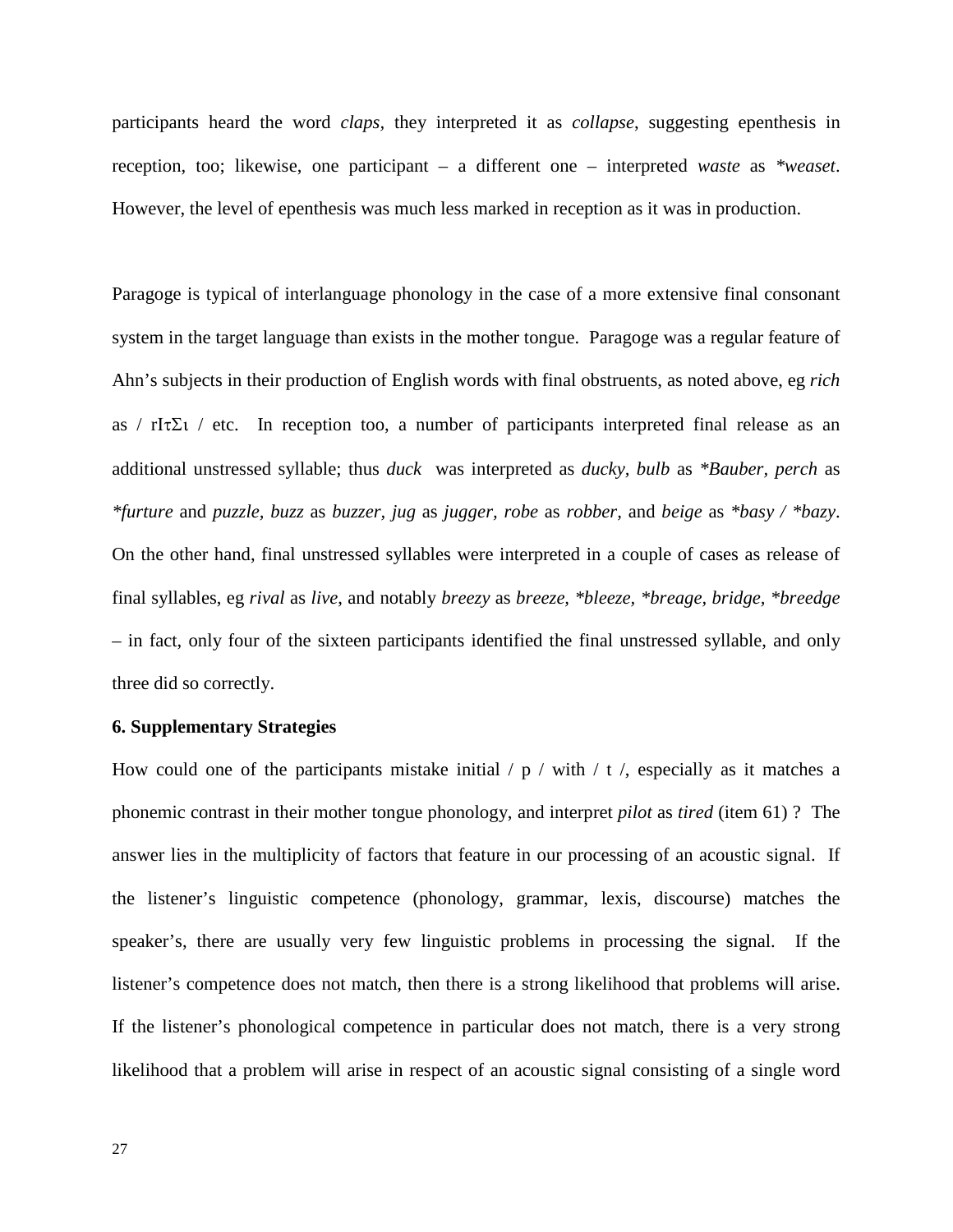participants heard the word *claps,* they interpreted it as *collapse*, suggesting epenthesis in reception, too; likewise, one participant – a different one – interpreted *waste* as *\*weaset*. However, the level of epenthesis was much less marked in reception as it was in production.

Paragoge is typical of interlanguage phonology in the case of a more extensive final consonant system in the target language than exists in the mother tongue. Paragoge was a regular feature of Ahn's subjects in their production of English words with final obstruents, as noted above, eg *rich* as / rI $\tau \Sigma$ ι / etc. In reception too, a number of participants interpreted final release as an additional unstressed syllable; thus *duck* was interpreted as *ducky, bulb* as *\*Bauber, perch* as *\*furture* and *puzzle, buzz* as *buzzer, jug* as *jugger, robe* as *robber,* and *beige* as *\*basy / \*bazy*. On the other hand, final unstressed syllables were interpreted in a couple of cases as release of final syllables, eg *rival* as *live*, and notably *breezy* as *breeze, \*bleeze, \*breage, bridge, \*breedge* – in fact, only four of the sixteen participants identified the final unstressed syllable, and only three did so correctly.

### **6. Supplementary Strategies**

How could one of the participants mistake initial  $/p /$  with  $/ t /$ , especially as it matches a phonemic contrast in their mother tongue phonology, and interpret *pilot* as *tired* (item 61) ? The answer lies in the multiplicity of factors that feature in our processing of an acoustic signal. If the listener's linguistic competence (phonology, grammar, lexis, discourse) matches the speaker's, there are usually very few linguistic problems in processing the signal. If the listener's competence does not match, then there is a strong likelihood that problems will arise. If the listener's phonological competence in particular does not match, there is a very strong likelihood that a problem will arise in respect of an acoustic signal consisting of a single word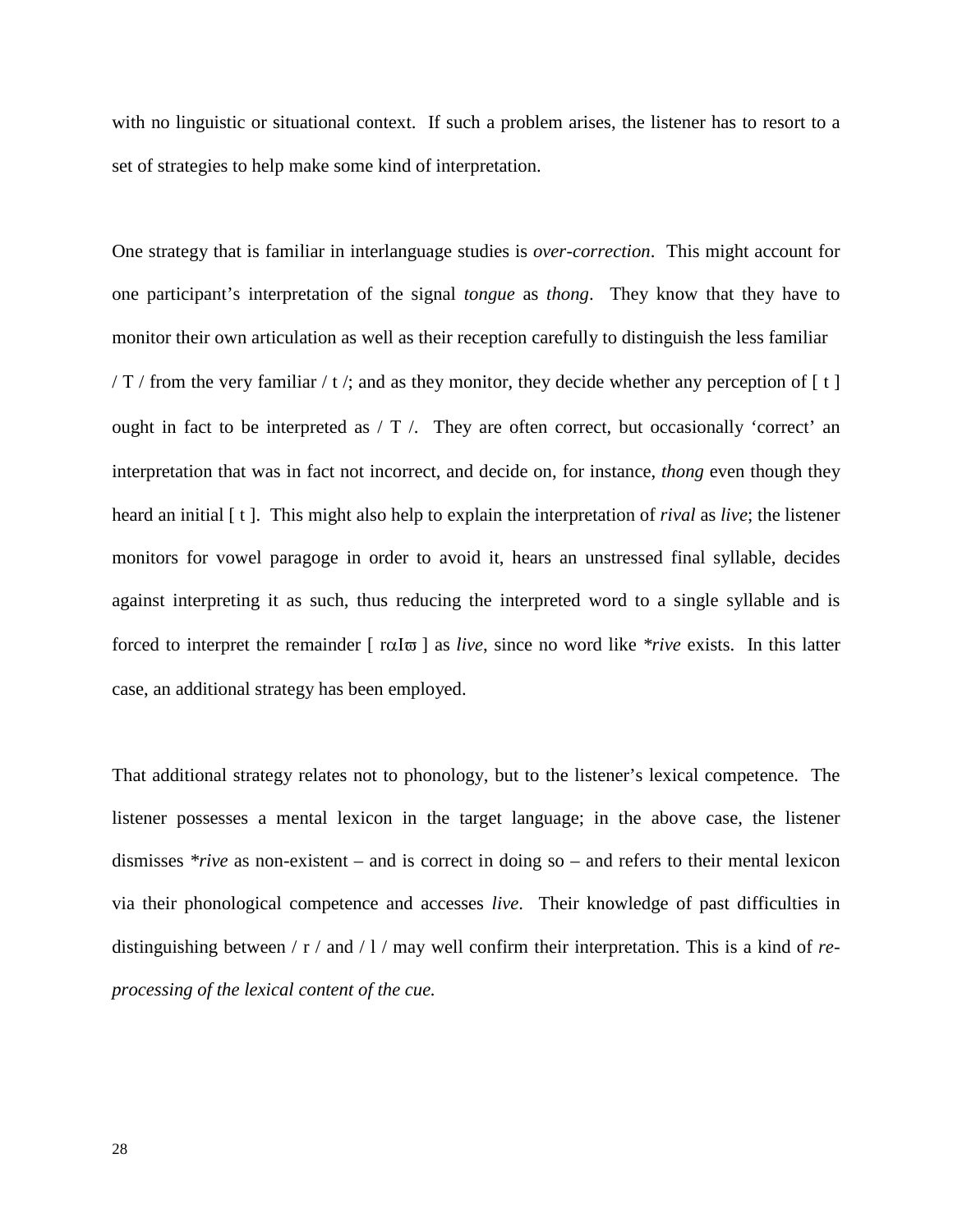with no linguistic or situational context. If such a problem arises, the listener has to resort to a set of strategies to help make some kind of interpretation.

One strategy that is familiar in interlanguage studies is *over-correction*. This might account for one participant's interpretation of the signal *tongue* as *thong*. They know that they have to monitor their own articulation as well as their reception carefully to distinguish the less familiar / T / from the very familiar / t /; and as they monitor, they decide whether any perception of  $\lceil t \rceil$ ought in fact to be interpreted as / Τ /. They are often correct, but occasionally 'correct' an interpretation that was in fact not incorrect, and decide on, for instance, *thong* even though they heard an initial [ t ]. This might also help to explain the interpretation of *rival* as *live*; the listener monitors for vowel paragoge in order to avoid it, hears an unstressed final syllable, decides against interpreting it as such, thus reducing the interpreted word to a single syllable and is forced to interpret the remainder [ rαΙϖ ] as *live*, since no word like *\*rive* exists. In this latter case, an additional strategy has been employed.

That additional strategy relates not to phonology, but to the listener's lexical competence. The listener possesses a mental lexicon in the target language; in the above case, the listener dismisses *\*rive* as non-existent – and is correct in doing so – and refers to their mental lexicon via their phonological competence and accesses *live*. Their knowledge of past difficulties in distinguishing between / r / and / l / may well confirm their interpretation. This is a kind of *reprocessing of the lexical content of the cue.*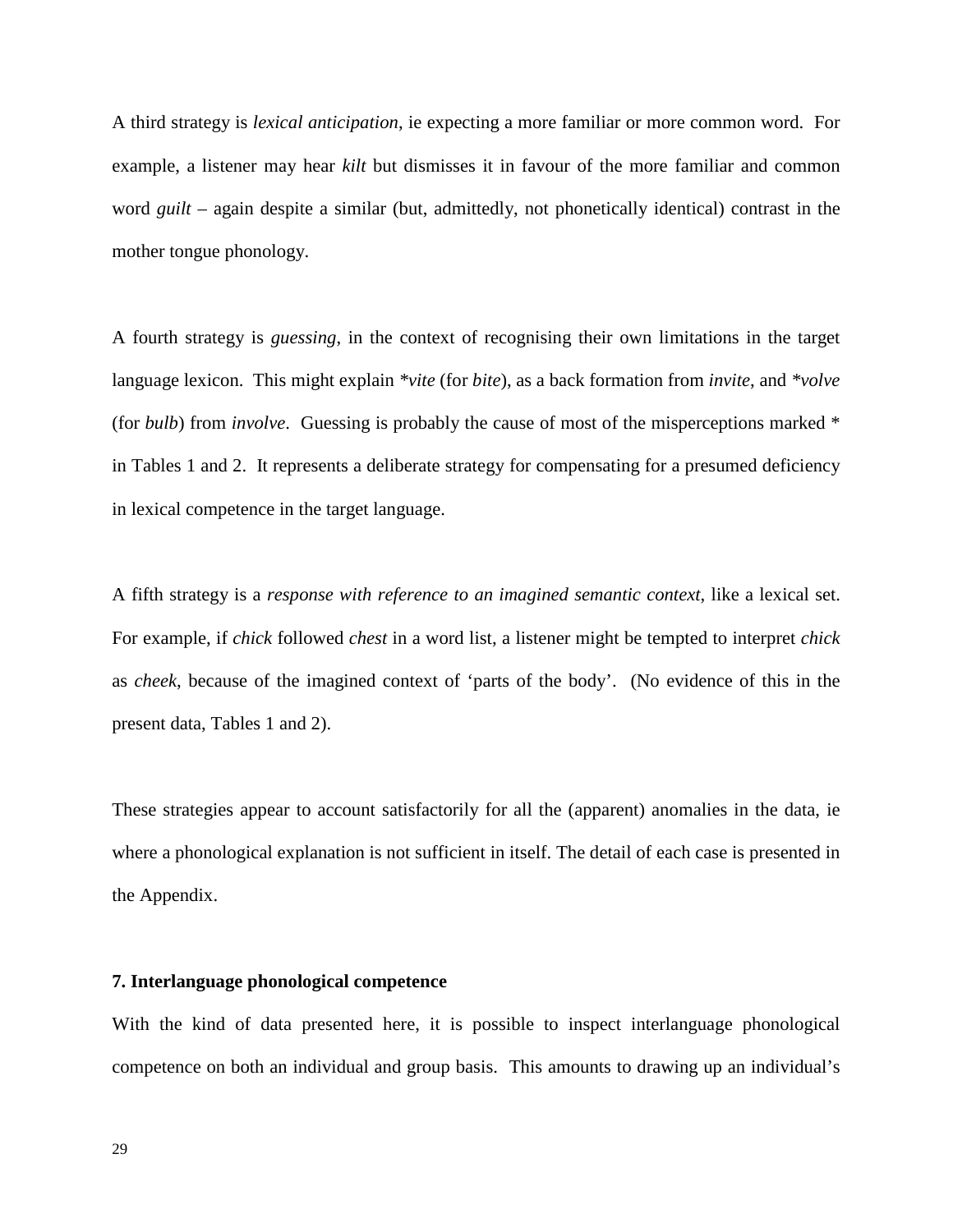A third strategy is *lexical anticipation*, ie expecting a more familiar or more common word. For example, a listener may hear *kilt* but dismisses it in favour of the more familiar and common word *guilt* – again despite a similar (but, admittedly, not phonetically identical) contrast in the mother tongue phonology.

A fourth strategy is *guessing*, in the context of recognising their own limitations in the target language lexicon. This might explain *\*vite* (for *bite*), as a back formation from *invite*, and *\*volve* (for *bulb*) from *involve*. Guessing is probably the cause of most of the misperceptions marked \* in Tables 1 and 2. It represents a deliberate strategy for compensating for a presumed deficiency in lexical competence in the target language.

A fifth strategy is a *response with reference to an imagined semantic context*, like a lexical set. For example, if *chick* followed *chest* in a word list, a listener might be tempted to interpret *chick* as *cheek*, because of the imagined context of 'parts of the body'. (No evidence of this in the present data, Tables 1 and 2).

These strategies appear to account satisfactorily for all the (apparent) anomalies in the data, ie where a phonological explanation is not sufficient in itself. The detail of each case is presented in the Appendix.

### **7. Interlanguage phonological competence**

With the kind of data presented here, it is possible to inspect interlanguage phonological competence on both an individual and group basis. This amounts to drawing up an individual's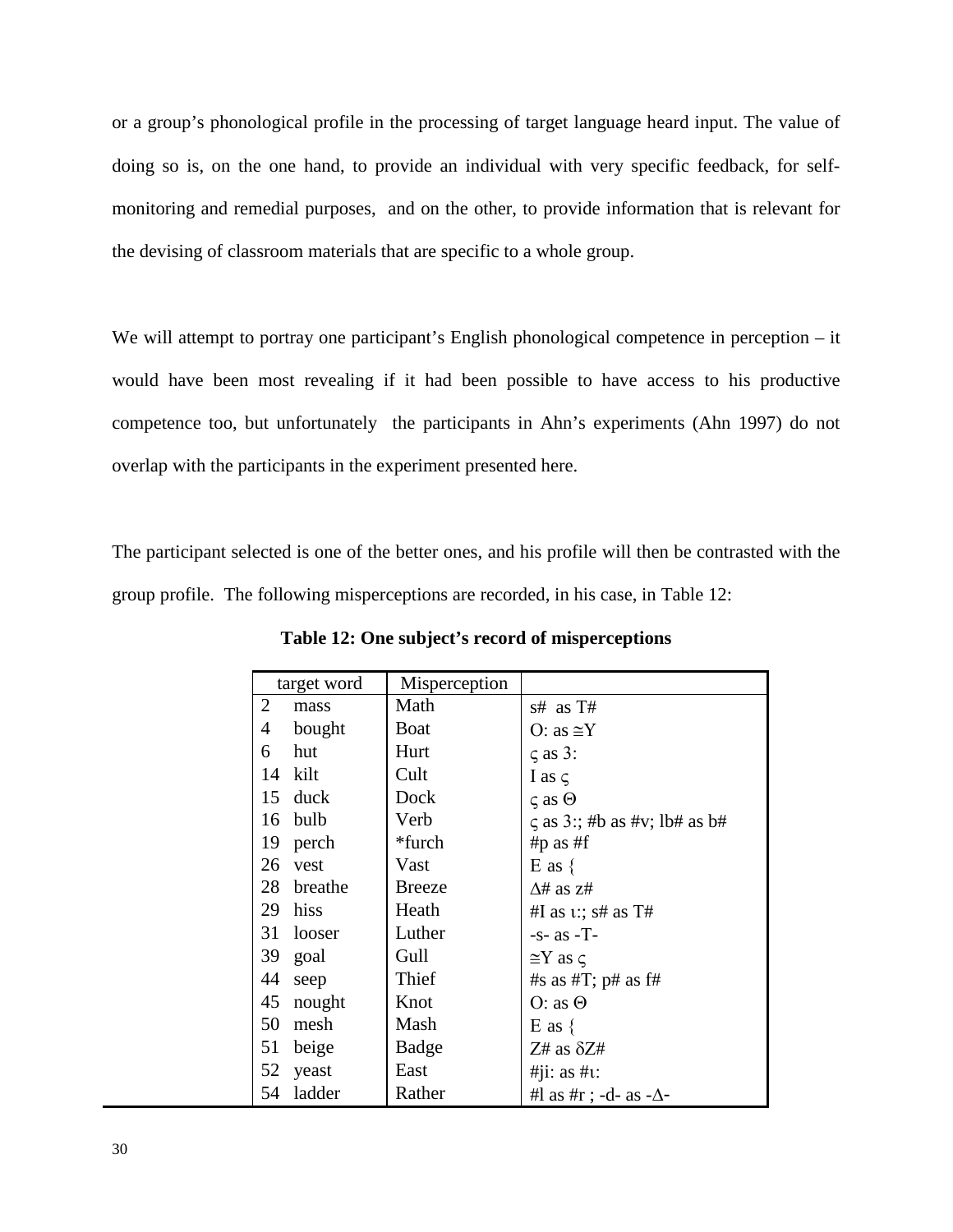or a group's phonological profile in the processing of target language heard input. The value of doing so is, on the one hand, to provide an individual with very specific feedback, for selfmonitoring and remedial purposes, and on the other, to provide information that is relevant for the devising of classroom materials that are specific to a whole group.

We will attempt to portray one participant's English phonological competence in perception – it would have been most revealing if it had been possible to have access to his productive competence too, but unfortunately the participants in Ahn's experiments (Ahn 1997) do not overlap with the participants in the experiment presented here.

The participant selected is one of the better ones, and his profile will then be contrasted with the group profile. The following misperceptions are recorded, in his case, in Table 12:

| target word   | Misperception |                                    |
|---------------|---------------|------------------------------------|
| 2<br>mass     | Math          | s# as T#                           |
| bought<br>4   | Boat          | O: as $\cong$ Y                    |
| hut<br>6      | Hurt          | $\zeta$ as 3:                      |
| kilt<br>14    | Cult          | I as $\subset$                     |
| duck<br>15    | Dock          | $\zeta$ as $\Theta$                |
| bulb<br>16    | Verb          | $\zeta$ as 3:; #b as #v; lb# as b# |
| perch<br>19   | *furch        | #p as #f                           |
| 26<br>vest    | Vast          | $E$ as $\{$                        |
| 28<br>breathe | <b>Breeze</b> | $\Delta$ # as z#                   |
| hiss<br>29    | Heath         | #I as $\iota$ :; s# as T#          |
| 31<br>looser  | Luther        | $-s-$ as $-T-$                     |
| 39<br>goal    | Gull          | $\cong$ Y as $\varsigma$           |
| 44<br>seep    | Thief         | #s as #T; $p$ # as f#              |
| 45<br>nought  | Knot          | $O:$ as $\Theta$                   |
| 50<br>mesh    | Mash          | $E$ as $\{$                        |
| 51<br>beige   | Badge         | $Z#$ as $\delta Z#$                |
| 52<br>yeast   | East          | $\#$ i: as $\#$ u:                 |
| ladder<br>54  | Rather        | #l as #r ; -d- as - $\Delta$ -     |

**Table 12: One subject's record of misperceptions**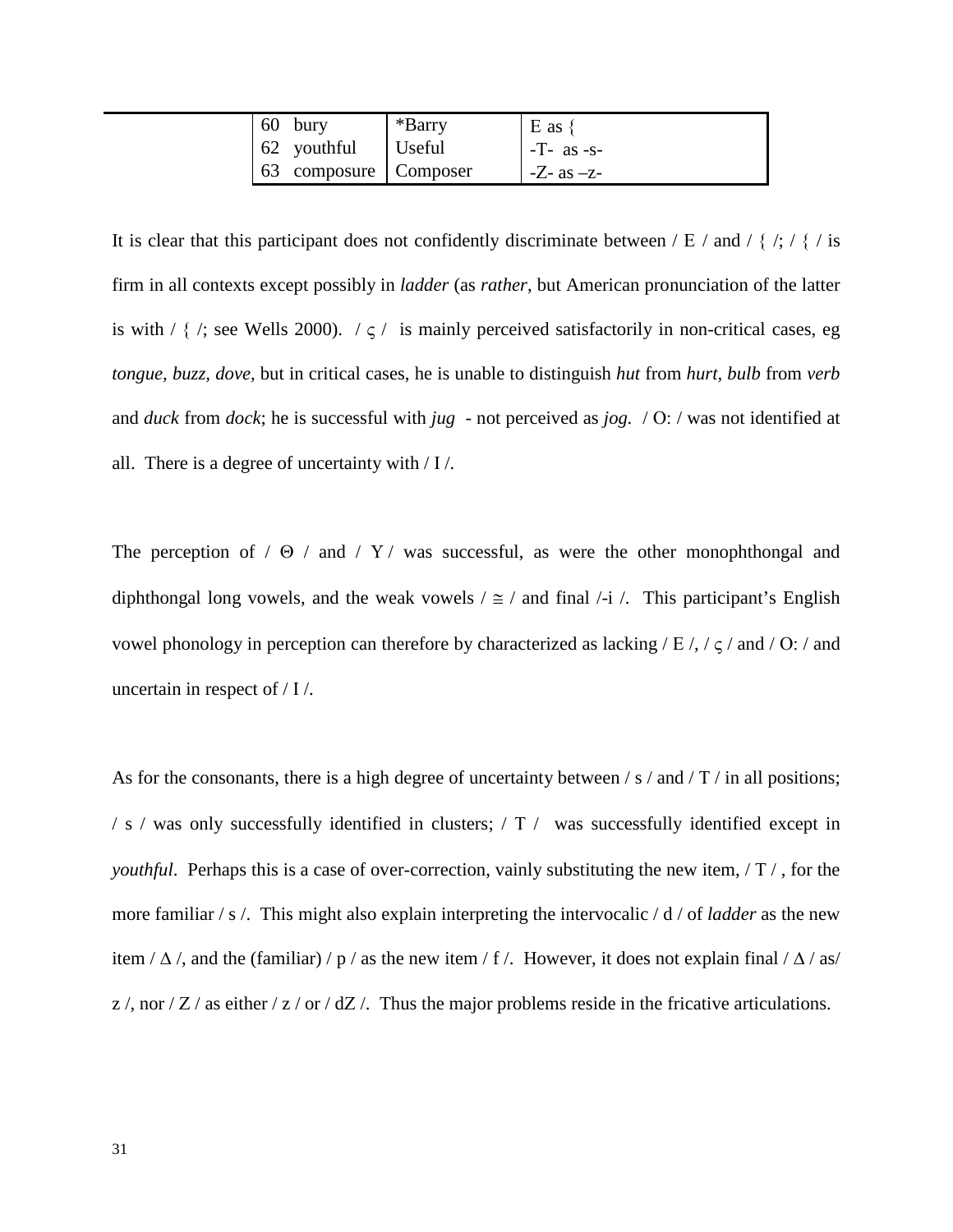|  | 60 bury                 | *Barry | $E$ as $\{$      |
|--|-------------------------|--------|------------------|
|  | 62 youthful             | Useful | $-T-$ as $-s-$   |
|  | 63 composure   Composer |        | $-Z$ - as $-z$ - |

It is clear that this participant does not confidently discriminate between / E / and / { /; / { / is firm in all contexts except possibly in *ladder* (as *rather*, but American pronunciation of the latter is with /  $\{ \cdot \}$ ; see Wells 2000).  $\cdot \zeta$  is mainly perceived satisfactorily in non-critical cases, eg *tongue, buzz, dove,* but in critical cases, he is unable to distinguish *hut* from *hurt, bulb* from *verb* and *duck* from *dock*; he is successful with *jug* - not perceived as *jog.* / Ο: / was not identified at all. There is a degree of uncertainty with / Ι /.

The perception of  $/ \Theta$  / and  $/ Y /$  was successful, as were the other monophthongal and diphthongal long vowels, and the weak vowels  $/ \approx /$  and final  $/ -i /$ . This participant's English vowel phonology in perception can therefore by characterized as lacking  $/E /$ ,  $\zeta$  and  $/O$ :  $\zeta$  and uncertain in respect of / Ι /.

As for the consonants, there is a high degree of uncertainty between / s / and / T / in all positions; / s / was only successfully identified in clusters; / Τ / was successfully identified except in *youthful*. Perhaps this is a case of over-correction, vainly substituting the new item, / Τ / , for the more familiar / s /. This might also explain interpreting the intervocalic / d / of *ladder* as the new item /  $\Delta$  /, and the (familiar) / p / as the new item / f /. However, it does not explain final /  $\Delta$  / as/  $z /$ , nor / Z / as either / z / or / dZ /. Thus the major problems reside in the fricative articulations.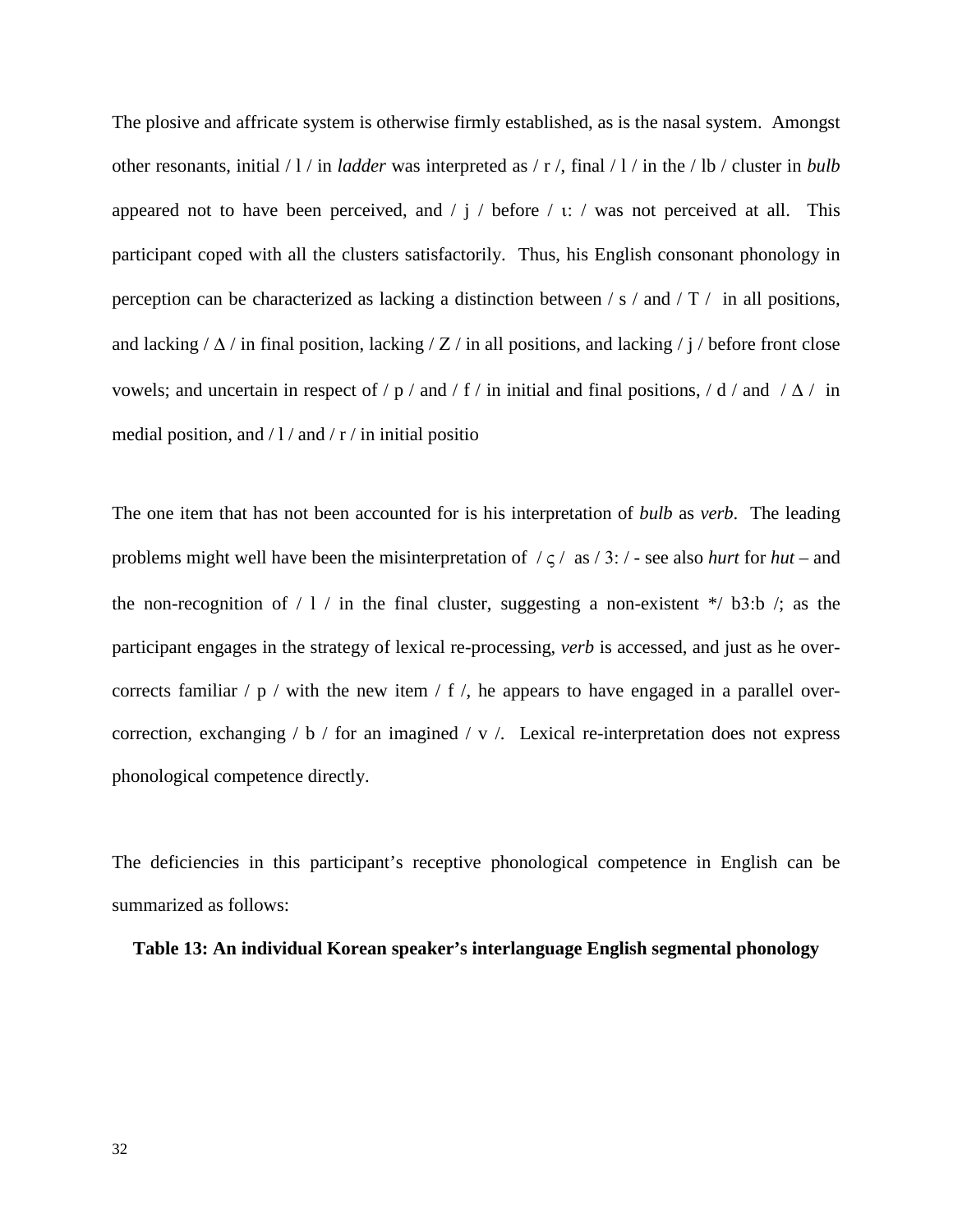The plosive and affricate system is otherwise firmly established, as is the nasal system. Amongst other resonants, initial / l / in *ladder* was interpreted as / r /, final / l / in the / lb / cluster in *bulb* appeared not to have been perceived, and  $/ j / \text{before} / i$ : / was not perceived at all. This participant coped with all the clusters satisfactorily. Thus, his English consonant phonology in perception can be characterized as lacking a distinction between / s / and / Τ / in all positions, and lacking /  $\Delta$  / in final position, lacking / Z / in all positions, and lacking / j / before front close vowels; and uncertain in respect of / p / and / f / in initial and final positions, / d / and /  $\Delta$  / in medial position, and  $/1/$  and  $/$  r  $/$  in initial positio

The one item that has not been accounted for is his interpretation of *bulb* as *verb*. The leading problems might well have been the misinterpretation of / ς / as / 3: / - see also *hurt* for *hut* – and the non-recognition of  $/ 1 /$  in the final cluster, suggesting a non-existent  $*/ 53$ :b  $/$ ; as the participant engages in the strategy of lexical re-processing, *verb* is accessed, and just as he overcorrects familiar  $/p /$  with the new item  $/ f /$ , he appears to have engaged in a parallel overcorrection, exchanging  $/ b /$  for an imagined  $/ v /$ . Lexical re-interpretation does not express phonological competence directly.

The deficiencies in this participant's receptive phonological competence in English can be summarized as follows:

### **Table 13: An individual Korean speaker's interlanguage English segmental phonology**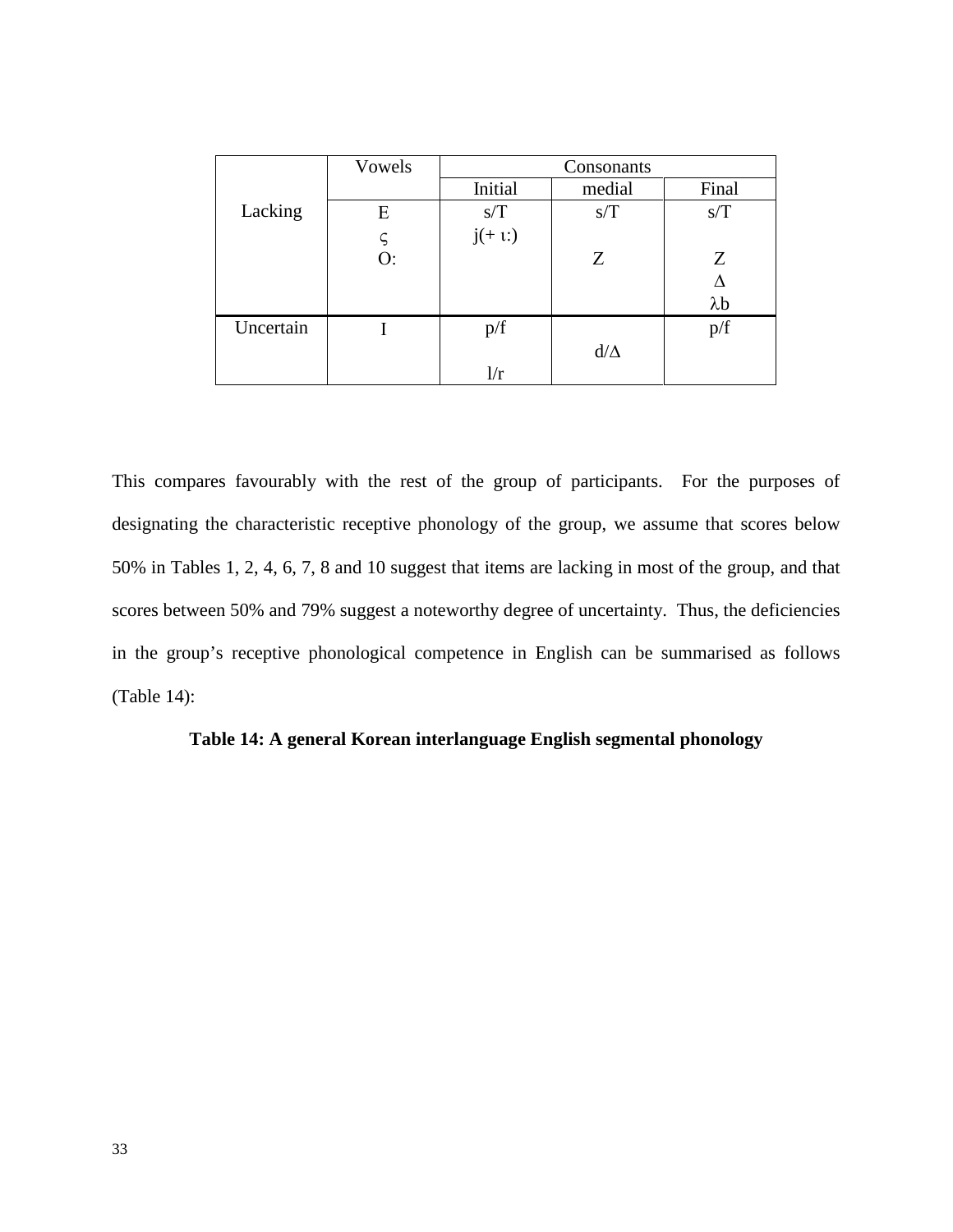|           | Vowels      |         | Consonants |             |  |  |  |  |  |
|-----------|-------------|---------|------------|-------------|--|--|--|--|--|
|           |             | Initial | medial     | Final       |  |  |  |  |  |
| Lacking   | E           | s/T     | s/T        | s/T         |  |  |  |  |  |
|           | $\varsigma$ | $j(+1)$ |            |             |  |  |  |  |  |
|           | O:          |         | Ζ          | Z           |  |  |  |  |  |
|           |             |         |            |             |  |  |  |  |  |
|           |             |         |            | $\lambda b$ |  |  |  |  |  |
| Uncertain |             | p/f     |            | p/f         |  |  |  |  |  |
|           |             |         | $d/\Delta$ |             |  |  |  |  |  |
|           |             | 1/r     |            |             |  |  |  |  |  |

This compares favourably with the rest of the group of participants. For the purposes of designating the characteristic receptive phonology of the group, we assume that scores below 50% in Tables 1, 2, 4, 6, 7, 8 and 10 suggest that items are lacking in most of the group, and that scores between 50% and 79% suggest a noteworthy degree of uncertainty. Thus, the deficiencies in the group's receptive phonological competence in English can be summarised as follows (Table 14):

# **Table 14: A general Korean interlanguage English segmental phonology**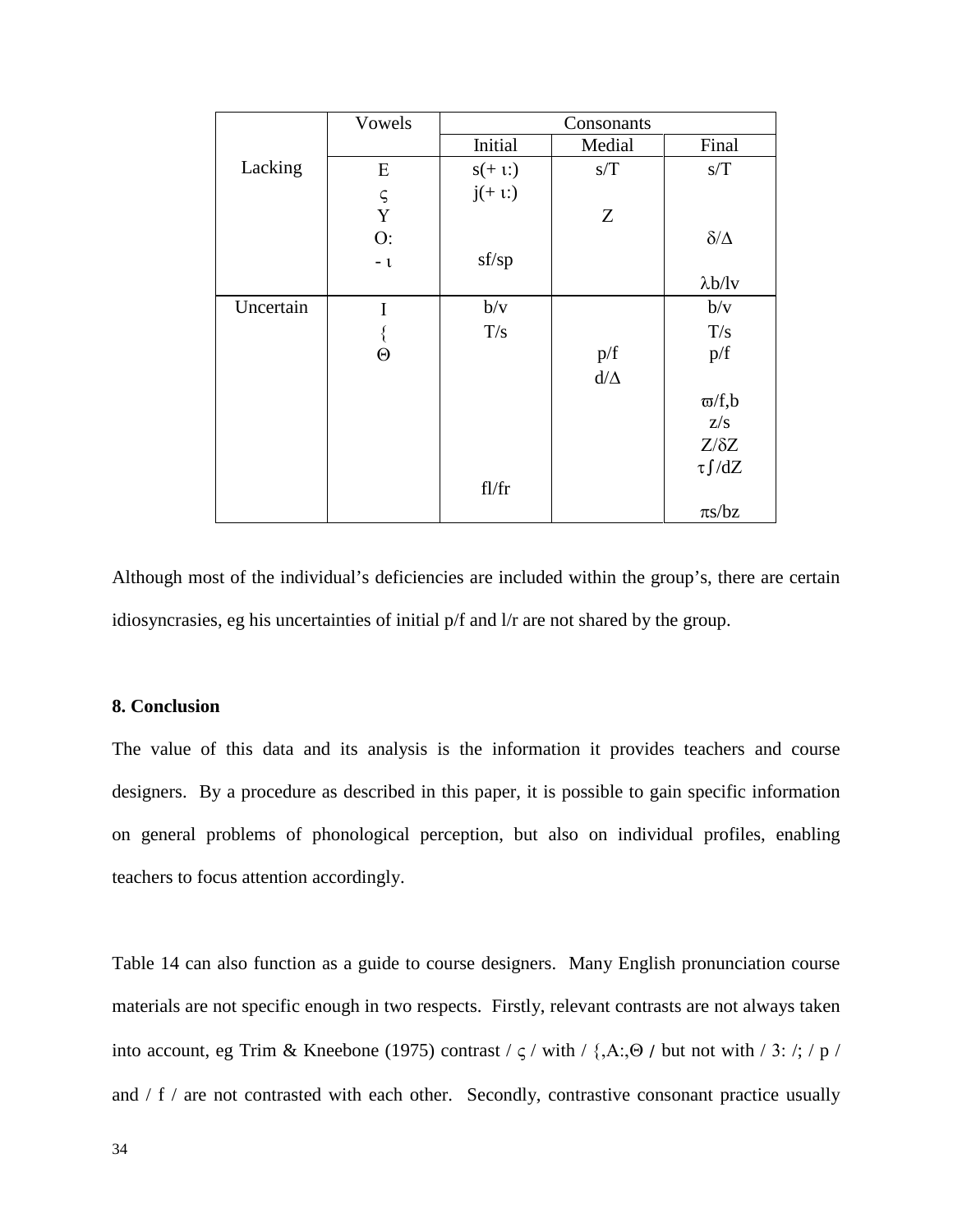|           | Vowels                                  |          |            |                 |
|-----------|-----------------------------------------|----------|------------|-----------------|
|           |                                         | Initial  | Medial     | Final           |
| Lacking   | E                                       | $s(+1)$  | s/T        | s/T             |
|           |                                         | $j(+1)$  |            |                 |
|           | $\mathop{\mathsf{S}}\limits_\mathbf{Y}$ |          | Z          |                 |
|           | O:                                      |          |            | $\delta/\Delta$ |
|           | $-1$                                    | sf/sp    |            |                 |
|           |                                         |          |            | $\lambda b/lv$  |
| Uncertain | I                                       | b/v      |            | b/v             |
|           |                                         | T/s      |            | T/s             |
|           | $\Theta$                                |          | p/f        | p/f             |
|           |                                         |          | $d/\Delta$ |                 |
|           |                                         |          |            | $\varpi/f$ ,b   |
|           |                                         |          |            | Z/S             |
|           |                                         |          |            | $Z/\delta Z$    |
|           |                                         |          |            | $\tau \int dZ$  |
|           |                                         | $f$ l/fr |            |                 |
|           |                                         |          |            | $\pi s/bz$      |

Although most of the individual's deficiencies are included within the group's, there are certain idiosyncrasies, eg his uncertainties of initial p/f and l/r are not shared by the group.

### **8. Conclusion**

The value of this data and its analysis is the information it provides teachers and course designers. By a procedure as described in this paper, it is possible to gain specific information on general problems of phonological perception, but also on individual profiles, enabling teachers to focus attention accordingly.

Table 14 can also function as a guide to course designers. Many English pronunciation course materials are not specific enough in two respects. Firstly, relevant contrasts are not always taken into account, eg Trim & Kneebone (1975) contrast /  $\varsigma$  / with / {,A:,Θ / but not with / 3: /; / p / and / f / are not contrasted with each other. Secondly, contrastive consonant practice usually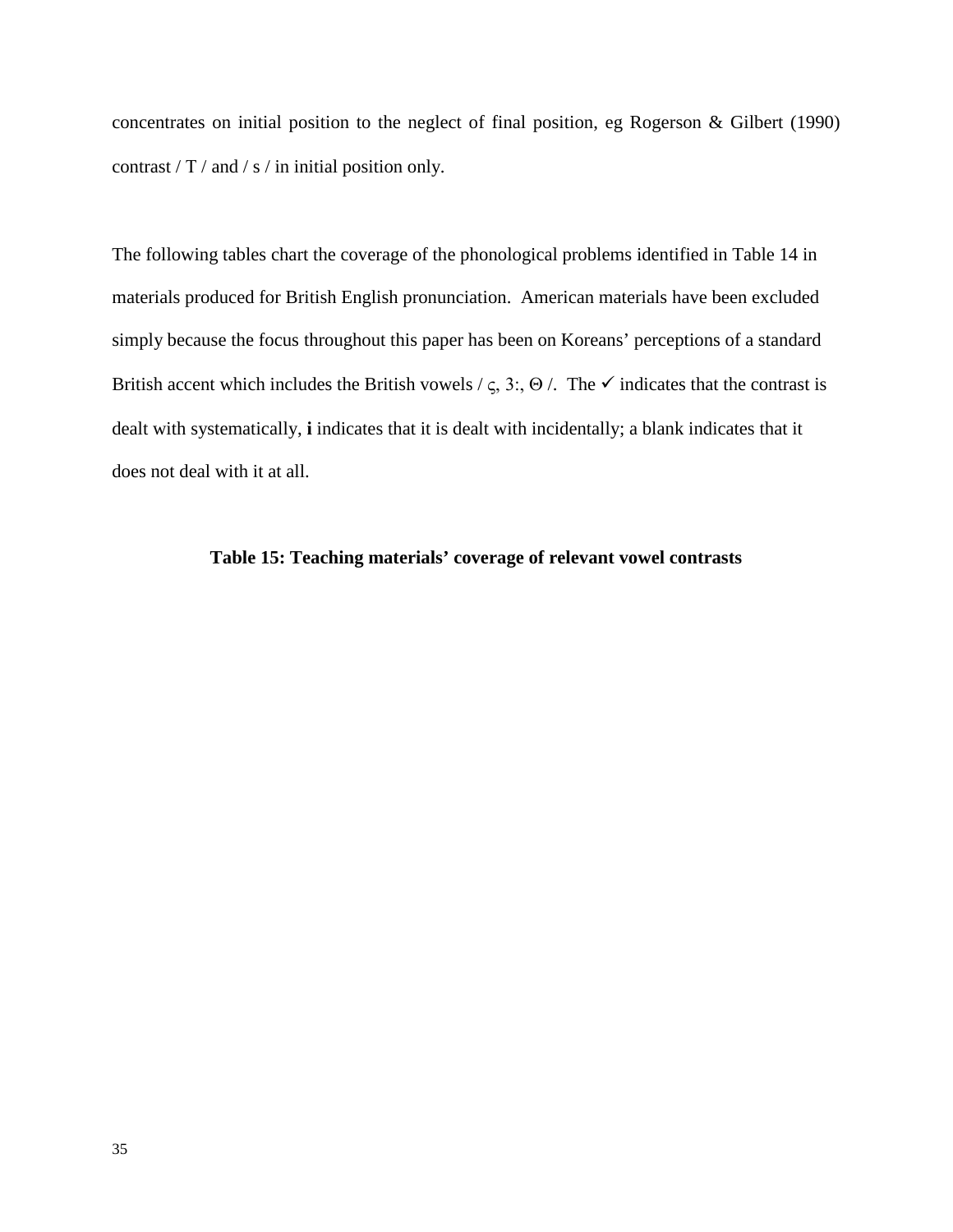concentrates on initial position to the neglect of final position, eg Rogerson & Gilbert (1990) contrast / T / and / s / in initial position only.

The following tables chart the coverage of the phonological problems identified in Table 14 in materials produced for British English pronunciation. American materials have been excluded simply because the focus throughout this paper has been on Koreans' perceptions of a standard British accent which includes the British vowels /  $\zeta$ , 3:, Θ /. The  $\checkmark$  indicates that the contrast is dealt with systematically, **i** indicates that it is dealt with incidentally; a blank indicates that it does not deal with it at all.

## **Table 15: Teaching materials' coverage of relevant vowel contrasts**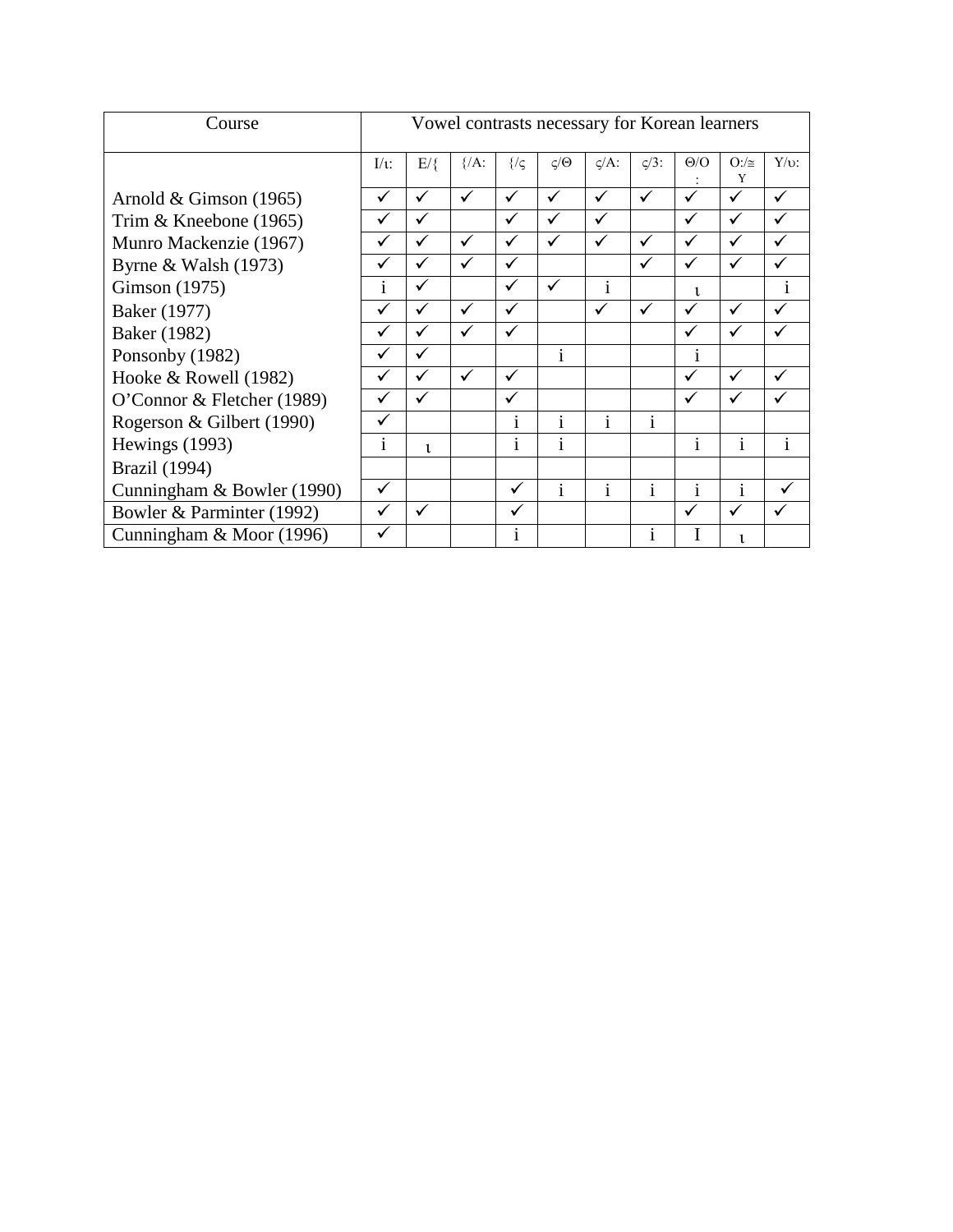| Course                     | Vowel contrasts necessary for Korean learners |              |                   |               |                           |              |              |              |                   |              |
|----------------------------|-----------------------------------------------|--------------|-------------------|---------------|---------------------------|--------------|--------------|--------------|-------------------|--------------|
|                            | $\mathbf{I}/\mathbf{t}$ :                     | $E/\xi$      | $\frac{1}{2}$ /A: | $\frac{2}{3}$ | $\zeta/\Theta$            | $\zeta/A$ :  | $\zeta/3$ :  | $\Theta$ /O  | $O: / \cong$<br>Y | $Y/v$ :      |
| Arnold & Gimson $(1965)$   | ✓                                             | $\checkmark$ | $\checkmark$      | $\checkmark$  | ✓                         | ✓            | ✓            | ✓            | ✓                 | ✓            |
| Trim & Kneebone (1965)     | $\checkmark$                                  | ✓            |                   | $\checkmark$  | ✓                         | $\checkmark$ |              | ✓            | ✓                 |              |
| Munro Mackenzie (1967)     |                                               | ✓            | ✓                 | $\checkmark$  | ✓                         | ✓            | ✓            | ✓            | ✓                 |              |
| Byrne & Walsh $(1973)$     | ✓                                             | ✓            | $\checkmark$      | $\checkmark$  |                           |              | ✓            | ✓            | ✓                 | ✓            |
| Gimson (1975)              | $\mathbf{i}$                                  | $\checkmark$ |                   | $\checkmark$  | $\checkmark$              | $\mathbf{i}$ |              | $\mathbf{1}$ |                   | 1            |
| Baker (1977)               | $\checkmark$                                  | $\checkmark$ | $\checkmark$      | ✓             |                           | ✓            | ✓            | ✓            | ✓                 | ✓            |
| Baker (1982)               |                                               | $\checkmark$ | ✓                 | ✓             |                           |              |              | ✓            |                   |              |
| Ponsonby (1982)            |                                               | ✓            |                   |               | $\mathbf{1}$              |              |              | 1            |                   |              |
| Hooke $& Rowell (1982)$    |                                               | ✓            | $\checkmark$      | ✓             |                           |              |              | ✓            | ✓                 |              |
| O'Connor & Fletcher (1989) | $\checkmark$                                  | $\checkmark$ |                   | ✓             |                           |              |              | ✓            | ✓                 |              |
| Rogerson & Gilbert (1990)  | $\checkmark$                                  |              |                   | $\mathbf{1}$  | $\mathbf{i}$              | $\mathbf{i}$ | $\mathbf{1}$ |              |                   |              |
| Hewings (1993)             | <sup>1</sup>                                  | $\mathbf{1}$ |                   | $\mathbf{1}$  | $\bullet$<br>$\mathbf{1}$ |              |              | 1            | Î.                | $\mathbf{1}$ |
| Brazil (1994)              |                                               |              |                   |               |                           |              |              |              |                   |              |
| Cunningham & Bowler (1990) | $\checkmark$                                  |              |                   | $\checkmark$  | $\mathbf{i}$              | 1            | $\mathbf{1}$ | $\mathbf{1}$ | $\mathbf{i}$      |              |
| Bowler & Parminter (1992)  | $\checkmark$                                  | $\checkmark$ |                   | $\checkmark$  |                           |              |              | ✓            | ✓                 | ✓            |
| Cunningham & Moor (1996)   | ✓                                             |              |                   | 1             |                           |              | 1            | -1           |                   |              |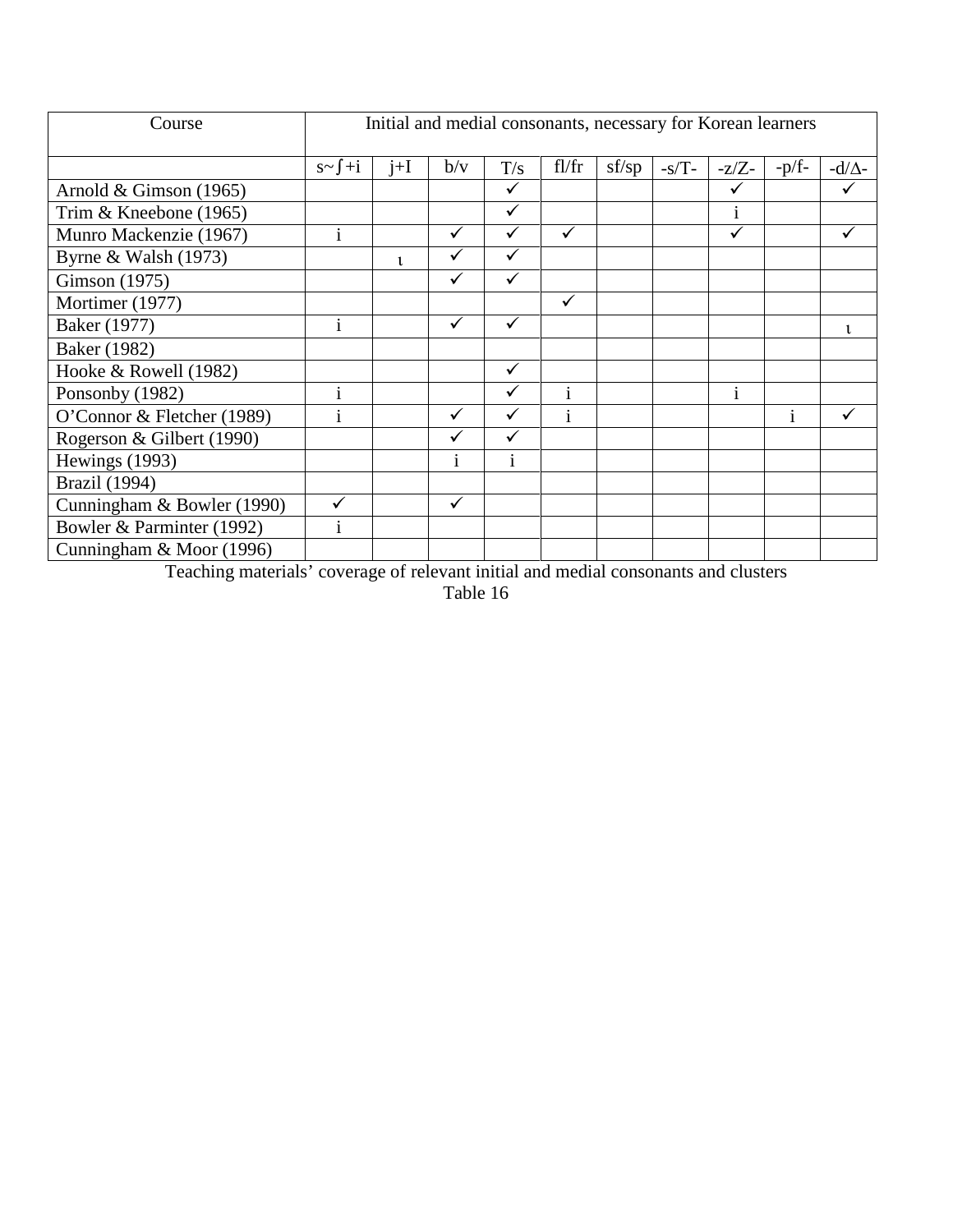| Course                     | Initial and medial consonants, necessary for Korean learners |       |              |              |              |       |         |              |          |                |
|----------------------------|--------------------------------------------------------------|-------|--------------|--------------|--------------|-------|---------|--------------|----------|----------------|
|                            | $s \sim \int +i$                                             | $j+I$ | b/v          | T/s          | $f$ l/fr     | sf/sp | $-s/T-$ | $-z/Z$ -     | $-p/f$ - | -d/ $\Delta$ - |
| Arnold & Gimson $(1965)$   |                                                              |       |              | ✓            |              |       |         | ✓            |          |                |
| Trim & Kneebone (1965)     |                                                              |       |              | $\checkmark$ |              |       |         | 1            |          |                |
| Munro Mackenzie (1967)     | $\mathbf{i}$                                                 |       | ✓            | ✓            | $\checkmark$ |       |         | ✓            |          | ✓              |
| Byrne & Walsh $(1973)$     |                                                              | ι     | $\checkmark$ | $\checkmark$ |              |       |         |              |          |                |
| Gimson (1975)              |                                                              |       | ✓            | ✓            |              |       |         |              |          |                |
| Mortimer (1977)            |                                                              |       |              |              | $\checkmark$ |       |         |              |          |                |
| Baker (1977)               | 1                                                            |       | $\checkmark$ | $\checkmark$ |              |       |         |              |          | ι              |
| Baker (1982)               |                                                              |       |              |              |              |       |         |              |          |                |
| Hooke & Rowell (1982)      |                                                              |       |              |              |              |       |         |              |          |                |
| Ponsonby (1982)            | $\mathbf{1}$                                                 |       |              | ✓            | $\mathbf{1}$ |       |         | $\mathbf{i}$ |          |                |
| O'Connor & Fletcher (1989) | 1                                                            |       | $\checkmark$ | ✓            | $\mathbf{1}$ |       |         |              | 1        |                |
| Rogerson & Gilbert (1990)  |                                                              |       | ✓            | ✓            |              |       |         |              |          |                |
| Hewings (1993)             |                                                              |       | $\mathbf{1}$ | $\mathbf{i}$ |              |       |         |              |          |                |
| <b>Brazil</b> (1994)       |                                                              |       |              |              |              |       |         |              |          |                |
| Cunningham & Bowler (1990) |                                                              |       | ✓            |              |              |       |         |              |          |                |
| Bowler & Parminter (1992)  | 1                                                            |       |              |              |              |       |         |              |          |                |
| Cunningham & Moor (1996)   |                                                              |       |              |              |              |       |         |              |          |                |

Teaching materials' coverage of relevant initial and medial consonants and clusters

Table 16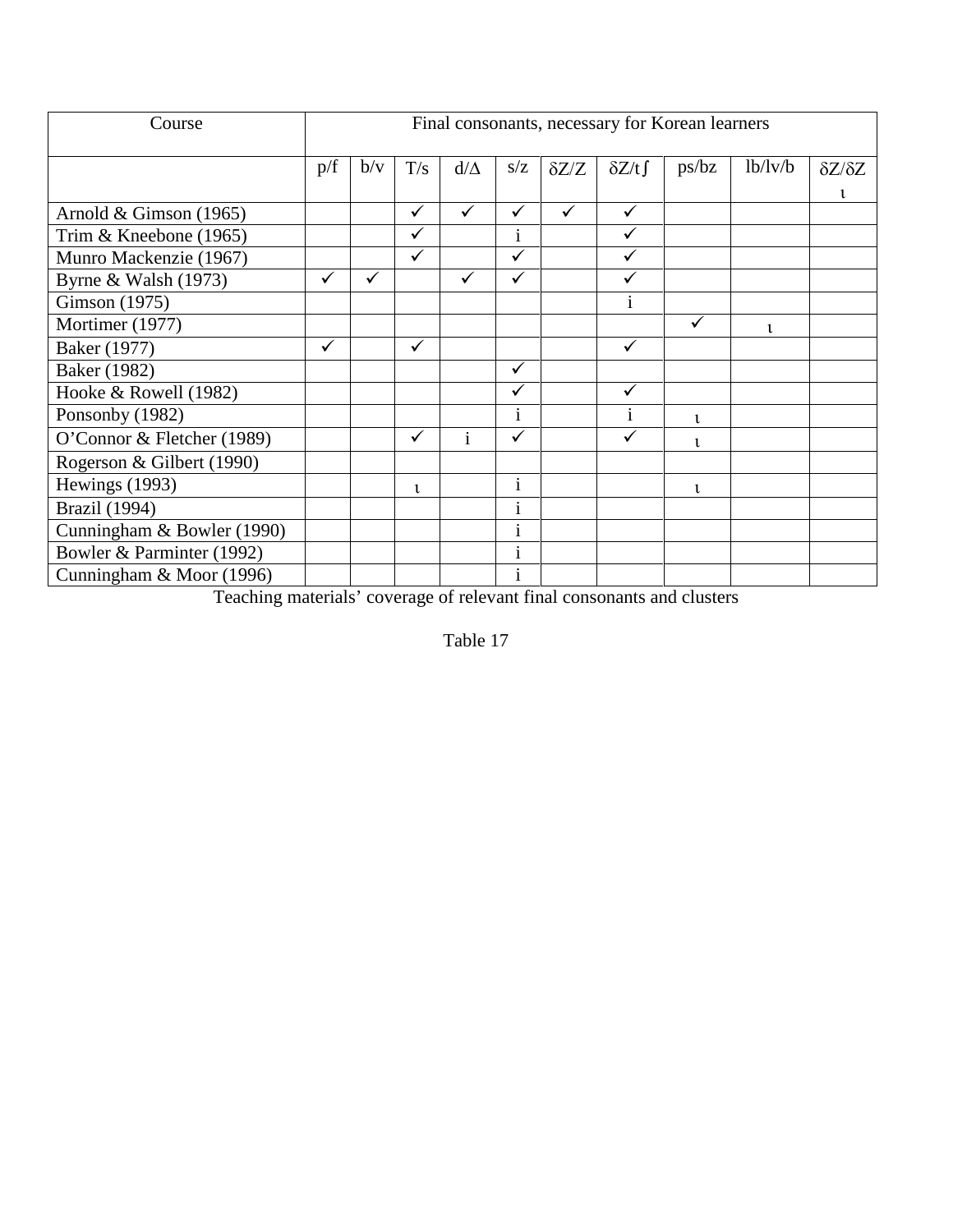| Course                     | Final consonants, necessary for Korean learners |              |     |              |                         |              |              |                |         |                     |
|----------------------------|-------------------------------------------------|--------------|-----|--------------|-------------------------|--------------|--------------|----------------|---------|---------------------|
|                            | p/f                                             | b/v          | T/s | $d/\Delta$   | s/z                     | $\delta Z/Z$ | $\delta Z/t$ | ps/bz          | lb/lv/b | $\delta Z/\delta Z$ |
|                            |                                                 |              |     |              |                         |              |              |                |         | ι                   |
| Arnold & Gimson $(1965)$   |                                                 |              | ✓   | $\checkmark$ | $\checkmark$            | $\checkmark$ | $\checkmark$ |                |         |                     |
| Trim & Kneebone (1965)     |                                                 |              |     |              | 1                       |              | ✓            |                |         |                     |
| Munro Mackenzie (1967)     |                                                 |              |     |              | $\overline{\checkmark}$ |              | $\checkmark$ |                |         |                     |
| Byrne & Walsh $(1973)$     | $\checkmark$                                    | $\checkmark$ |     | $\checkmark$ | $\checkmark$            |              | ✓            |                |         |                     |
| Gimson (1975)              |                                                 |              |     |              |                         |              | 1            |                |         |                     |
| Mortimer (1977)            |                                                 |              |     |              |                         |              |              | $\checkmark$   | ι       |                     |
| Baker (1977)               | ✓                                               |              | ✓   |              |                         |              | ✓            |                |         |                     |
| <b>Baker</b> (1982)        |                                                 |              |     |              | $\checkmark$            |              |              |                |         |                     |
| Hooke & Rowell (1982)      |                                                 |              |     |              | $\checkmark$            |              | $\checkmark$ |                |         |                     |
| Ponsonby (1982)            |                                                 |              |     |              | $\mathbf{1}$            |              | 1            | $\mathbf{t}$   |         |                     |
| O'Connor & Fletcher (1989) |                                                 |              | ✓   | $\mathbf{i}$ | $\checkmark$            |              | $\checkmark$ | $\mathfrak{t}$ |         |                     |
| Rogerson & Gilbert (1990)  |                                                 |              |     |              |                         |              |              |                |         |                     |
| Hewings (1993)             |                                                 |              | ι   |              | $\mathbf{i}$            |              |              | 1              |         |                     |
| <b>Brazil</b> (1994)       |                                                 |              |     |              | $\bullet$<br>1          |              |              |                |         |                     |
| Cunningham & Bowler (1990) |                                                 |              |     |              | 1                       |              |              |                |         |                     |
| Bowler & Parminter (1992)  |                                                 |              |     |              | $\bullet$<br>1          |              |              |                |         |                     |
| Cunningham & Moor (1996)   |                                                 |              |     |              | $\bullet$<br>1          |              |              |                |         |                     |

Teaching materials' coverage of relevant final consonants and clusters

Table 17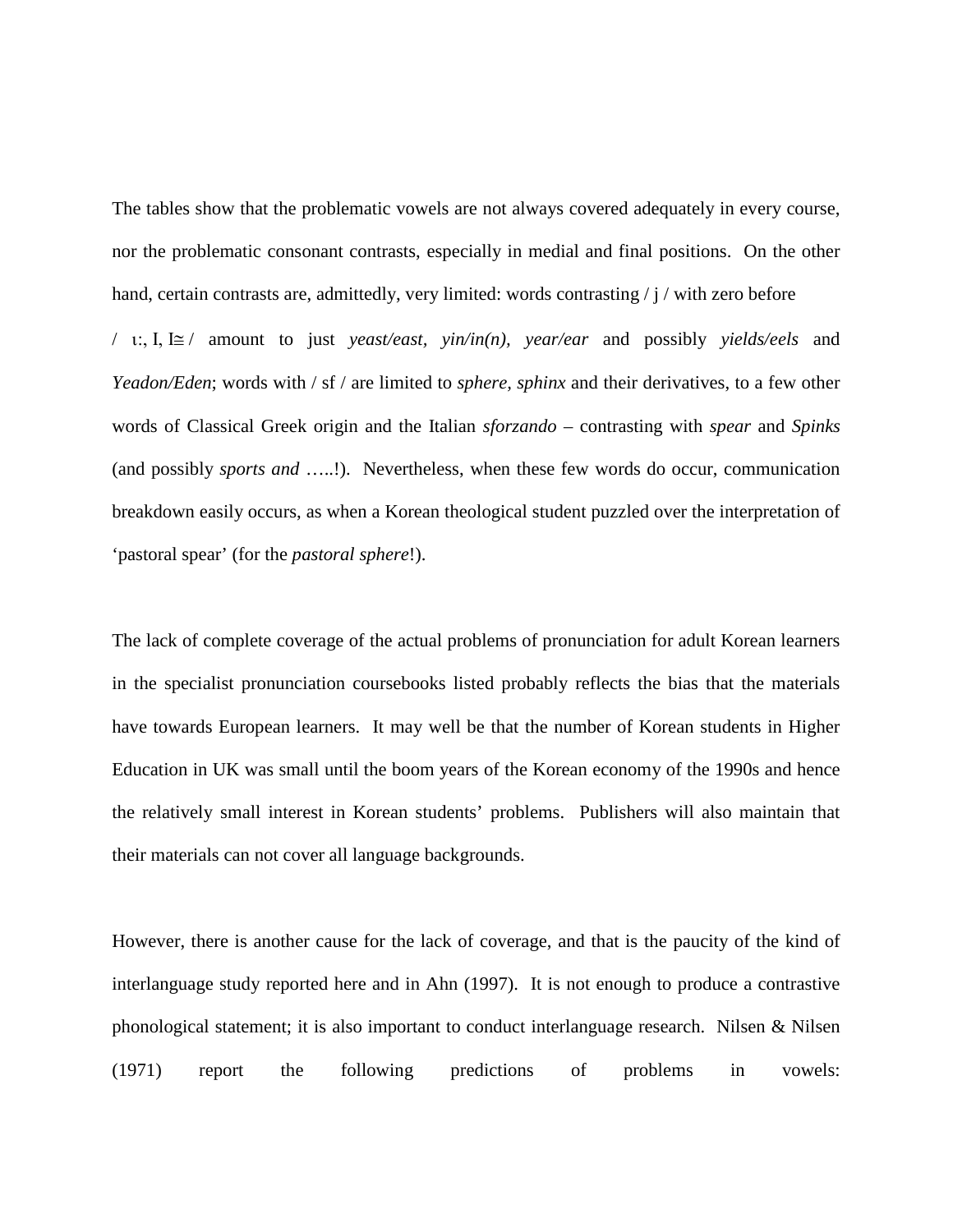The tables show that the problematic vowels are not always covered adequately in every course, nor the problematic consonant contrasts, especially in medial and final positions. On the other hand, certain contrasts are, admittedly, very limited: words contrasting / j / with zero before

/ ι:, Ι, Ι≅ / amount to just *yeast/east, yin/in(n), year/ear* and possibly *yields/eels* and *Yeadon/Eden*; words with / sf / are limited to *sphere, sphinx* and their derivatives, to a few other words of Classical Greek origin and the Italian *sforzando* – contrasting with *spear* and *Spinks* (and possibly *sports and* …..!). Nevertheless, when these few words do occur, communication breakdown easily occurs, as when a Korean theological student puzzled over the interpretation of 'pastoral spear' (for the *pastoral sphere*!).

The lack of complete coverage of the actual problems of pronunciation for adult Korean learners in the specialist pronunciation coursebooks listed probably reflects the bias that the materials have towards European learners. It may well be that the number of Korean students in Higher Education in UK was small until the boom years of the Korean economy of the 1990s and hence the relatively small interest in Korean students' problems. Publishers will also maintain that their materials can not cover all language backgrounds.

However, there is another cause for the lack of coverage, and that is the paucity of the kind of interlanguage study reported here and in Ahn (1997). It is not enough to produce a contrastive phonological statement; it is also important to conduct interlanguage research. Nilsen & Nilsen (1971) report the following predictions of problems in vowels: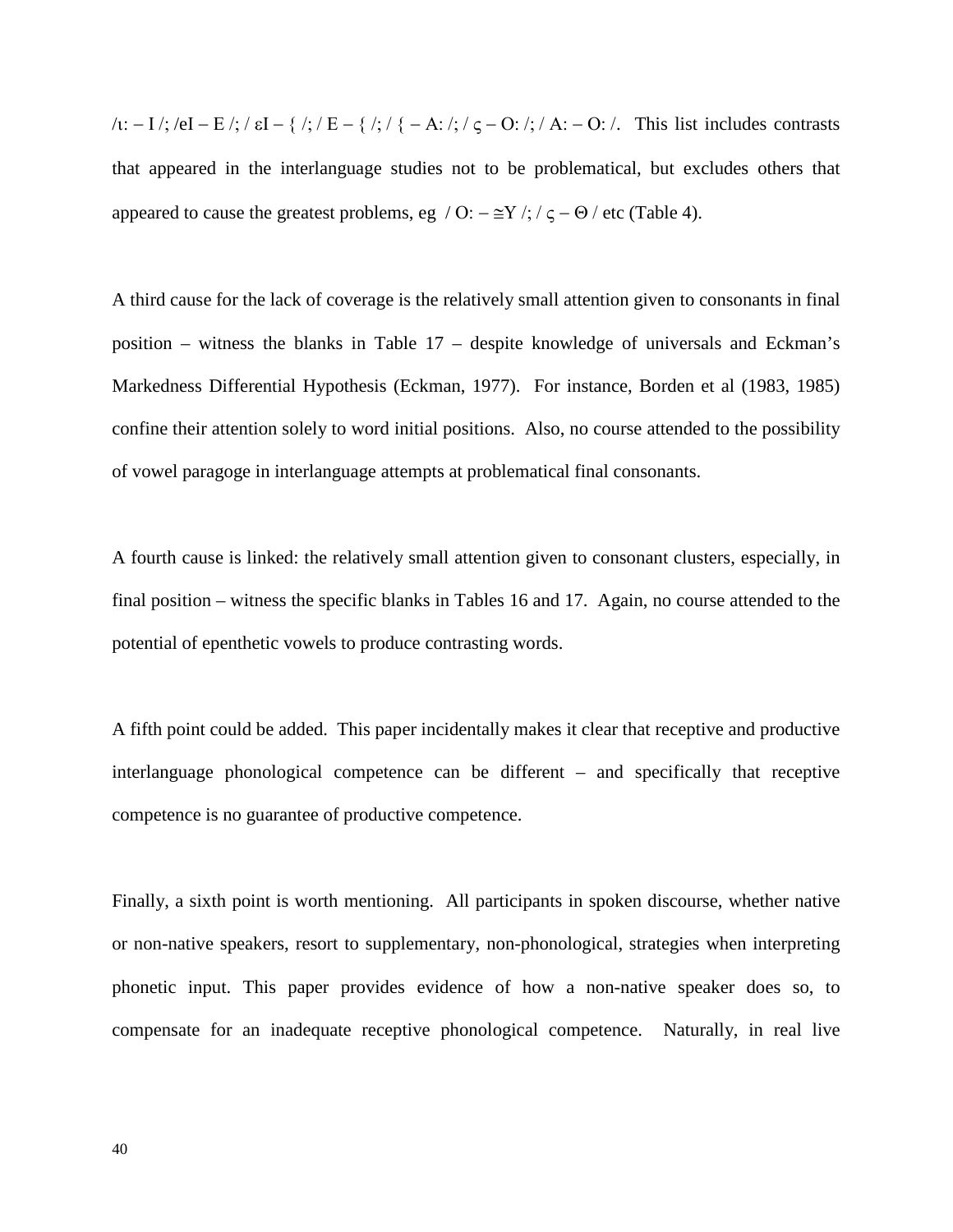$\lambda$ ι: − Ι /; /eI − Ε /; / εI − { /; / E − { /; / { − A: /; / ς − O: /; / A: − O: /. This list includes contrasts that appeared in the interlanguage studies not to be problematical, but excludes others that appeared to cause the greatest problems, eg / O:  $-\cong Y$  /; /  $\zeta - \Theta$  / etc (Table 4).

A third cause for the lack of coverage is the relatively small attention given to consonants in final position – witness the blanks in Table 17 – despite knowledge of universals and Eckman's Markedness Differential Hypothesis (Eckman, 1977). For instance, Borden et al (1983, 1985) confine their attention solely to word initial positions. Also, no course attended to the possibility of vowel paragoge in interlanguage attempts at problematical final consonants.

A fourth cause is linked: the relatively small attention given to consonant clusters, especially, in final position – witness the specific blanks in Tables 16 and 17. Again, no course attended to the potential of epenthetic vowels to produce contrasting words.

A fifth point could be added. This paper incidentally makes it clear that receptive and productive interlanguage phonological competence can be different – and specifically that receptive competence is no guarantee of productive competence.

Finally, a sixth point is worth mentioning. All participants in spoken discourse, whether native or non-native speakers, resort to supplementary, non-phonological, strategies when interpreting phonetic input. This paper provides evidence of how a non-native speaker does so, to compensate for an inadequate receptive phonological competence. Naturally, in real live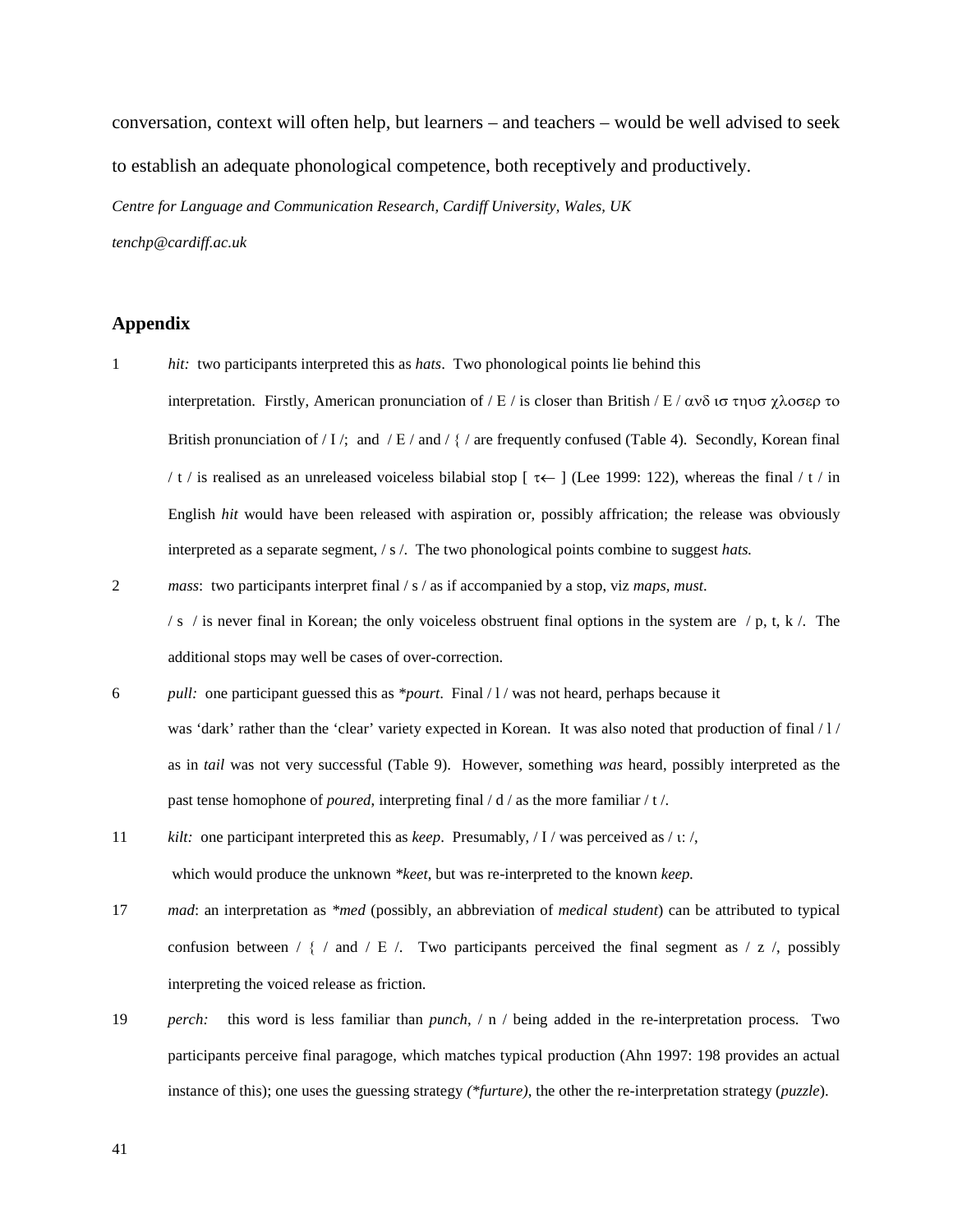conversation, context will often help, but learners – and teachers – would be well advised to seek to establish an adequate phonological competence, both receptively and productively. *Centre for Language and Communication Research, Cardiff University, Wales, UK tenchp@cardiff.ac.uk*

### **Appendix**

- 1 *hit:* two participants interpreted this as *hats*. Two phonological points lie behind this interpretation. Firstly, American pronunciation of / Ε / is closer than British / Ε / ανδ ισ τηυσ χλοσερ το British pronunciation of / I /; and / E / and /  $\frac{1}{2}$  / are frequently confused (Table 4). Secondly, Korean final / t / is realised as an unreleased voiceless bilabial stop [ $\tau \leftarrow$ ] (Lee 1999: 122), whereas the final / t / in English *hit* would have been released with aspiration or, possibly affrication; the release was obviously interpreted as a separate segment, / s /. The two phonological points combine to suggest *hats.*
- 2 *mass*: two participants interpret final / s / as if accompanied by a stop, viz *maps, must*.

/ s / is never final in Korean; the only voiceless obstruent final options in the system are / p, t, k /. The additional stops may well be cases of over-correction.

- 6 *pull:* one participant guessed this as *\*pourt*. Final / l / was not heard, perhaps because it was 'dark' rather than the 'clear' variety expected in Korean. It was also noted that production of final / 1 / as in *tail* was not very successful (Table 9). However, something *was* heard, possibly interpreted as the past tense homophone of *poured*, interpreting final / d / as the more familiar / t /.
- 11 *kilt:* one participant interpreted this as *keep*. Presumably, / Ι / was perceived as / ι: /, which would produce the unknown *\*keet*, but was re-interpreted to the known *keep.*
- 17 *mad*: an interpretation as *\*med* (possibly, an abbreviation of *medical student*) can be attributed to typical confusion between /  $\{ /$  and  $/ E /$ . Two participants perceived the final segment as  $/ z /$ , possibly interpreting the voiced release as friction.
- 19 *perch:* this word is less familiar than *punch*, / n / being added in the re-interpretation process. Two participants perceive final paragoge, which matches typical production (Ahn 1997: 198 provides an actual instance of this); one uses the guessing strategy *(\*furture)*, the other the re-interpretation strategy (*puzzle*).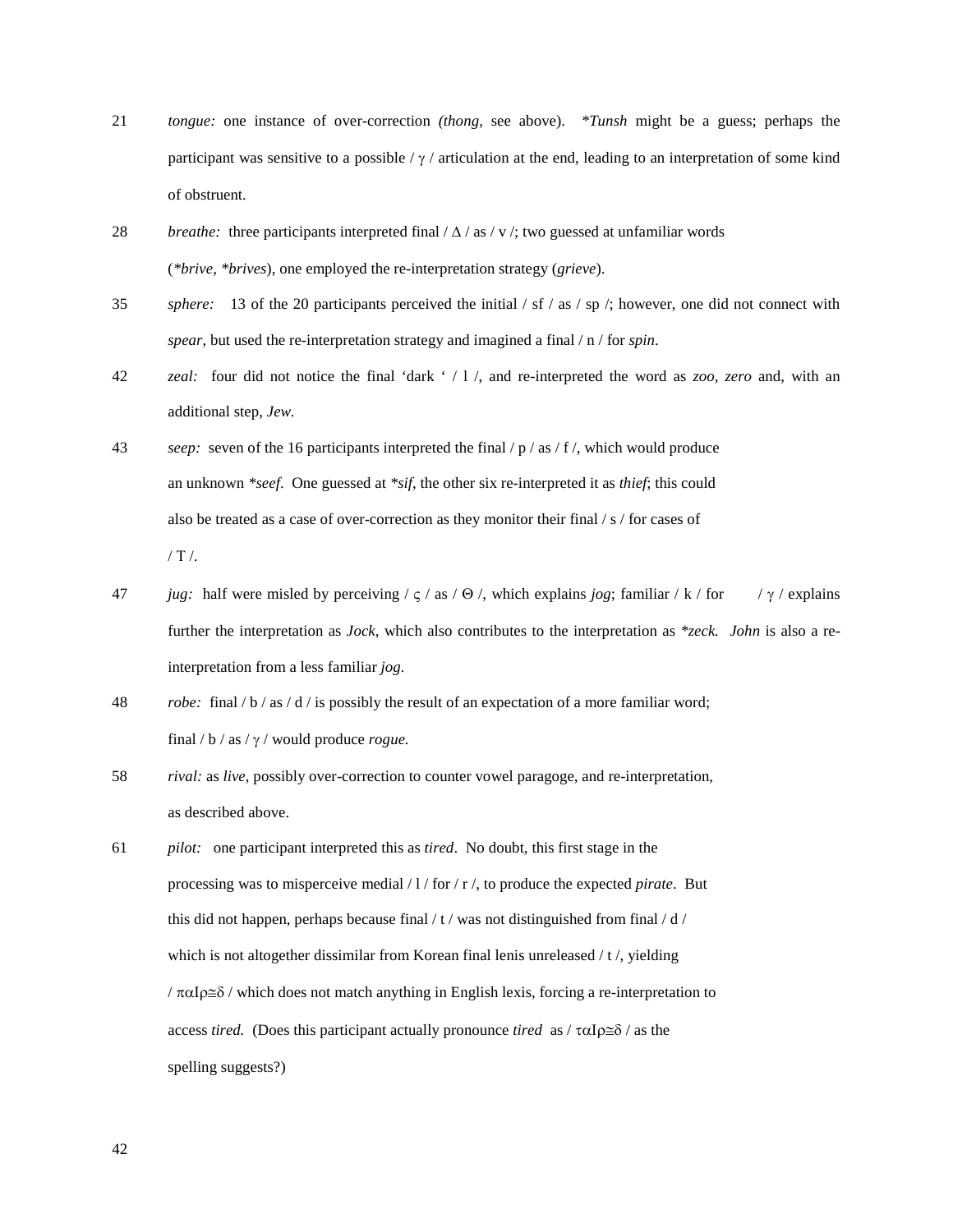- 21 *tongue:* one instance of over-correction *(thong,* see above). *\*Tunsh* might be a guess; perhaps the participant was sensitive to a possible /  $\gamma$  / articulation at the end, leading to an interpretation of some kind of obstruent.
- 28 *breathe:* three participants interpreted final / ∆ / as / v /; two guessed at unfamiliar words (*\*brive, \*brives*), one employed the re-interpretation strategy (*grieve*).
- 35 *sphere:* 13 of the 20 participants perceived the initial / sf / as / sp /; however, one did not connect with *spear*, but used the re-interpretation strategy and imagined a final / n / for *spin*.
- 42 *zeal:* four did not notice the final 'dark ' / l /, and re-interpreted the word as *zoo, zero* and, with an additional step, *Jew.*
- 43 *seep:* seven of the 16 participants interpreted the final / p / as / f /, which would produce an unknown *\*seef*. One guessed at *\*sif*, the other six re-interpreted it as *thief*; this could also be treated as a case of over-correction as they monitor their final / s / for cases of / Τ /.
- 47 *jug:* half were misled by perceiving / ς / as / Θ /, which explains *jog*; familiar / k / for / γ / explains further the interpretation as *Jock*, which also contributes to the interpretation as *\*zeck. John* is also a reinterpretation from a less familiar *jog.*
- 48 *robe:* final / b / as / d / is possibly the result of an expectation of a more familiar word; final / b / as / γ / would produce *rogue.*
- 58 *rival:* as *live*, possibly over-correction to counter vowel paragoge, and re-interpretation, as described above.
- 61 *pilot:* one participant interpreted this as *tired*. No doubt, this first stage in the processing was to misperceive medial / l / for / r /, to produce the expected *pirate*. But this did not happen, perhaps because final  $/t$  / was not distinguished from final  $/ d$  / which is not altogether dissimilar from Korean final lenis unreleased / t /, yielding / παΙρ≅δ / which does not match anything in English lexis, forcing a re-interpretation to access *tired.* (Does this participant actually pronounce *tired* as / ταΙρ≅δ / as the spelling suggests?)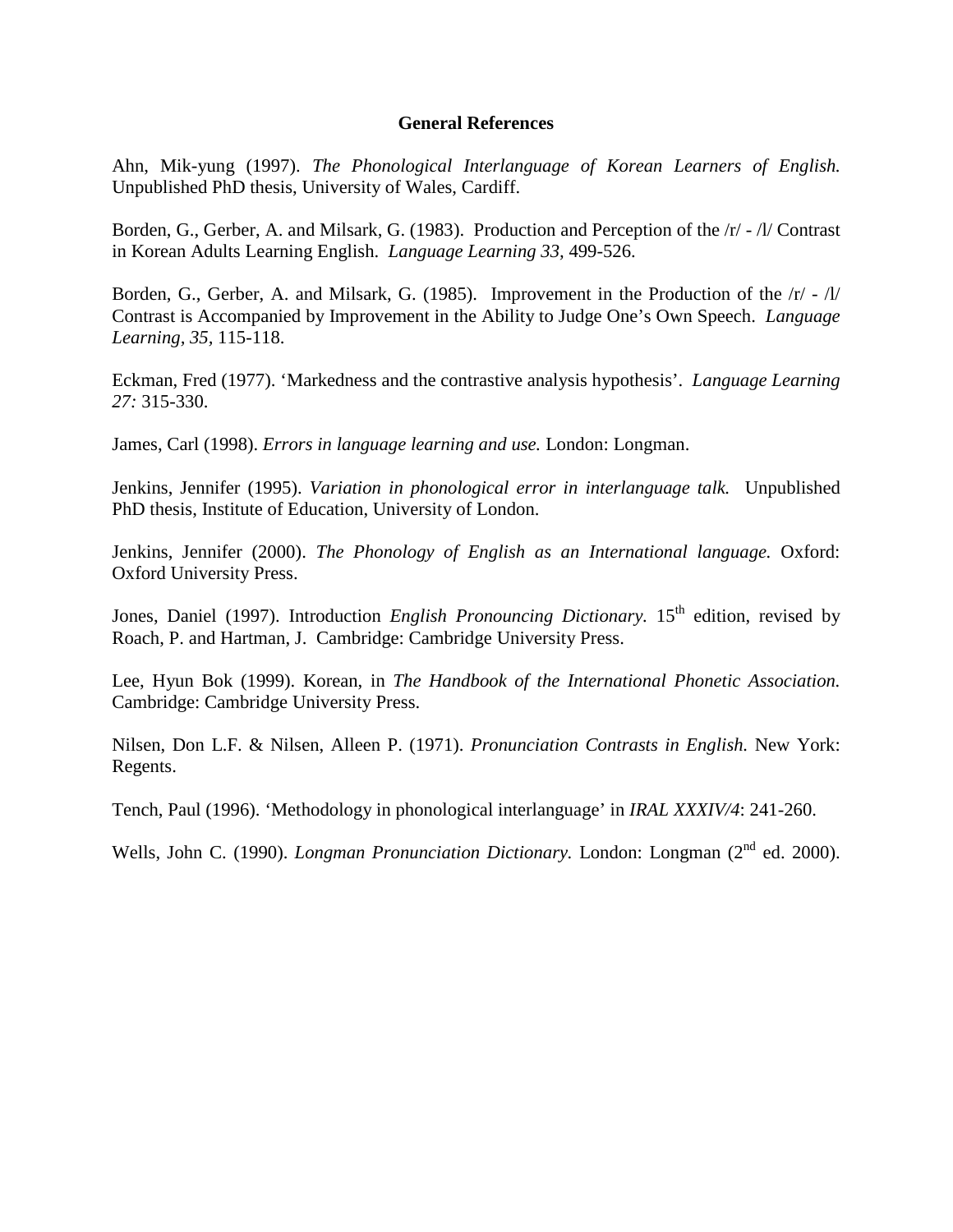### **General References**

Ahn, Mik-yung (1997). *The Phonological Interlanguage of Korean Learners of English.*  Unpublished PhD thesis, University of Wales, Cardiff.

Borden, G., Gerber, A. and Milsark, G. (1983). Production and Perception of the /r/ - /l/ Contrast in Korean Adults Learning English. *Language Learning 33,* 499-526.

Borden, G., Gerber, A. and Milsark, G. (1985). Improvement in the Production of the  $\vert r \vert$  -  $\vert l \vert$ Contrast is Accompanied by Improvement in the Ability to Judge One's Own Speech. *Language Learning, 35,* 115-118.

Eckman, Fred (1977). 'Markedness and the contrastive analysis hypothesis'. *Language Learning 27:* 315-330.

James, Carl (1998). *Errors in language learning and use.* London: Longman.

Jenkins, Jennifer (1995). *Variation in phonological error in interlanguage talk.* Unpublished PhD thesis, Institute of Education, University of London.

Jenkins, Jennifer (2000). *The Phonology of English as an International language.* Oxford: Oxford University Press.

Jones, Daniel (1997). Introduction *English Pronouncing Dictionary*. 15<sup>th</sup> edition, revised by Roach, P. and Hartman, J. Cambridge: Cambridge University Press.

Lee, Hyun Bok (1999). Korean, in *The Handbook of the International Phonetic Association.*  Cambridge: Cambridge University Press.

Nilsen, Don L.F. & Nilsen, Alleen P. (1971). *Pronunciation Contrasts in English.* New York: Regents.

Tench, Paul (1996). 'Methodology in phonological interlanguage' in *IRAL XXXIV/4*: 241-260.

Wells, John C. (1990). *Longman Pronunciation Dictionary*. London: Longman (2<sup>nd</sup> ed. 2000).